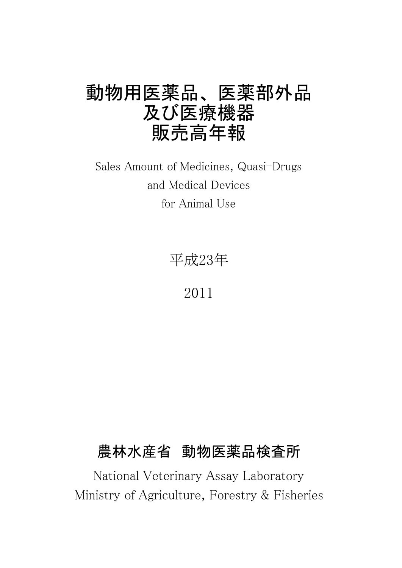# 動物用医薬品、 医薬部外品 及び医療機器 販売高年報

Sales Amount of Medicines, Quasi-Drugs and Medical Devices for Animal Use

平成23年

2011

## 農林水産省 動物医薬品検査所

National Veterinary Assay Laboratory Ministry of Agriculture, Forestry & Fisheries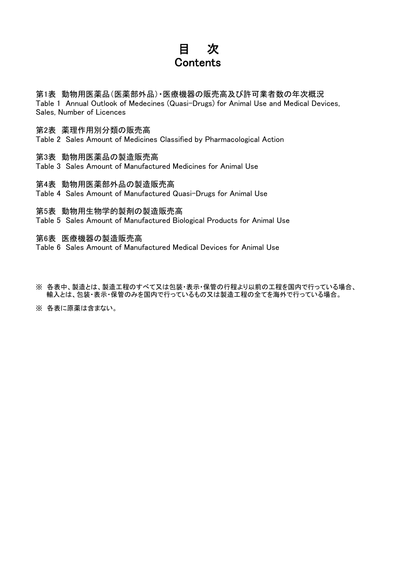## 目 次 **Contents**

第1表 動物用医薬品(医薬部外品)・医療機器の販売高及び許可業者数の年次概況 Table 1 Annual Outlook of Medecines (Quasi-Drugs) for Animal Use and Medical Devices, Sales, Number of Licences

## 第2表 薬理作用別分類の販売高

Table 2 Sales Amount of Medicines Classified by Pharmacological Action

第3表 動物用医薬品の製造販売高

Table 3 Sales Amount of Manufactured Medicines for Animal Use

第4表 動物用医薬部外品の製造販売高

Table 4 Sales Amount of Manufactured Quasi-Drugs for Animal Use

第5表 動物用生物学的製剤の製造販売高

Table 5 Sales Amount of Manufactured Biological Products for Animal Use

第6表 医療機器の製造販売高

Table 6 Sales Amount of Manufactured Medical Devices for Animal Use

- ※ 各表中、製造とは、製造工程のすべて又は包装・表示・保管の行程より以前の工程を国内で行っている場合、 輸入とは、包装・表示・保管のみを国内で行っているもの又は製造工程の全てを海外で行っている場合。
- ※ 各表に原薬は含まない。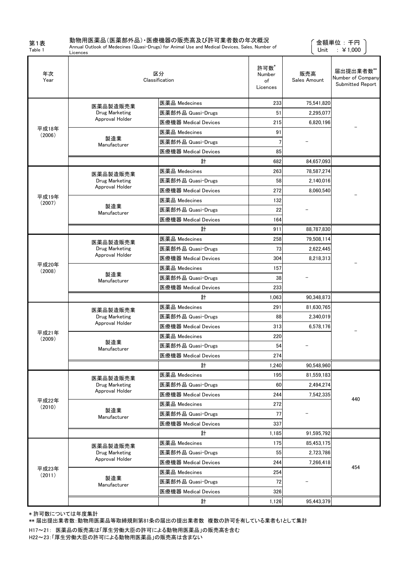第1表 Table 1

## 動物用医薬品(医薬部外品)・医療機器の販売高及び許可業者数の年次概況

Licences

Annual Outlook of Medecines (Quasi-Drugs) for Animal Use and Medical Devices, Sales, Number of

 金額単位 : 千円 Unit :  $\angle 1,000$ 

| 年次<br>Year      |                     | 区分<br>Classification | 許可数*<br>Number<br>of<br>Licences | 販売高<br>Sales Amount | 届出提出業者数**<br>Number of Company<br>Submitted Report |
|-----------------|---------------------|----------------------|----------------------------------|---------------------|----------------------------------------------------|
|                 | 医薬品製造販売業            | 医薬品 Medecines        | 233                              | 75,541,820          |                                                    |
|                 | Drug Marketing      | 医薬部外品 Quasi-Drugs    | 51                               | 2,295,077           |                                                    |
|                 | Approval Holder     | 医療機器 Medical Devices | 215                              | 6,820,196           |                                                    |
| 平成18年<br>(2006) |                     | 医薬品 Medecines        | 91                               |                     |                                                    |
|                 | 製造業<br>Manufacturer | 医薬部外品 Quasi-Drugs    |                                  |                     |                                                    |
|                 |                     | 医療機器 Medical Devices | 85                               |                     |                                                    |
|                 |                     | 計                    | 682                              | 84,657,093          |                                                    |
|                 | 医薬品製造販売業            | 医薬品 Medecines        | 263                              | 78,587,274          |                                                    |
|                 | Drug Marketing      | 医薬部外品 Quasi-Drugs    | 58                               | 2,140,016           |                                                    |
|                 | Approval Holder     | 医療機器 Medical Devices | 272                              | 8,060,540           |                                                    |
| 平成19年<br>(2007) |                     | 医薬品 Medecines        | 132                              |                     |                                                    |
|                 | 製造業<br>Manufacturer | 医薬部外品 Quasi-Drugs    | 22                               |                     |                                                    |
|                 |                     | 医療機器 Medical Devices | 164                              |                     |                                                    |
|                 |                     | 計                    | 911                              | 88.787.830          |                                                    |
|                 | 医薬品製造販売業            | 医薬品 Medecines        | 258                              | 79,508,114          |                                                    |
|                 | Drug Marketing      | 医薬部外品 Quasi-Drugs    | 73                               | 2,622,445           |                                                    |
|                 | Approval Holder     | 医療機器 Medical Devices | 304                              | 8,218,313           |                                                    |
| 平成20年<br>(2008) |                     | 医薬品 Medecines        | 157                              |                     |                                                    |
|                 | 製造業<br>Manufacturer | 医薬部外品 Quasi-Drugs    | 38                               |                     |                                                    |
|                 |                     | 医療機器 Medical Devices | 233                              |                     |                                                    |
|                 |                     | 計                    | 1,063                            | 90,348,873          |                                                    |
|                 | 医薬品製造販売業            | 医薬品 Medecines        | 291                              | 81,630,765          |                                                    |
|                 | Drug Marketing      | 医薬部外品 Quasi-Drugs    | 88                               | 2,340,019           |                                                    |
|                 | Approval Holder     | 医療機器 Medical Devices | 313                              | 6.578.176           |                                                    |
| 平成21年<br>(2009) |                     | 医薬品 Medecines        | 220                              |                     |                                                    |
|                 | 製造業<br>Manufacturer | 医薬部外品 Quasi-Drugs    | 54                               |                     |                                                    |
|                 |                     | 医療機器 Medical Devices | 274                              |                     |                                                    |
|                 |                     | 計                    | 1,240                            | 90,548,960          |                                                    |
|                 | 医薬品製造販売業            | 医薬品 Medecines        | 195                              | 81,559,183          |                                                    |
|                 | Drug Marketing      | 医薬部外品 Quasi-Drugs    | 60                               | 2,494,274           |                                                    |
|                 | Approval Holder     | 医療機器 Medical Devices | 244                              | 7.542.335           | 440                                                |
| 平成22年<br>(2010) |                     | 医薬品 Medecines        | 272                              |                     |                                                    |
|                 | 製造業<br>Manufacturer | 医薬部外品 Quasi-Drugs    | 77                               |                     |                                                    |
|                 |                     | 医療機器 Medical Devices | 337                              |                     |                                                    |
|                 |                     | 計                    | 1,185                            | 91,595,792          |                                                    |
|                 | 医薬品製造販売業            | 医薬品 Medecines        | 175                              | 85.453.175          |                                                    |
|                 | Drug Marketing      | 医薬部外品 Quasi-Drugs    | 55                               | 2,723,786           |                                                    |
|                 | Approval Holder     | 医療機器 Medical Devices | 244                              | 7,266,418           | 454                                                |
| 平成23年<br>(2011) | 製造業                 | 医薬品 Medecines        | 254                              |                     |                                                    |
|                 | Manufacturer        | 医薬部外品 Quasi-Drugs    | 72                               |                     |                                                    |
|                 |                     | 医療機器 Medical Devices | 326                              |                     |                                                    |
|                 |                     | 計                    | 1,126                            | 95,443,379          |                                                    |

\* 許可数については年度集計

\*\* 届出提出業者数:動物用医薬品等取締規則第81条の届出の提出業者数 複数の許可を有している業者も1として集計

H17~21: 医薬品の販売高は「厚生労働大臣の許可による動物用医薬品」の販売高を含む H22~23:「厚生労働大臣の許可による動物用医薬品」の販売高は含まない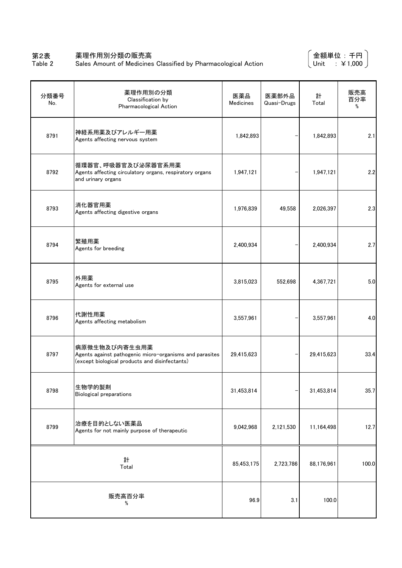### 第2表 薬理作用別分類の販売高

SALE IN MINITED CONSERVING CONSERVATION CONSERVATION Sales Amount of Medicines Classified by Pharmacological Action

金額単位 : 千円 Unit : ¥1,000

| 分類番号<br>No. | 薬理作用別の分類<br>Classification by<br>Pharmacological Action                                                                    | 医薬品<br>Medicines | 医薬部外品<br>Quasi-Drugs | 計<br>Total | 販売高<br>百分率<br>% |
|-------------|----------------------------------------------------------------------------------------------------------------------------|------------------|----------------------|------------|-----------------|
| 8791        | 神経系用薬及びアレルギー用薬<br>Agents affecting nervous system                                                                          | 1,842,893        |                      | 1,842,893  | 2.1             |
| 8792        | 循環器官、呼吸器官及び泌尿器官系用薬<br>Agents affecting circulatory organs, respiratory organs<br>and urinary organs                        | 1,947,121        |                      | 1,947,121  | 2.2             |
| 8793        | 消化器官用薬<br>Agents affecting digestive organs                                                                                | 1,976,839        | 49,558               | 2,026,397  | 2.3             |
| 8794        | 繁殖用薬<br>Agents for breeding                                                                                                | 2,400,934        |                      | 2,400,934  | 2.7             |
| 8795        | 外用薬<br>Agents for external use                                                                                             | 3,815,023        | 552,698              | 4,367,721  | 5.0             |
| 8796        | 代謝性用薬<br>Agents affecting metabolism                                                                                       | 3,557,961        |                      | 3,557,961  | 4.0             |
| 8797        | 病原微生物及び内寄生虫用薬<br>Agents against pathogenic micro-organisms and parasites<br>(except biological products and disinfectants) | 29,415,623       |                      | 29,415,623 | 33.4            |
| 8798        | 生物学的製剤<br><b>Biological preparations</b>                                                                                   | 31,453,814       |                      | 31,453,814 | 35.7            |
| 8799        | 治療を目的としない医薬品<br>Agents for not mainly purpose of therapeutic                                                               | 9,042,968        | 2,121,530            | 11,164,498 | 12.7            |
|             | 計<br>Total                                                                                                                 | 85,453,175       | 2,723,786            | 88,176,961 | 100.0           |
|             | 販売高百分率<br>%                                                                                                                | 96.9             | 3.1                  | 100.0      |                 |

Table 2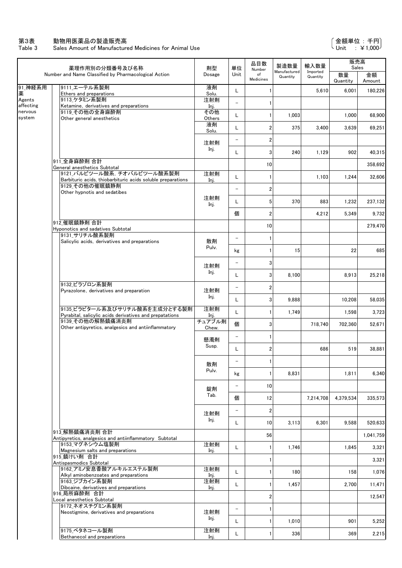#### 第3表 動物用医薬品の製造販売高

Table 3 Sales Amount of Manufactured Medicines for Animal Use

|                     | 薬理作用別の分類番号及び名称                                                                                                                     | 剤型<br>単位       |                   | 品目数<br>Number           | 製造数量                     | 輸入数量                 | 販売高<br>Sales   |              |
|---------------------|------------------------------------------------------------------------------------------------------------------------------------|----------------|-------------------|-------------------------|--------------------------|----------------------|----------------|--------------|
|                     | Number and Name Classified by Pharmacological Action                                                                               | Dosage         | Unit              | of<br>Medicines         | Manufactured<br>Quantity | Imported<br>Quantity | 数量<br>Quantity | 金額<br>Amount |
| 91_神経系用<br>薬        | 9111 エーテル系製剤<br>Ethers and preparations                                                                                            | 液剤<br>Solu.    | L                 |                         |                          | 5,610                | 6,001          | 180,226      |
| Agents<br>affecting | 9113 ケタミン系製剤<br>Ketamine, derivatives and preparations                                                                             | 注射剤<br>Inj.    | $\equiv$          |                         |                          |                      |                |              |
| nervous<br>system   | 9119 その他の全身麻酔剤<br>Other general anesthetics                                                                                        | その他<br>Others  | L                 |                         | 1,003                    |                      | 1,000          | 68,900       |
|                     |                                                                                                                                    | 液剤<br>Solu.    | L                 | 2                       | 375                      | 3,400                | 3,639          | 69,251       |
|                     |                                                                                                                                    | 注射剤            | $\qquad \qquad -$ | 2                       |                          |                      |                |              |
|                     |                                                                                                                                    | Inj.           | L                 | 3                       | 240                      | 1,129                | 902            | 40.315       |
|                     | 911 全身麻酔剤 合計<br>General anesthetics Subtotal                                                                                       |                |                   | 10                      |                          |                      |                | 358,692      |
|                     | 9121_バルビツール酸系, チオバルビツール酸系製剤<br>Barbituric acids, thiobarbituric acids soluble preparations                                         | 注射剤<br>Inj.    | L                 |                         |                          | 1,103                | 1,244          | 32,606       |
|                     | 9129 その他の催眠鎮静剤<br>Other hypnotis and sedatibes                                                                                     |                | $\qquad \qquad -$ | $\overline{2}$          |                          |                      |                |              |
|                     |                                                                                                                                    | 注射剤<br>Inj.    | L                 | 5                       | 370                      | 883                  | 1,232          | 237,132      |
|                     |                                                                                                                                    |                | 個                 | 2                       |                          | 4,212                | 5,349          | 9,732        |
|                     | 912 催眠鎮静剤 合計<br>Hyponotics and sadatives Subtotal                                                                                  |                |                   | 10                      |                          |                      |                | 279,470      |
|                     | 9131 サリチル酸系製剤<br>Salicylic acids, derivatives and preparations                                                                     | 散剤             | $\qquad \qquad -$ |                         |                          |                      |                |              |
|                     |                                                                                                                                    | Pulv.          | kg                |                         | 15                       |                      | 22             | 685          |
|                     |                                                                                                                                    | 注射剤            | $\qquad \qquad -$ | 3                       |                          |                      |                |              |
|                     | 9132 ビラゾロン系製剤                                                                                                                      | Inj.           | L                 | $\mathbf{3}$            | 8,100                    |                      | 8,913          | 25,218       |
|                     | Pyrazolone, derivatives and preparation                                                                                            | 注射剤            | $\qquad \qquad -$ | 2                       |                          |                      |                |              |
|                     | 9135_ビラビタール系及びサリチル酸系を主成分とする製剤                                                                                                      | Inj.<br>注射剤    | L                 | 3                       | 9,888                    |                      | 10,208         | 58,035       |
|                     | Pyrabital, salicylic acids derivatives and prepatations<br>9139 その他の解熱鎮痛消炎剤<br>Other antipyretics, analgesics and antiinflammatory | Inj.<br>チュアブル剤 | L                 |                         | 1,749                    |                      | 1,598          | 3,723        |
|                     |                                                                                                                                    | Chew.          | 個                 | 3                       |                          | 718,740              | 702,360        | 52,671       |
|                     |                                                                                                                                    | 懸濁剤<br>Susp.   | $\qquad \qquad -$ |                         |                          |                      |                |              |
|                     |                                                                                                                                    |                | L                 | $\overline{c}$          |                          | 686                  | 519            | 38,881       |
|                     |                                                                                                                                    | 散剤<br>Pulv.    | $\qquad \qquad -$ | 1                       |                          |                      |                |              |
|                     |                                                                                                                                    |                | kg                |                         | 8,831                    |                      | 1,811          | 6,340        |
|                     |                                                                                                                                    | 錠剤<br>Tab.     | $\qquad \qquad -$ | 10                      |                          |                      |                |              |
|                     |                                                                                                                                    |                | 個                 | 12                      |                          | 7,214,708            | 4,379,534      | 335,573      |
|                     |                                                                                                                                    | 注射剤<br>Inj.    | $\qquad \qquad -$ | $\overline{\mathbf{2}}$ |                          |                      |                |              |
|                     | 913 解熱鎮痛消炎剤 合計                                                                                                                     |                | L                 | 10                      | 3,113                    | 6,301                | 9,588          | 520,633      |
|                     | Antipyretics, analgesics and antiinflammatory Subtotal<br>9153_マグネシウム塩製剤                                                           | 注射剤            |                   | 56                      |                          |                      |                | 1,041,759    |
|                     | Magnesium salts and preparations<br>915 鎮けい剤 合計                                                                                    | Inj.           | L                 |                         | 1,746                    |                      | 1,845          | 3,321        |
|                     | Antispasmodics Subtotal<br>9162 アミノ安息香酸アルキルエステル製剤                                                                                  | 注射剤            |                   |                         |                          |                      |                | 3,321        |
|                     | Alkyl aminobenzoates and preparations<br>9163 ジブカイン系製剤                                                                             | Inj.<br>注射剤    | L                 |                         | 180                      |                      | 158            | 1,076        |
|                     | Dibcaine, derivatives and preparations<br>916 局所麻酔剤 合計                                                                             | Inj.           | L                 |                         | 1,457                    |                      | 2,700          | 11,471       |
|                     | Local anesthetics Subtotal<br>9172 ネオスチグミン系製剤                                                                                      |                |                   | 2                       |                          |                      |                | 12,547       |
|                     | Neostigmine, derivatives and preparations                                                                                          | 注射剤<br>Inj.    | $\qquad \qquad -$ |                         |                          |                      |                |              |
|                     | 9175 ベタネコール製剤                                                                                                                      | 注射剤            | L                 |                         | 1,010                    |                      | 901            | 5,252        |
|                     | Bethanecol and preparations                                                                                                        | Inj.           | L                 |                         | 336                      |                      | 369            | 2,215        |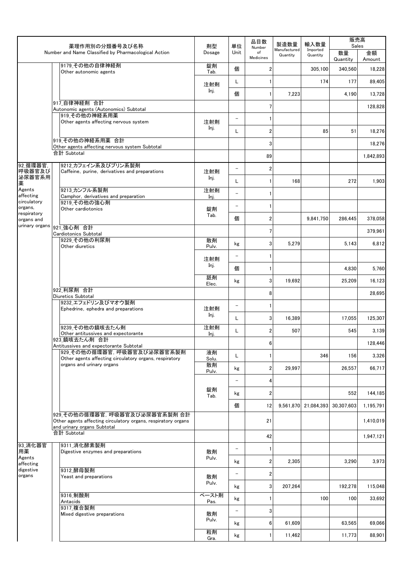|                              | 薬理作用別の分類番号及び名称                                                                               | 剤型          | 単位                       | 品目数<br>Number           | 製造数量                     | 輸入数量                            | 販売高<br>Sales   |              |
|------------------------------|----------------------------------------------------------------------------------------------|-------------|--------------------------|-------------------------|--------------------------|---------------------------------|----------------|--------------|
|                              | Number and Name Classified by Pharmacological Action                                         | Dosage      | Unit                     | of<br>Medicines         | Manufactured<br>Quantity | Imported<br>Quantity            | 数量<br>Quantity | 金額<br>Amount |
|                              | 9179 その他の自律神経剤<br>Other autonomic agents                                                     | 錠剤<br>Tab.  | 個                        | 2                       |                          | 305,100                         | 340,560        | 18,228       |
|                              |                                                                                              | 注射剤         | L                        |                         |                          | 174                             | 177            | 89,405       |
|                              |                                                                                              | Inj.        | 個                        | 1                       | 7,223                    |                                 | 4,190          | 13,728       |
|                              | 917 自律神経剤 合計<br>Autonomic agents (Autonomics) Subtotal                                       |             |                          | 7                       |                          |                                 |                | 128,828      |
|                              | 919 その他の神経系用薬<br>Other agents affecting nervous system                                       | 注射剤         | $\qquad \qquad -$        | 1                       |                          |                                 |                |              |
|                              |                                                                                              | Inj.        | L                        | $\overline{\mathbf{c}}$ |                          | 85                              | 51             | 18,276       |
|                              | 919 その他の神経系用薬 合計<br>Other agents affecting nervous system Subtotal                           |             |                          | 3                       |                          |                                 |                | 18,276       |
|                              | 合計 Subtotal                                                                                  |             |                          | 89                      |                          |                                 |                | 1,842,893    |
| 92_循環器官,                     | 9212 カフェイン系及びプリン系製剤                                                                          |             | $\overline{\phantom{0}}$ | $\overline{\mathbf{c}}$ |                          |                                 |                |              |
| 呼吸器官及び<br>泌尿器官系用             | Caffeine, purine, derivatives and preparations                                               | 注射剤<br>Inj. | Г                        | 1                       | 168                      |                                 | 272            | 1,903        |
| 薬<br>Agents                  | 9213 カンフル系製剤                                                                                 | 注射剤         | $\overline{\phantom{0}}$ | 1                       |                          |                                 |                |              |
| affecting<br>circulatory     | Camphor, derivatives and preparation<br>9219 その他の強心剤                                         | Inj.        |                          |                         |                          |                                 |                |              |
| organs,<br>respiratory       | Other cardiotonics                                                                           | 錠剤<br>Tab.  | $\qquad \qquad -$        | 1                       |                          |                                 |                |              |
| organs and<br>urinary organs | 921 強心剤 合計                                                                                   |             | 個                        | 2                       |                          | 9,841,750                       | 286,445        | 378,058      |
|                              | Cardiotonics Subtotal<br>9229 その他の利尿剤                                                        | 散剤          |                          | 7                       |                          |                                 |                | 379,961      |
|                              | Other diuretics                                                                              | Pulv.       | kg                       | 3                       | 5,279                    |                                 | 5,143          | 6,812        |
|                              |                                                                                              | 注射剤         | $\qquad \qquad -$        | 1                       |                          |                                 |                |              |
|                              |                                                                                              | Inj.        | 個                        | 1                       |                          |                                 | 4,830          | 5,760        |
|                              |                                                                                              | 舐剤<br>Elec. | kg                       | 3                       | 19,692                   |                                 | 25,209         | 16,123       |
|                              | 922 利尿剤 合計<br>Diuretics Subtotal                                                             |             |                          | 8                       |                          |                                 |                | 28,695       |
|                              | 9232_エフェドリン及びマオウ製剤<br>Ephedrine, ephedra and preparations                                    | 注射剤         | $\qquad \qquad -$        | 1                       |                          |                                 |                |              |
|                              |                                                                                              | Inj.        | L                        | 3                       | 16,389                   |                                 | 17,055         | 125.307      |
|                              | 9239 その他の鎮咳去たん剤<br>Other antitussives and expectorante                                       | 注射剤<br>Inj. | L                        | 2                       | 507                      |                                 | 545            | 3,139        |
|                              | 923_鎮咳去たん剤 合計                                                                                |             |                          | 6                       |                          |                                 |                | 128,446      |
|                              | Antitussives and expectorante Subtotal<br>929_その他の循環器官, 呼吸器官及び泌尿器官系製剤                        | 液剤          | L                        | 1                       |                          | 346                             | 156            | 3,326        |
|                              | Other agents affecting circulatory organs, respiratory<br>organs and urinary organs          | Solu.<br>散剤 | kg                       | 2                       | 29,997                   |                                 | 26,557         | 66,717       |
|                              |                                                                                              | Pulv.       | $\qquad \qquad -$        | 4                       |                          |                                 |                |              |
|                              |                                                                                              | 錠剤          |                          |                         |                          |                                 | 552            | 144.185      |
|                              |                                                                                              | Tab.        | kg                       | 2                       |                          |                                 |                |              |
|                              | 929 その他の循環器官, 呼吸器官及び泌尿器官系製剤 合計                                                               |             | 個                        | 12                      |                          | 9,561,870 21,084,393 30,307,603 |                | 1,195,791    |
|                              | Other agents affecting circulatory organs, respiratory organs<br>and urinary organs Subtotal |             |                          | 21                      |                          |                                 |                | 1,410,019    |
|                              | 合計 Subtotal                                                                                  |             |                          | 42                      |                          |                                 |                | 1,947,121    |
| 93_消化器官<br>用薬                | 9311 消化酵素製剤<br>Digestive enzymes and preparations                                            | 散剤          | $\overline{a}$           | $\mathbf{1}$            |                          |                                 |                |              |
| Agents<br>affecting          |                                                                                              | Pulv.       | kg                       | 2                       | 2,305                    |                                 | 3,290          | 3,973        |
| digestive<br>organs          | 9312 酵母製剤<br>Yeast and preparations                                                          | 散剤          | $\qquad \qquad -$        | 2                       |                          |                                 |                |              |
|                              |                                                                                              | Pulv.       | kg                       | 3                       | 207,264                  |                                 | 192,278        | 115,048      |
|                              | 9316_制酸剤                                                                                     | ペースト剤       | kg                       | 1                       |                          | 100                             | 100            | 33,692       |
|                              | Antacids<br>9317_複合製剤                                                                        | Pas.        | $\overline{\phantom{m}}$ | 3                       |                          |                                 |                |              |
|                              | Mixed digestive preparations                                                                 | 散剤<br>Pulv. | kg                       | 6                       | 61,609                   |                                 | 63,565         | 69,066       |
|                              |                                                                                              | 粒剤<br>Gra.  | kg                       | 1                       | 11,462                   |                                 | 11,773         | 88,901       |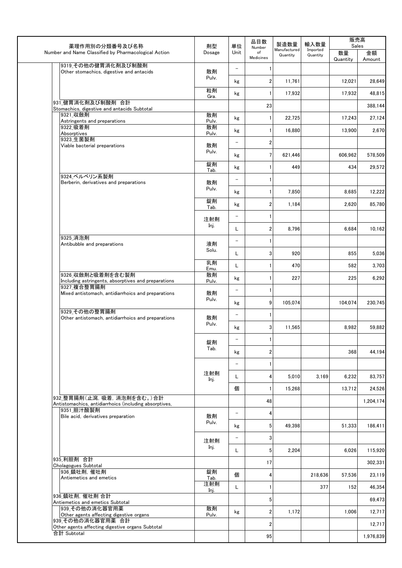|                                                                                                                                                                                                                                                                                                                                                                                                                                                                                                                                                                                                                                                                                                                                                                                                                                                 | 剤型          | 単位                             | 品目数<br>Number   | 製造数量                     | 輸入数量                 | 販売高<br>Sales   |              |
|-------------------------------------------------------------------------------------------------------------------------------------------------------------------------------------------------------------------------------------------------------------------------------------------------------------------------------------------------------------------------------------------------------------------------------------------------------------------------------------------------------------------------------------------------------------------------------------------------------------------------------------------------------------------------------------------------------------------------------------------------------------------------------------------------------------------------------------------------|-------------|--------------------------------|-----------------|--------------------------|----------------------|----------------|--------------|
|                                                                                                                                                                                                                                                                                                                                                                                                                                                                                                                                                                                                                                                                                                                                                                                                                                                 | Dosage      | Unit                           | of<br>Medicines | Manufactured<br>Quantity | Imported<br>Quantity | 数量<br>Quantity | 金額<br>Amount |
| 9319 その他の健胃消化剤及び制酸剤<br>Other stomachics, digestive and antacids                                                                                                                                                                                                                                                                                                                                                                                                                                                                                                                                                                                                                                                                                                                                                                                 | 散剤          | $\overline{\phantom{0}}$       |                 |                          |                      |                |              |
|                                                                                                                                                                                                                                                                                                                                                                                                                                                                                                                                                                                                                                                                                                                                                                                                                                                 | Pulv.       | kg                             | 2               | 11,761                   |                      | 12,021         | 28,649       |
|                                                                                                                                                                                                                                                                                                                                                                                                                                                                                                                                                                                                                                                                                                                                                                                                                                                 | 粒剤<br>Gra.  | kg                             |                 | 17,932                   |                      | 17,932         | 48,815       |
| 薬理作用別の分類番号及び名称<br>Number and Name Classified by Pharmacological Action<br>931 健胃消化剤及び制酸剤 合計<br>Stomachics, digestive and antacids Subtotal<br>9321 収斂剤<br>Astringents and preparations<br>9322 吸着剤<br>Absorptives<br>9323_生菌製剤<br>Viable bacterial preparations<br>9324 ベルベリン系製剤<br>Berberin, derivatives and preparations<br>9325 消泡剤<br>Antibubble and preparations<br>9326_収斂剤と吸着剤を含む製剤<br>Including astringents, absorptives and preparations<br>9327 複合整胃腸剤<br>Mixed antistomach, antidiarrhoics and preparations<br>9329 その他の整胃腸剤<br>Other antistomach, antidiarrhoics and preparations<br>932 整胃腸剤(止瀉, 吸着, 消泡剤を含む。)合計<br>Antistomachics, antidiarrhoics (including absorptives,<br>9351 胆汁酸製剤<br>Bile acid, derivatives preparation<br>935 利胆剤 合計<br>Cholagogues Subtotal<br> 936 鎮吐剤, 催吐剤<br>Antiemetics and emetics<br>936 鎮吐剤, 催吐剤 合計 |             |                                | 23              |                          |                      |                | 388,144      |
|                                                                                                                                                                                                                                                                                                                                                                                                                                                                                                                                                                                                                                                                                                                                                                                                                                                 | 散剤          | kg                             |                 | 22,725                   |                      | 17,243         | 27,124       |
|                                                                                                                                                                                                                                                                                                                                                                                                                                                                                                                                                                                                                                                                                                                                                                                                                                                 | Pulv.<br>散剤 | kg                             |                 | 16,880                   |                      | 13,900         | 2,670        |
|                                                                                                                                                                                                                                                                                                                                                                                                                                                                                                                                                                                                                                                                                                                                                                                                                                                 | Pulv.       | $\qquad \qquad -$              | 2               |                          |                      |                |              |
|                                                                                                                                                                                                                                                                                                                                                                                                                                                                                                                                                                                                                                                                                                                                                                                                                                                 | 散剤<br>Pulv. | kg                             | 7               | 621,446                  |                      | 606,962        | 578,509      |
|                                                                                                                                                                                                                                                                                                                                                                                                                                                                                                                                                                                                                                                                                                                                                                                                                                                 | 錠剤          |                                |                 | 449                      |                      | 434            | 29,572       |
|                                                                                                                                                                                                                                                                                                                                                                                                                                                                                                                                                                                                                                                                                                                                                                                                                                                 | Tab.        | kg                             |                 |                          |                      |                |              |
|                                                                                                                                                                                                                                                                                                                                                                                                                                                                                                                                                                                                                                                                                                                                                                                                                                                 | 散剤<br>Pulv. | $\overline{\phantom{0}}$       |                 |                          |                      |                |              |
|                                                                                                                                                                                                                                                                                                                                                                                                                                                                                                                                                                                                                                                                                                                                                                                                                                                 | 錠剤          | kg                             |                 | 7,850                    |                      | 8,685          | 12,222       |
|                                                                                                                                                                                                                                                                                                                                                                                                                                                                                                                                                                                                                                                                                                                                                                                                                                                 | Tab.        | kg                             | $\overline{2}$  | 1,184                    |                      | 2,620          | 85,780       |
|                                                                                                                                                                                                                                                                                                                                                                                                                                                                                                                                                                                                                                                                                                                                                                                                                                                 | 注射剤         | $\qquad \qquad -$              |                 |                          |                      |                |              |
|                                                                                                                                                                                                                                                                                                                                                                                                                                                                                                                                                                                                                                                                                                                                                                                                                                                 | Inj.        | Г                              | $\overline{2}$  | 8,796                    |                      | 6,684          | 10,162       |
|                                                                                                                                                                                                                                                                                                                                                                                                                                                                                                                                                                                                                                                                                                                                                                                                                                                 | 液剤          | $\overline{\phantom{0}}$       |                 |                          |                      |                |              |
|                                                                                                                                                                                                                                                                                                                                                                                                                                                                                                                                                                                                                                                                                                                                                                                                                                                 | Solu.       | L                              | 3               | 920                      |                      | 855            | 5,036        |
|                                                                                                                                                                                                                                                                                                                                                                                                                                                                                                                                                                                                                                                                                                                                                                                                                                                 | 乳剤<br>Emu.  | Г                              |                 | 470                      |                      | 582            | 3,703        |
|                                                                                                                                                                                                                                                                                                                                                                                                                                                                                                                                                                                                                                                                                                                                                                                                                                                 | 散剤<br>Pulv. | kg                             |                 | 227                      |                      | 225            | 6,292        |
|                                                                                                                                                                                                                                                                                                                                                                                                                                                                                                                                                                                                                                                                                                                                                                                                                                                 | 散剤          | $\overline{\phantom{0}}$       |                 |                          |                      |                |              |
|                                                                                                                                                                                                                                                                                                                                                                                                                                                                                                                                                                                                                                                                                                                                                                                                                                                 | Pulv.       | kg                             | 9               | 105,074                  |                      | 104,074        | 230,745      |
|                                                                                                                                                                                                                                                                                                                                                                                                                                                                                                                                                                                                                                                                                                                                                                                                                                                 |             | $\qquad \qquad -$              |                 |                          |                      |                |              |
|                                                                                                                                                                                                                                                                                                                                                                                                                                                                                                                                                                                                                                                                                                                                                                                                                                                 | 散剤<br>Pulv. | kg                             | 3               | 11,565                   |                      | 8,982          | 59.882       |
|                                                                                                                                                                                                                                                                                                                                                                                                                                                                                                                                                                                                                                                                                                                                                                                                                                                 |             |                                | L               |                          |                      |                |              |
|                                                                                                                                                                                                                                                                                                                                                                                                                                                                                                                                                                                                                                                                                                                                                                                                                                                 | 錠剤<br>Tab.  |                                | $\overline{2}$  |                          |                      | 368            | 44,194       |
|                                                                                                                                                                                                                                                                                                                                                                                                                                                                                                                                                                                                                                                                                                                                                                                                                                                 |             | kg<br>$\overline{\phantom{0}}$ |                 |                          |                      |                |              |
|                                                                                                                                                                                                                                                                                                                                                                                                                                                                                                                                                                                                                                                                                                                                                                                                                                                 | 注射剤         |                                |                 |                          |                      |                |              |
|                                                                                                                                                                                                                                                                                                                                                                                                                                                                                                                                                                                                                                                                                                                                                                                                                                                 | Inj.        | L                              | 4               | 5,010                    | 3,169                | 6,232          | 83,757       |
|                                                                                                                                                                                                                                                                                                                                                                                                                                                                                                                                                                                                                                                                                                                                                                                                                                                 |             | 個                              |                 | 15.268                   |                      | 13,712         | 24.526       |
|                                                                                                                                                                                                                                                                                                                                                                                                                                                                                                                                                                                                                                                                                                                                                                                                                                                 |             |                                | 48              |                          |                      |                | 1.204.174    |
|                                                                                                                                                                                                                                                                                                                                                                                                                                                                                                                                                                                                                                                                                                                                                                                                                                                 | 散剤          | $\overline{\phantom{0}}$       | 4               |                          |                      |                |              |
|                                                                                                                                                                                                                                                                                                                                                                                                                                                                                                                                                                                                                                                                                                                                                                                                                                                 | Pulv.       | kg                             | 5 <sup>1</sup>  | 49,398                   |                      | 51,333         | 186,411      |
|                                                                                                                                                                                                                                                                                                                                                                                                                                                                                                                                                                                                                                                                                                                                                                                                                                                 | 注射剤         | $\overline{\phantom{0}}$       | 3               |                          |                      |                |              |
|                                                                                                                                                                                                                                                                                                                                                                                                                                                                                                                                                                                                                                                                                                                                                                                                                                                 | Inj.        | L                              | $5\phantom{.0}$ | 2,204                    |                      | 6,026          | 115,920      |
|                                                                                                                                                                                                                                                                                                                                                                                                                                                                                                                                                                                                                                                                                                                                                                                                                                                 |             |                                | 17              |                          |                      |                | 302,331      |
|                                                                                                                                                                                                                                                                                                                                                                                                                                                                                                                                                                                                                                                                                                                                                                                                                                                 | 錠剤<br>Tab.  | 個                              | 4               |                          | 218,636              | 57,536         | 23,119       |
|                                                                                                                                                                                                                                                                                                                                                                                                                                                                                                                                                                                                                                                                                                                                                                                                                                                 | 注射剤<br>Inj. | Г                              |                 |                          | 377                  | 152            | 46,354       |
| Antiemetics and emetics Subtotal                                                                                                                                                                                                                                                                                                                                                                                                                                                                                                                                                                                                                                                                                                                                                                                                                |             |                                | 5               |                          |                      |                | 69,473       |
| 939 その他の消化器官用薬                                                                                                                                                                                                                                                                                                                                                                                                                                                                                                                                                                                                                                                                                                                                                                                                                                  | 散剤          | kg                             | $\overline{2}$  | 1,172                    |                      | 1,006          | 12,717       |
| Other agents affecting digestive organs<br>939 その他の消化器官用薬 合計                                                                                                                                                                                                                                                                                                                                                                                                                                                                                                                                                                                                                                                                                                                                                                                    | Pulv.       |                                | $\overline{2}$  |                          |                      |                | 12,717       |
| Other agents affecting digestive organs Subtotal<br>合計 Subtotal                                                                                                                                                                                                                                                                                                                                                                                                                                                                                                                                                                                                                                                                                                                                                                                 |             |                                | 95              |                          |                      |                | 1,976,839    |
|                                                                                                                                                                                                                                                                                                                                                                                                                                                                                                                                                                                                                                                                                                                                                                                                                                                 |             |                                |                 |                          |                      |                |              |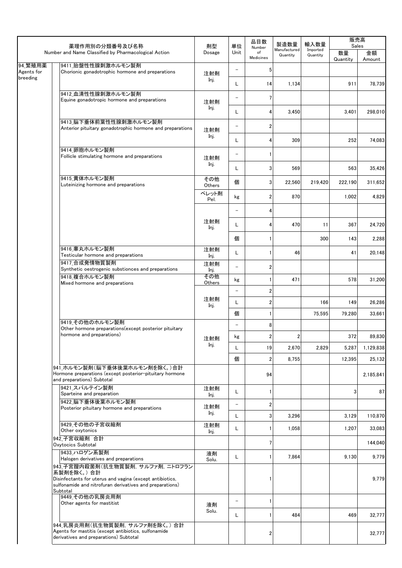|                       | 薬理作用別の分類番号及び名称                                                                                                                     | 剤型            | 単位                       | 品目数<br>Number           | 製造数量                     | 輸入数量                 | 販売高<br>Sales   |                   |
|-----------------------|------------------------------------------------------------------------------------------------------------------------------------|---------------|--------------------------|-------------------------|--------------------------|----------------------|----------------|-------------------|
|                       | Number and Name Classified by Pharmacological Action                                                                               |               | Unit                     | of<br>Medicines         | Manufactured<br>Quantity | Imported<br>Quantity | 数量<br>Quantity | 金額<br>Amount      |
| 94_繁殖用薬<br>Agents for | 9411 胎盤性性腺刺激ホルモン製剤<br>Chorionic gonadotrophic hormone and preparations                                                             |               | $\qquad \qquad -$        | 5                       |                          |                      |                |                   |
| breeding              |                                                                                                                                    | 注射剤<br>Inj.   | Г                        | 14                      | 1,134                    |                      | 911            | 78.739            |
|                       | 9412_血清性性腺刺激ホルモン製剤<br>Equine gonadotropic hormone and preparations                                                                 | 注射剤           | $\qquad \qquad -$        | 7                       |                          |                      |                |                   |
|                       |                                                                                                                                    | Inj.          | L                        | 4                       | 3,450                    |                      | 3,401          | 298,010           |
|                       | 9413 脳下垂体前葉性性腺刺激ホルモン製剤<br>Anterior pituitary gonadotrophic hormone and preparations                                                | 注射剤           | $\qquad \qquad -$        | 2                       |                          |                      |                |                   |
|                       |                                                                                                                                    | Inj.          | L                        | 4                       | 309                      |                      | 252            | 74,083            |
|                       | 9414 卵胞ホルモン製剤<br>Follicle stimulating hormone and preparations                                                                     | 注射剤           | $\qquad \qquad -$        |                         |                          |                      |                |                   |
|                       |                                                                                                                                    | Inj.          | L                        | 3                       | 569                      |                      | 563            | 35,426            |
|                       | 9415_黄体ホルモン製剤<br>Luteinizing hormone and preparations                                                                              | その他<br>Others | 個                        | 3                       | 22,560                   | 219,420              | 222,190        | 311,652           |
|                       |                                                                                                                                    | ペレット剤<br>Pel. | kg                       | 2                       | 870                      |                      | 1,002          | 4,829             |
|                       |                                                                                                                                    |               | $\qquad \qquad -$        | 4                       |                          |                      |                |                   |
|                       |                                                                                                                                    | 注射剤<br>Inj.   | L                        | 4                       | 470                      | 11                   | 367            | 24,720            |
|                       |                                                                                                                                    |               | 個                        |                         |                          | 300                  | 143            | 2,288             |
|                       | 9416 睾丸ホルモン製剤<br>Testicular hormone and preparations                                                                               | 注射剤<br>Inj.   | L                        |                         | 46                       |                      | 41             | 20,148            |
|                       | 9417 合成発情物質製剤<br>Synthetic oestrogenic substionces and preparations                                                                | 注射剤<br>Inj.   | $\equiv$                 | 2                       |                          |                      |                |                   |
|                       | 9418 複合ホルモン製剤<br>Mixed hormone and preparations                                                                                    | その他<br>Others | kg                       |                         | 471                      |                      | 578            | 31,200            |
|                       |                                                                                                                                    | 注射剤           | $\overline{\phantom{0}}$ | $\overline{\mathbf{c}}$ |                          |                      |                |                   |
|                       |                                                                                                                                    | Inj.          | L<br>個                   | 2                       |                          | 166<br>75,595        | 149<br>79,280  | 26,286<br>33,661  |
|                       | 9419 その他のホルモン製剤                                                                                                                    |               | $\qquad \qquad -$        | 8                       |                          |                      |                |                   |
|                       | Other hormone preparations (except posterior pituitary<br>hormone and preparations)                                                |               | kg                       | $\overline{2}$          | $\overline{2}$           |                      | 372            | 89,830            |
|                       |                                                                                                                                    | 注射剤<br>Inj.   | L                        | 19                      | 2,670                    | 2,829                | 5,287          | 1,129,838         |
|                       |                                                                                                                                    |               | 個                        | 2                       | 8,755                    |                      | 12,395         | 25,132            |
|                       | 941 ホルモン製剤(脳下垂体後葉ホルモン剤を除く。)合計<br>Hormone preparations (except posterior-pituitary hormone                                          |               |                          | 94                      |                          |                      |                | 2,185,841         |
|                       | and preparations) Subtotal<br>9421 スパルテイン製剤                                                                                        |               |                          |                         |                          |                      |                |                   |
|                       | Sparteine and preparation                                                                                                          | 注射剤<br>Inj.   | L                        | 1                       |                          |                      | 3              | 87                |
|                       | 9422 脳下垂体後葉ホルモン製剤<br>Posterior pituitary hormone and preparations                                                                  | 注射剤<br>Inj.   | $\qquad \qquad -$        | 2                       |                          |                      |                |                   |
|                       | 9429 その他の子宮収縮剤                                                                                                                     | 注射剤           | L<br>L                   | 3                       | 3,296<br>1,058           |                      | 3,129<br>1,207 | 110,870<br>33,083 |
|                       | Other oxytonics<br>942 子宮収縮剤 合計                                                                                                    | Inj.          |                          | 7                       |                          |                      |                | 144,040           |
|                       | Oxytocics Subtotal<br>9433 ハロゲン系製剤                                                                                                 | 液剤            |                          |                         |                          |                      |                |                   |
|                       | Halogen derivatives and preparations<br>943 子宮膣内殺菌剤(抗生物質製剤, サルファ剤, ニトロフラン                                                          | Solu.         | L                        |                         | 7,864                    |                      | 9,130          | 9,779             |
| Subtotal              | 系製剤を除く。)合計<br>Disinfectants for uterus and vagina (except antibiotics,<br>sulfonamide and nitrofuran derivatives and preparations) |               |                          |                         |                          |                      |                | 9,779             |
|                       | 9449 その他の乳房炎用剤<br>Other agents for mastitist                                                                                       | 液剤            | $\qquad \qquad -$        | 1                       |                          |                      |                |                   |
|                       |                                                                                                                                    | Solu.         | L                        |                         | 484                      |                      | 469            | 32,777            |
|                       | 944_乳房炎用剤(抗生物質製剤, サルファ剤を除く。)合計<br>Agents for mastitis (except antibiotics, sulfonamide<br>derivatives and preparations) Subtotal   |               |                          | 2                       |                          |                      |                | 32,777            |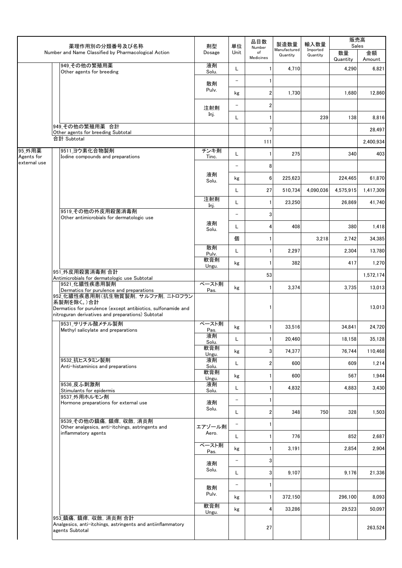|                      | 薬理作用別の分類番号及び名称                                                                                                                                              | 剤型            | 品目数<br>単位<br>Number | 製造数量            | 輸入数量                     | 販売高<br>Sales         |                |                  |
|----------------------|-------------------------------------------------------------------------------------------------------------------------------------------------------------|---------------|---------------------|-----------------|--------------------------|----------------------|----------------|------------------|
|                      | Number and Name Classified by Pharmacological Action                                                                                                        | Dosage        | Unit                | of<br>Medicines | Manufactured<br>Quantity | Imported<br>Quantity | 数量<br>Quantity | 金額<br>Amount     |
|                      | 949_その他の繁殖用薬<br>Other agents for breeding                                                                                                                   | 液剤<br>Solu.   | L                   |                 | 4,710                    |                      | 4.290          | 6,821            |
|                      |                                                                                                                                                             | 散剤            | —                   |                 |                          |                      |                |                  |
|                      |                                                                                                                                                             | Pulv.         | kg                  | 2               | 1,730                    |                      | 1,680          | 12,860           |
|                      |                                                                                                                                                             | 注射剤           | —                   | 2               |                          |                      |                |                  |
|                      |                                                                                                                                                             | Inj.          | L                   |                 |                          | 239                  | 138            | 8,816            |
|                      | 949 その他の繁殖用薬 合計<br>Other agents for breeding Subtotal                                                                                                       |               |                     | $\overline{7}$  |                          |                      |                | 28,497           |
|                      | 合計 Subtotal                                                                                                                                                 |               |                     | 111             |                          |                      |                | 2,400,934        |
| 95_外用薬<br>Agents for | 9511_ヨウ素化合物製剤<br>Iodine compounds and preparations                                                                                                          | チンキ剤<br>Tinc. | L                   |                 | 275                      |                      | 340            | 403              |
| external use         |                                                                                                                                                             |               | $\qquad \qquad -$   | 8               |                          |                      |                |                  |
|                      |                                                                                                                                                             | 液剤            | kg                  | 6               | 225.623                  |                      | 224.465        | 61,870           |
|                      |                                                                                                                                                             | Solu.         | L                   | 27              | 510,734                  | 4,090,036            | 4.575.915      | 1,417,309        |
|                      |                                                                                                                                                             | 注射剤           | Г                   |                 | 23,250                   |                      | 26,869         | 41,740           |
|                      | 9519 その他の外皮用殺菌消毒剤                                                                                                                                           | Inj.          | $\qquad \qquad -$   | 3               |                          |                      |                |                  |
|                      | Other antimicrobials for dermatologic use                                                                                                                   | 液剤            | L                   | 4               | 408                      |                      | 380            | 1,418            |
|                      |                                                                                                                                                             | Solu.         | 個                   |                 |                          | 3,218                | 2,742          | 34,385           |
|                      |                                                                                                                                                             | 散剤            | L                   |                 | 2,297                    |                      | 2,304          | 13,780           |
|                      |                                                                                                                                                             | Pulv.<br>軟膏剤  |                     |                 |                          |                      | 417            |                  |
|                      | 951 外皮用殺菌消毒剤 合計                                                                                                                                             | Ungu.         | kg                  |                 | 382                      |                      |                | 1,270            |
|                      | Antimicrobials for dermatologic use Subtotal<br>9521 化膿性疾患用製剤                                                                                               | ペースト剤         |                     | 53              |                          |                      |                | 1,572,174        |
|                      | Dermatics for purulence and preparations<br>952 化膿性疾患用剤(抗生物質製剤, サルファ剤, ニトロフラン<br>系製剤を除く。)合計<br>Dermatics for purulence (except antibiotics, sulfonamide and | Pas.          | kg                  |                 | 3,374                    |                      | 3,735          | 13,013<br>13,013 |
|                      | nitroguran derivatives and preparations) Subtotal<br>9531 サリチル酸メチル製剤                                                                                        | ペースト剤         |                     |                 |                          |                      |                |                  |
|                      | Methyl salicylate and preparations                                                                                                                          | Pas.          | kg                  | 1               | 33,516                   |                      | 34,841         | 24,720           |
|                      |                                                                                                                                                             | 液剤<br>Solu.   | L                   |                 | 20,460                   |                      | 18,158         | 35,128           |
|                      |                                                                                                                                                             | 軟膏剤<br>Ungu.  | kg                  | 3 <sup>1</sup>  | 74,377                   |                      | 76,744         | 110,468          |
|                      | 9532_抗ヒスタミン製剤<br>Anti-histaminics and preparations                                                                                                          | 液剤<br>Solu.   | L                   | 2               | 600                      |                      | 609            | 1,214            |
|                      |                                                                                                                                                             | 軟膏剤<br>Ungu.  | kg                  | 1               | 600                      |                      | 567            | 1,944            |
|                      | 9536 皮ふ刺激剤<br>Stimulants for epidermis                                                                                                                      | 液剤<br>Solu.   | L                   |                 | 4,832                    |                      | 4,883          | 3,430            |
|                      | 9537_外用ホルモン剤<br>Hormone preparations for external use                                                                                                       | 液剤            | -                   | 1               |                          |                      |                |                  |
|                      |                                                                                                                                                             | Solu.         | L                   | 2               | 348                      | 750                  | 328            | 1,503            |
|                      | 9539 その他の鎮痛, 鎮痒, 収斂, 消炎剤<br>Other analgesics, anti-itchings, astringents and                                                                                | エアゾール剤        |                     |                 |                          |                      |                |                  |
|                      | inflammatory agents                                                                                                                                         | Aero.         | L                   |                 | 776                      |                      | 852            | 2,687            |
|                      |                                                                                                                                                             | ペースト剤<br>Pas. | kg                  | 1               | 3,191                    |                      | 2,854          | 2,904            |
|                      |                                                                                                                                                             | 液剤            | -                   | 3               |                          |                      |                |                  |
|                      |                                                                                                                                                             | Solu.         | L                   | 3               | 9,107                    |                      | 9,176          | 21,336           |
|                      |                                                                                                                                                             | 散剤            | -                   | $\mathbf{1}$    |                          |                      |                |                  |
|                      |                                                                                                                                                             | Pulv.         | kg                  | $\mathbf{1}$    | 372,150                  |                      | 296,100        | 8,093            |
|                      |                                                                                                                                                             | 軟膏剤<br>Ungu.  | kg                  | 4               | 33,286                   |                      | 29,523         | 50,097           |
|                      | 953_鎮痛, 鎮痒, 収斂, 消炎剤 合計<br>Analgesics, anti-itchings, astringents and antiinflammatory<br>agents Subtotal                                                    |               |                     | 27              |                          |                      |                | 263,524          |
|                      |                                                                                                                                                             |               |                     |                 |                          |                      |                |                  |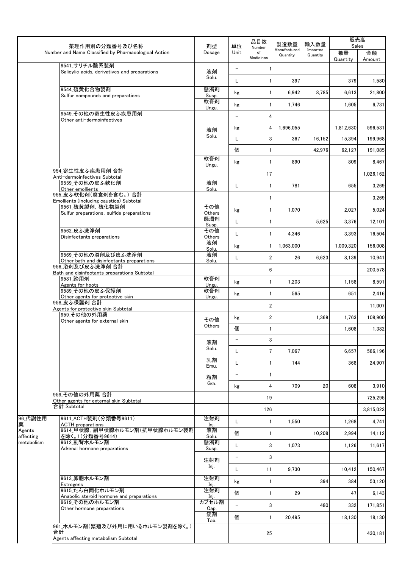|                         |                                                                        | 剤型            | 品目数<br>単位<br>Number      | 製造数量                    | 輸入数量                     | 販売高<br>Sales         |                |              |
|-------------------------|------------------------------------------------------------------------|---------------|--------------------------|-------------------------|--------------------------|----------------------|----------------|--------------|
|                         | 薬理作用別の分類番号及び名称<br>Number and Name Classified by Pharmacological Action | Dosage        | Unit                     | of<br><b>Medicines</b>  | Manufactured<br>Quantity | Imported<br>Quantity | 数量<br>Quantity | 金額<br>Amount |
|                         | 9541 サリチル酸系製剤<br>Salicylic acids, derivatives and preparations         | 液剤            | $\overline{\phantom{a}}$ |                         |                          |                      |                |              |
|                         |                                                                        | Solu.         | L                        |                         | 397                      |                      | 379            | 1,580        |
|                         | 9544 硫黄化合物製剤                                                           | 懸濁剤           |                          |                         |                          |                      |                |              |
|                         | Sulfur compounds and preparations                                      | Susp.         | kg                       |                         | 6.942                    | 8,785                | 6,613          | 21,800       |
|                         |                                                                        | 軟膏剤<br>Ungu.  | kg                       |                         | 1,746                    |                      | 1,605          | 6,731        |
|                         | 9549 その他の寄生性皮ふ疾患用剤<br>Other anti-dermoinfectives                       |               | $\overline{\phantom{a}}$ | 4                       |                          |                      |                |              |
|                         |                                                                        | 液剤            | kg                       | 4                       | 1,696,055                |                      | 1,812,630      | 596.531      |
|                         |                                                                        | Solu.         | L                        | 3                       | 367                      | 16,152               | 15,394         | 199,968      |
|                         |                                                                        |               | 個                        |                         |                          | 42,976               | 62,127         | 191,085      |
|                         |                                                                        | 軟膏剤           | kg                       |                         | 890                      |                      | 809            | 8,467        |
|                         | 954 寄生性皮ふ疾患用剤 合計                                                       | Ungu.         |                          |                         |                          |                      |                |              |
|                         | Anti-dermoinfectives Subtotal<br>9559 その他の皮ふ軟化剤                        | 液剤            |                          | 17                      |                          |                      |                | 1,026,162    |
|                         | Other emollients                                                       | Solu.         | L                        |                         | 781                      |                      | 655            | 3,269        |
|                         | 955 皮ふ軟化剤(腐食剤を含む。)合計<br>Emollients (including caustics) Subtotal       |               |                          |                         |                          |                      |                | 3,269        |
|                         | 9561 硫黄製剤, 硫化物製剤<br>Sulfur preparations, sulfide preparations          | その他<br>Others | kg                       |                         | 1,070                    |                      | 2,027          | 5,024        |
|                         |                                                                        | 懸濁剤           | L                        |                         |                          | 5.625                | 3,376          | 12,101       |
|                         | 9562 皮ふ洗浄剤                                                             | Susp.<br>その他  | L                        |                         |                          |                      |                |              |
|                         | Disinfectants preparations                                             | Others<br>液剤  |                          |                         | 4,346                    |                      | 3,393          | 16,504       |
|                         |                                                                        | Solu.         | kg                       | 1                       | 1,063,000                |                      | 1,009,320      | 156,008      |
|                         | 9569 その他の浴剤及び皮ふ洗浄剤<br>Other bath and disinfectants preparations        | 液剤<br>Solu.   | L                        | $\overline{\mathbf{2}}$ | 26                       | 6,623                | 8,139          | 10,941       |
|                         | 956 浴剤及び皮ふ洗浄剤 合計<br>Bath and disinfectants preparations Subtotal       |               |                          | 6                       |                          |                      |                | 200,578      |
|                         | 9581 蹄用剤                                                               | 軟膏剤           | kg                       |                         | 1,203                    |                      | 1,158          | 8,591        |
|                         | Agents for hoots<br>9589 その他の皮ふ保護剤                                     | Ungu.<br>軟膏剤  |                          |                         |                          |                      | 651            |              |
|                         | Other agents for protective skin<br>958 皮ふ保護剤 合計                       | Ungu.         | kg                       |                         | 565                      |                      |                | 2,416        |
|                         | Agents for protective skin Subtotal                                    |               |                          | 2                       |                          |                      |                | 11.007       |
|                         | 959 その他の外用薬<br>Other agents for external skin                          | その他           | kg                       | $\overline{2}$          |                          | 1,369                | 1,763          | 108.900      |
|                         |                                                                        | Others        | 個                        |                         |                          |                      | 1,608          | 1,382        |
|                         |                                                                        | 液剤            | $\overline{\phantom{a}}$ | 3                       |                          |                      |                |              |
|                         |                                                                        | Solu.         | L                        | 7                       | 7.067                    |                      | 6,657          | 586,196      |
|                         |                                                                        | 乳剤            | L                        |                         | 144                      |                      | 368            | 24,907       |
|                         |                                                                        | Emu.          | $\overline{\phantom{a}}$ |                         |                          |                      |                |              |
|                         |                                                                        | 粒剤<br>Gra.    |                          |                         |                          |                      |                |              |
|                         | 959 その他の外用薬 合計                                                         |               | kg                       | 4                       | 709                      | 20                   | 608            | 3,910        |
|                         | Other agents for external skin Subtotal                                |               |                          | 19                      |                          |                      |                | 725.295      |
|                         | 合計 Subtotal                                                            |               |                          | 126                     |                          |                      |                | 3,815,023    |
| 96_代謝性用<br>薬            | 9611_ACTH製剤(分類番号9611)<br><b>ACTH</b> preparations                      | 注射剤<br>Inj.   | L                        |                         | 1,550                    |                      | 1,268          | 4,741        |
| Agents                  | 9614_甲状腺, 副甲状腺ホルモン剤(抗甲状腺ホルモン製剤                                         | 液剤            | 個                        |                         |                          | 10,208               | 2,994          | 14,112       |
| affecting<br>metabolism | を除く。)(分類番号9614)<br>9612_副腎ホルモン剤                                        | Solu.<br>懸濁剤  | L                        | 3                       | 1,073                    |                      | 1,126          | 11,617       |
|                         | Adrenal hormone preparations                                           | Susp.         |                          |                         |                          |                      |                |              |
|                         |                                                                        | 注射剤           | $\overline{\phantom{a}}$ | 3                       |                          |                      |                |              |
|                         |                                                                        | Inj.          | L                        | 11                      | 9,730                    |                      | 10,412         | 150,467      |
|                         | 9613 卵胞ホルモン剤<br>Estrogens                                              | 注射剤<br>Inj.   | kg                       |                         |                          | 394                  | 384            | 53,120       |
|                         | 9615_たん白同化ホルモン剤                                                        | 注射剤           | 個                        |                         | 29                       |                      | 47             | 6,143        |
|                         | Anabolic steroid hormone and preparations<br>9619_その他のホルモン剤            | Inj.<br>カプセル剤 | $\equiv$                 | 3                       |                          | 480                  | 332            | 171,851      |
|                         | Other hormone preparations                                             | Cap.<br>錠剤    |                          |                         |                          |                      |                |              |
|                         | 961 ホルモン剤(繁殖及び外用に用いるホルモン製剤を除く。)                                        | Tab.          | 個                        |                         | 20,495                   |                      | 18,130         | 18,130       |
|                         | 合計                                                                     |               |                          | 25                      |                          |                      |                | 430,181      |
|                         | Agents affecting metabolism Subtotal                                   |               |                          |                         |                          |                      |                |              |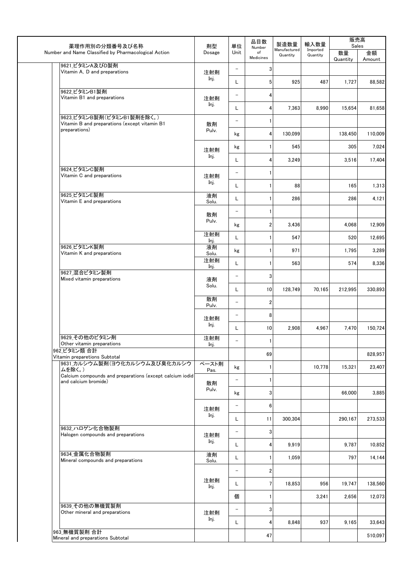| 薬理作用別の分類番号及び名称                                                     | 剤型           | 単位                       | 品目数<br>Number           | 製造数量                     | 輸入数量                 | 販売高<br>Sales   |              |
|--------------------------------------------------------------------|--------------|--------------------------|-------------------------|--------------------------|----------------------|----------------|--------------|
| Number and Name Classified by Pharmacological Action               | Dosage       | Unit                     | of<br>Medicines         | Manufactured<br>Quantity | Imported<br>Quantity | 数量<br>Quantity | 金額<br>Amount |
| 9621_ビタミンA及びD製剤<br>Vitamin A, D and preparations                   | 注射剤          | $\overline{\phantom{a}}$ | 3                       |                          |                      |                |              |
|                                                                    | Inj.         | L                        | 5                       | 925                      | 487                  | 1,727          | 88,582       |
| 9622_ビタミンB1製剤                                                      |              | $\qquad \qquad -$        | 4                       |                          |                      |                |              |
| Vitamin B1 and preparations                                        | 注射剤<br>Inj.  |                          |                         |                          |                      |                |              |
| 9623_ビタミンB製剤(ビタミンB1製剤を除く。)                                         |              | L                        | 4                       | 7,363                    | 8,990                | 15,654         | 81,658       |
| Vitamin B and preparations (except vitamin B1<br>preparations)     | 散剤<br>Pulv.  | $\overline{\phantom{0}}$ | 1                       |                          |                      |                |              |
|                                                                    |              | kg                       | 4                       | 130,099                  |                      | 138,450        | 110,009      |
|                                                                    | 注射剤          | kg                       | 1                       | 545                      |                      | 305            | 7,024        |
|                                                                    | Inj.         | L                        | 4                       | 3,249                    |                      | 3,516          | 17,404       |
| 9624 ビタミンC製剤<br>Vitamin C and preparations                         | 注射剤          | $\qquad \qquad -$        | 1                       |                          |                      |                |              |
|                                                                    | Inj.         | L                        | $\mathbf{1}$            | 88                       |                      | 165            | 1,313        |
| 9625_ビタミンE製剤<br>Vitamin E and preparations                         | 液剤<br>Solu.  | L                        | $\mathbf{1}$            | 286                      |                      | 286            | 4,121        |
|                                                                    | 散剤           | $\qquad \qquad -$        | 1                       |                          |                      |                |              |
|                                                                    | Pulv.        | kg                       | $\overline{2}$          | 3,436                    |                      | 4,068          | 12,909       |
|                                                                    | 注射剤          | L                        | 1                       | 547                      |                      | 520            | 12,695       |
| 9626_ビタミンK製剤                                                       | Inj.<br>液剤   |                          | $\mathbf{1}$            | 971                      |                      | 1,795          | 3,289        |
| Vitamin K and preparations                                         | Solu.<br>注射剤 | kg                       |                         |                          |                      |                |              |
| 9627 混合ビタミン製剤                                                      | Inj.         | L.                       | $\mathbf{1}$            | 563                      |                      | 574            | 8,336        |
| Mixed vitamin preparations                                         | 液剤<br>Solu.  | $\qquad \qquad -$        | 3                       |                          |                      |                |              |
|                                                                    |              | L                        | 10                      | 128,749                  | 70,165               | 212,995        | 330,893      |
|                                                                    | 散剤<br>Pulv.  | $\qquad \qquad -$        | $\boldsymbol{2}$        |                          |                      |                |              |
|                                                                    | 注射剤          | $\qquad \qquad -$        | 8                       |                          |                      |                |              |
|                                                                    | Inj.         | L.                       | 10                      | 2,908                    | 4,967                | 7,470          | 150,724      |
| 9629 その他のビタミン剤<br>Other vitamin preparations                       | 注射剤<br>Inj.  | $-$                      | 1                       |                          |                      |                |              |
| 962 ビタミン類 合計                                                       |              |                          | 69                      |                          |                      |                | 828,957      |
| Vitamin preparetions Subtotal<br>9631_カルシウム製剤(ヨウ化カルシウム及び臭化カルシウ     | ペースト剤        | kg                       | 1                       |                          | 10,778               | 15,321         | 23,407       |
| ムを除く。)<br>Calcium compounds and preparations (except calcium iodid | Pas.         | $\overline{\phantom{0}}$ | $\mathbf{1}$            |                          |                      |                |              |
| and calcium bromide)                                               | 散剤<br>Pulv.  |                          |                         |                          |                      |                |              |
|                                                                    |              | kg                       | 3                       |                          |                      | 66,000         | 3,885        |
|                                                                    | 注射剤<br>Inj.  | $\overline{\phantom{a}}$ | 6                       |                          |                      |                |              |
| 9632 ハロゲン化合物製剤                                                     |              | L.                       | 11                      | 300,304                  |                      | 290,167        | 273,533      |
| Halogen compounds and preparations                                 | 注射剤          | $\qquad \qquad -$        | 3                       |                          |                      |                |              |
|                                                                    | Inj.         | L                        | 4                       | 9,919                    |                      | 9,787          | 10,852       |
| 9634_金属化合物製剤<br>Mineral compounds and preparations                 | 液剤<br>Solu.  | L                        |                         | 1,059                    |                      | 797            | 14,144       |
|                                                                    |              | $\overline{\phantom{a}}$ | $\overline{\mathbf{c}}$ |                          |                      |                |              |
|                                                                    | 注射剤<br>Inj.  | L                        | $7\phantom{.0}$         | 18,853                   | 956                  | 19,747         | 138,560      |
|                                                                    |              | 個                        | 1                       |                          | 3,241                | 2,656          | 12,073       |
| 9639 その他の無機質製剤<br>Other mineral and preparations                   |              | $\overline{\phantom{0}}$ | 3                       |                          |                      |                |              |
|                                                                    | 注射剤<br>Inj.  | L                        | 4                       | 8,848                    | 937                  | 9,165          | 33,643       |
| 963 無機質製剤 合計                                                       |              |                          | 47                      |                          |                      |                | 510,097      |
| Mineral and preparations Subtotal                                  |              |                          |                         |                          |                      |                |              |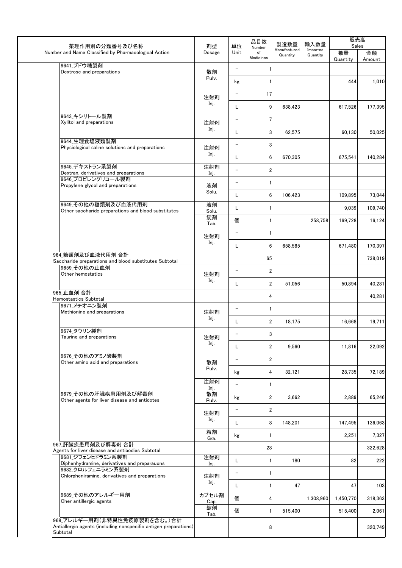| 薬理作用別の分類番号及び名称                                                                                               | 剤型            | 単位                       | 品目数<br>Number           | 製造数量                     | 輸入数量                 |                                                                                                                                                                                                                                                                                                                                                                                    |         |
|--------------------------------------------------------------------------------------------------------------|---------------|--------------------------|-------------------------|--------------------------|----------------------|------------------------------------------------------------------------------------------------------------------------------------------------------------------------------------------------------------------------------------------------------------------------------------------------------------------------------------------------------------------------------------|---------|
| Number and Name Classified by Pharmacological Action                                                         | Dosage        | Unit                     | of<br>Medicines         | Manufactured<br>Quantity | Imported<br>Quantity | 販売高<br>Sales<br>数量<br>金額<br>Quantity<br>Amount<br>444<br>1,010<br>617,526<br>177,395<br>50,025<br>60,130<br>140,284<br>675,541<br>73.044<br>109,895<br>109,740<br>9,039<br>16,124<br>169,728<br>170,397<br>671,480<br>738,019<br>40,281<br>50,894<br>40,281<br>19,711<br>16,668<br>11,816<br>22,092<br>72,189<br>28,735<br>2,889<br>65,246<br>147,495<br>136,063<br>7,327<br>2,251 |         |
| 9641_ブドウ糖製剤<br>Dextrose and preparations                                                                     | 散剤            | $\overline{\phantom{a}}$ | 1                       |                          |                      |                                                                                                                                                                                                                                                                                                                                                                                    |         |
|                                                                                                              | Pulv.         | kg                       | $\mathbf{1}$            |                          |                      |                                                                                                                                                                                                                                                                                                                                                                                    |         |
|                                                                                                              | 注射剤           | $\qquad \qquad -$        | 17                      |                          |                      |                                                                                                                                                                                                                                                                                                                                                                                    |         |
|                                                                                                              | Inj.          | L                        | 9                       | 638,423                  |                      |                                                                                                                                                                                                                                                                                                                                                                                    |         |
| 9643 キシリトール製剤<br>Xylitol and preparations                                                                    | 注射剤           | $\qquad \qquad -$        | 7                       |                          |                      |                                                                                                                                                                                                                                                                                                                                                                                    |         |
|                                                                                                              | Inj.          | L                        | 3                       | 62,575                   |                      |                                                                                                                                                                                                                                                                                                                                                                                    |         |
| 9644_生理食塩液類製剤<br>Physiological saline solutions and preparations                                             | 注射剤           | -                        | $\mathbf{3}$            |                          |                      |                                                                                                                                                                                                                                                                                                                                                                                    |         |
|                                                                                                              | Inj.          | L                        | 6                       | 670,305                  |                      |                                                                                                                                                                                                                                                                                                                                                                                    |         |
| 9645_デキストラン系製剤<br>Dextran, derivatives and preparations                                                      | 注射剤<br>Inj.   | $\overline{\phantom{0}}$ | $\overline{\mathbf{2}}$ |                          |                      |                                                                                                                                                                                                                                                                                                                                                                                    |         |
| 9646 プロピレングリコール製剤<br>Propylene glycol and preparations                                                       | 液剤            | $\overline{\phantom{0}}$ | $\mathbf{1}$            |                          |                      |                                                                                                                                                                                                                                                                                                                                                                                    |         |
|                                                                                                              | Solu.         | L                        | 6                       | 106,423                  |                      |                                                                                                                                                                                                                                                                                                                                                                                    |         |
| 9649 その他の糖類剤及び血液代用剤<br>Other saccharide preparations and blood substitutes                                   | 液剤<br>Solu.   | L                        |                         |                          |                      |                                                                                                                                                                                                                                                                                                                                                                                    |         |
|                                                                                                              | 錠剤<br>Tab.    | 個                        | 1                       |                          | 258,758              |                                                                                                                                                                                                                                                                                                                                                                                    |         |
|                                                                                                              | 注射剤           | $\qquad \qquad -$        | $\mathbf{1}$            |                          |                      |                                                                                                                                                                                                                                                                                                                                                                                    |         |
|                                                                                                              | Inj.          | L                        | $6\phantom{1}$          | 658,585                  |                      |                                                                                                                                                                                                                                                                                                                                                                                    |         |
| 964 糖類剤及び血液代用剤 合計<br>Saccharide preparations and blood substitutes Subtotal                                  |               |                          | 65                      |                          |                      |                                                                                                                                                                                                                                                                                                                                                                                    |         |
| 9659 その他の止血剤<br>Other hemostatics                                                                            | 注射剤           | $\qquad \qquad -$        | $\overline{2}$          |                          |                      |                                                                                                                                                                                                                                                                                                                                                                                    |         |
|                                                                                                              | Inj.          | L.                       | $\overline{2}$          | 51,056                   |                      |                                                                                                                                                                                                                                                                                                                                                                                    |         |
| 965 止血剤 合計<br>Hemostastics Subtotal                                                                          |               |                          | 4                       |                          |                      |                                                                                                                                                                                                                                                                                                                                                                                    |         |
| 9671 メチオニン製剤<br>Methionine and preparations                                                                  | 注射剤           | $\qquad \qquad -$        |                         |                          |                      |                                                                                                                                                                                                                                                                                                                                                                                    |         |
|                                                                                                              | Inj.          | L                        | $\overline{2}$          | 18,175                   |                      |                                                                                                                                                                                                                                                                                                                                                                                    |         |
| 9674_タウリン製剤<br>Taurine and preparations                                                                      | 注射剤           |                          | 3                       |                          |                      |                                                                                                                                                                                                                                                                                                                                                                                    |         |
|                                                                                                              | Inj.          | L                        | $\overline{2}$          | 9,560                    |                      |                                                                                                                                                                                                                                                                                                                                                                                    |         |
| 9676_その他のアミノ酸製剤<br>Other amino acid and preparations                                                         | 散剤            | -                        | $\overline{\mathbf{c}}$ |                          |                      |                                                                                                                                                                                                                                                                                                                                                                                    |         |
|                                                                                                              | Pulv.         | kg                       | 4                       | 32,121                   |                      |                                                                                                                                                                                                                                                                                                                                                                                    |         |
|                                                                                                              | 注射剤<br>Inj.   | $\overline{\phantom{0}}$ | 1                       |                          |                      |                                                                                                                                                                                                                                                                                                                                                                                    |         |
| 9679 その他の肝臓疾患用剤及び解毒剤<br>Other agents for liver disease and antidotes                                         | 散剤<br>Pulv.   | kg                       | 2                       | 3,662                    |                      |                                                                                                                                                                                                                                                                                                                                                                                    |         |
|                                                                                                              | 注射剤           | $\qquad \qquad -$        | $\overline{\mathbf{c}}$ |                          |                      |                                                                                                                                                                                                                                                                                                                                                                                    |         |
|                                                                                                              | Inj.          | L                        | 8                       | 148.201                  |                      |                                                                                                                                                                                                                                                                                                                                                                                    |         |
|                                                                                                              | 粒剤<br>Gra.    | kg                       | 1                       |                          |                      |                                                                                                                                                                                                                                                                                                                                                                                    |         |
| 967 肝臓疾患用剤及び解毒剤 合計<br>Agents for liver disease and antibodies Subtotal                                       |               |                          | 28                      |                          |                      |                                                                                                                                                                                                                                                                                                                                                                                    | 322,628 |
| 9681 ジフェンヒドラミン系製剤<br>Diphenhydramine, derivatives and preparauons                                            | 注射剤<br>Inj.   | L                        | $\mathbf{1}$            | 180                      |                      | 82                                                                                                                                                                                                                                                                                                                                                                                 | 222     |
| 9682_クロルフェニラミン系製剤<br>Chlorpheniramine, derivatives and preparations                                          | 注射剤           | $\overline{\phantom{0}}$ | $\mathbf{1}$            |                          |                      |                                                                                                                                                                                                                                                                                                                                                                                    |         |
|                                                                                                              | Inj.          | L.                       | 1                       | 47                       |                      | 47                                                                                                                                                                                                                                                                                                                                                                                 | 103     |
| 9689 その他のアレルギー用剤<br>Oher antillergic agents                                                                  | カプセル剤<br>Cap. | 個                        | 4                       |                          | 1,308,960            | 1,450,770                                                                                                                                                                                                                                                                                                                                                                          | 318,363 |
|                                                                                                              | 錠剤            | 個                        |                         | 515,400                  |                      | 515,400                                                                                                                                                                                                                                                                                                                                                                            | 2,061   |
| 968_アレルギー用剤(非特異性免疫原製剤を含む。)合計<br>Antiallergic agents (including nonspecific antigen preparations)<br>Subtotal | Tab.          |                          | 8                       |                          |                      |                                                                                                                                                                                                                                                                                                                                                                                    | 320,749 |
|                                                                                                              |               |                          |                         |                          |                      |                                                                                                                                                                                                                                                                                                                                                                                    |         |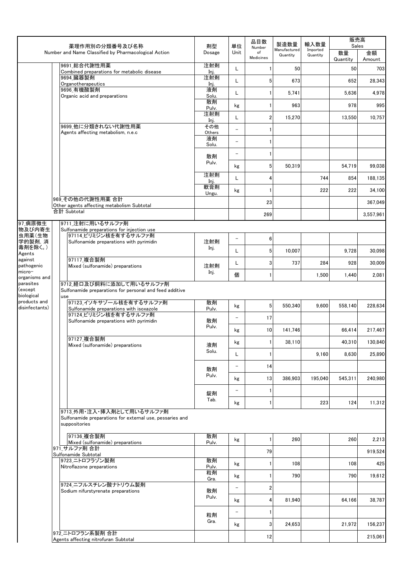|                            |  | 薬理作用別の分類番号及び名称                                                                                                                                                                                                         | 剤型           | 単位                       | 品目数                       | 製造数量                     | 輸入数量                 |                | 販売高<br>Sales |
|----------------------------|--|------------------------------------------------------------------------------------------------------------------------------------------------------------------------------------------------------------------------|--------------|--------------------------|---------------------------|--------------------------|----------------------|----------------|--------------|
|                            |  | Number and Name Classified by Pharmacological Action                                                                                                                                                                   | Dosage       | Unit                     | Number<br>of<br>Medicines | Manufactured<br>Quantity | Imported<br>Quantity | 数量<br>Quantity | 金額<br>Amount |
|                            |  | 9691 総合代謝性用薬<br>Combined preparations for metabolic disease                                                                                                                                                            | 注射剤<br>Inj.  | L                        |                           | 50                       |                      | 50             | 703          |
|                            |  | 9694 臓器製剤<br>Organotherapeutics                                                                                                                                                                                        | 注射剤          | L                        | 5                         | 673                      |                      | 652            | 28,343       |
|                            |  | 9696_有機酸製剤                                                                                                                                                                                                             | Inj.<br>液剤   | L                        | 1                         | 5,741                    |                      | 5.636          | 4,978        |
|                            |  | Organic acid and preparations                                                                                                                                                                                          | Solu.<br>散剤  | kg                       | 1                         | 963                      |                      | 978            | 995          |
|                            |  |                                                                                                                                                                                                                        | Pulv.<br>注射剤 | L                        | 2                         | 15,270                   |                      | 13,550         | 10,757       |
|                            |  | 9699_他に分類きれない代謝性用薬                                                                                                                                                                                                     | Inj.<br>その他  | $\overline{\phantom{0}}$ | 1                         |                          |                      |                |              |
|                            |  | Agents affecting metabolism, n.e.c                                                                                                                                                                                     | Others<br>液剤 | $\overline{\phantom{0}}$ | 1                         |                          |                      |                |              |
|                            |  |                                                                                                                                                                                                                        | Solu.        | $\overline{\phantom{0}}$ | 1                         |                          |                      |                |              |
|                            |  |                                                                                                                                                                                                                        | 散剤<br>Pulv.  |                          | 5                         | 50,319                   |                      | 54,719         | 99,038       |
|                            |  |                                                                                                                                                                                                                        | 注射剤          | kg<br>L                  |                           |                          | 744                  |                |              |
|                            |  |                                                                                                                                                                                                                        | Inj.<br>軟膏剤  |                          | 4                         |                          |                      | 854            | 188,135      |
|                            |  | 969 その他の代謝性用薬合計                                                                                                                                                                                                        | Ungu.        | kg                       | 1                         |                          | 222                  | 222            | 34,100       |
|                            |  | Other agents affecting metabolism Subtotal<br>合計 Subtotal                                                                                                                                                              |              |                          | 23                        |                          |                      |                | 367,049      |
| 97_病原微生                    |  | 9711_注射に用いるサルファ剤                                                                                                                                                                                                       |              |                          | 269                       |                          |                      |                | 3,557,961    |
| 物及び内寄生<br>虫用薬(生物           |  | Sulfonamide preparations for injection use<br>97114 ピリミジン核を有するサルファ剤                                                                                                                                                    |              |                          |                           |                          |                      |                |              |
| 学的製剤, 消                    |  | Sulfonamide preparations with pyrimidin                                                                                                                                                                                | 注射剤          | $\overline{\phantom{m}}$ | 6                         |                          |                      |                |              |
| 毒剤を除く。)<br>Agents          |  |                                                                                                                                                                                                                        | Inj.         | L                        | 5                         | 10,007                   |                      | 9,728          | 30,098       |
| against<br>pathogenic      |  | 97117 複合製剤<br>Mixed (sulfonamide) preparations                                                                                                                                                                         | 注射剤          | L                        | 3                         | 737                      | 284                  | 928            | 30,009       |
| micro-<br>organisms and    |  |                                                                                                                                                                                                                        | Inj.         | 個                        | 1                         |                          | 1,500                | 1,440          | 2,081        |
| parasites<br>(except       |  | 9712 経口及び飼料に添加して用いるサルファ剤                                                                                                                                                                                               |              |                          |                           |                          |                      |                |              |
| biological<br>products and |  |                                                                                                                                                                                                                        | 散剤           |                          |                           |                          |                      |                |              |
| disinfectants)             |  | Sulfonamide preparations for personal and feed additive<br>use<br>97123_イソキサゾール核を有するサルファ剤<br>Sulfonamide preparations with isoxazole<br>97124 ピリミジン核を有するサルファ剤<br>Sulfonamide preparations with pyrimidin<br>97127 複合製剤 | Pulv.        | kg                       | 5                         | 550,340                  | 9.600                | 558,140        | 228,634      |
|                            |  |                                                                                                                                                                                                                        | 散剤<br>Pulv.  | $\overline{\phantom{0}}$ | 17                        |                          |                      |                |              |
|                            |  |                                                                                                                                                                                                                        |              | kg                       | 10                        | 141,746                  |                      | 66,414         | 217,467      |
|                            |  | Mixed (sulfonamide) preparations                                                                                                                                                                                       | 液剤<br>Solu.  | kg                       | 1                         | 38,110                   |                      | 40,310         | 130,840      |
|                            |  |                                                                                                                                                                                                                        |              | L                        | 1                         |                          | 9,160                | 8,630          | 25,890       |
|                            |  |                                                                                                                                                                                                                        | 散剤           | $\overline{\phantom{a}}$ | 14                        |                          |                      |                |              |
|                            |  |                                                                                                                                                                                                                        | Pulv.        | kg                       | 13                        | 386,903                  | 195,040              | 545,311        | 240,980      |
|                            |  |                                                                                                                                                                                                                        | 錠剤           | $\overline{\phantom{a}}$ | 1                         |                          |                      |                |              |
|                            |  |                                                                                                                                                                                                                        | Tab.         | kg                       | 1                         |                          | 223                  | 124            | 11,312       |
|                            |  | 9713 外用・注入・挿入剤として用いるサルファ剤<br>Sulfonamide preparations for external use, pessaries and<br>suppositories                                                                                                                 |              |                          |                           |                          |                      |                |              |
|                            |  | 97136 複合製剤                                                                                                                                                                                                             | 散剤           | kg                       | 1                         | 260                      |                      | 260            | 2,213        |
|                            |  | Mixed (sulfonamide) preparations<br>971 サルファ剤 合計                                                                                                                                                                       | Pulv.        |                          | 79                        |                          |                      |                | 919,524      |
|                            |  | Sulfonamide Subtotal<br>9723 ニトロフラゾン製剤                                                                                                                                                                                 | 散剤           |                          |                           |                          |                      |                |              |
|                            |  | Nitroflazone preparations                                                                                                                                                                                              | Pulv.<br>粒剤  | kg                       | 1                         | 108                      |                      | 108            | 425          |
|                            |  | 9724 ニフルスチレン酸ナトリウム製剤                                                                                                                                                                                                   | Gra.         | kg                       | 1                         | 790                      |                      | 790            | 19,612       |
|                            |  | Sodium nifurstyrenate preparations                                                                                                                                                                                     | 散剤<br>Pulv.  | $\overline{\phantom{a}}$ | 2                         |                          |                      |                |              |
|                            |  |                                                                                                                                                                                                                        |              | kg                       | 4                         | 81,940                   |                      | 64,166         | 38,787       |
|                            |  |                                                                                                                                                                                                                        | 粒剤           |                          | 1                         |                          |                      |                |              |
|                            |  |                                                                                                                                                                                                                        | Gra.         | kg                       | 3                         | 24,653                   |                      | 21,972         | 156,237      |
|                            |  | 972 ニトロフラン系製剤 合計<br>Agents affecting nitrofuran Subtotal                                                                                                                                                               |              |                          | 12                        |                          |                      |                | 215,061      |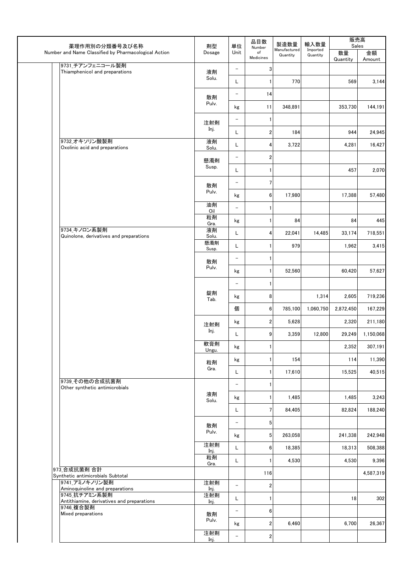| 薬理作用別の分類番号及び名称                                              | 剤型           | 単位                       | 品目数<br>Number           | 製造数量<br>Manufactured<br>Quantity | 輸入数量                 | 販売高<br>Sales   |              |
|-------------------------------------------------------------|--------------|--------------------------|-------------------------|----------------------------------|----------------------|----------------|--------------|
| Number and Name Classified by Pharmacological Action        | Dosage       | Unit                     | of<br>Medicines         |                                  | Imported<br>Quantity | 数量<br>Quantity | 金額<br>Amount |
| 9731 チアンフェニコール製剤<br>Thiamphenicol and preparations          | 液剤           | $\overline{\phantom{a}}$ | 3                       |                                  |                      |                |              |
|                                                             | Solu.        | L                        |                         | 770                              |                      | 569            | 3,144        |
|                                                             | 散剤           | $\qquad \qquad -$        | 14                      |                                  |                      |                |              |
|                                                             | Pulv.        | kg                       | 11                      | 348,891                          |                      | 353,730        | 144,191      |
|                                                             | 注射剤          | $\overline{\phantom{0}}$ | 1                       |                                  |                      |                |              |
|                                                             | Inj.         | L                        | $\overline{2}$          | 184                              |                      | 944            | 24,945       |
| 9732_オキソリン酸製剤<br>Oxolinic acid and preparations             | 液剤<br>Solu.  | Г                        | 4                       | 3,722                            |                      | 4,281          | 16,427       |
|                                                             | 懸濁剤          | $\overline{\phantom{0}}$ | $\boldsymbol{2}$        |                                  |                      |                |              |
|                                                             | Susp.        | L                        |                         |                                  |                      | 457            | 2,070        |
|                                                             | 散剤           | $\qquad \qquad -$        | 7                       |                                  |                      |                |              |
|                                                             | Pulv.        | kg                       | 6                       | 17,980                           |                      | 17,388         | 57,480       |
|                                                             | 油剤<br>Oil    | $\overline{\phantom{0}}$ |                         |                                  |                      |                |              |
|                                                             | 粒剤<br>Gra.   | kg                       |                         | 84                               |                      | 84             | 445          |
| 9734 キノロン系製剤<br>Quinolone, derivatives and preparations     | 液剤<br>Solu.  | L                        | 4                       | 22,041                           | 14,485               | 33,174         | 718,551      |
|                                                             | 懸濁剤<br>Susp. | L                        |                         | 979                              |                      | 1,962          | 3,415        |
|                                                             | 散剤           | $\qquad \qquad -$        |                         |                                  |                      |                |              |
|                                                             | Pulv.        | kg                       |                         | 52,560                           |                      | 60,420         | 57,627       |
|                                                             |              | $\qquad \qquad -$        |                         |                                  |                      |                |              |
|                                                             | 錠剤<br>Tab.   | kg                       | 8                       |                                  | 1,314                | 2,605          | 719,236      |
|                                                             |              | 個                        | 6                       | 785,100                          | 1,060,750            | 2,872,450      | 167,229      |
|                                                             | 注射剤          | kg                       | $\overline{\mathbf{2}}$ | 5,628                            |                      | 2,320          | 211,180      |
|                                                             | Inj.         | L                        | 9                       | 3,359                            | 12,800               | 29,249         | 1,150,068    |
|                                                             | 軟膏剤<br>Ungu. | kg                       | 1                       |                                  |                      | 2,352          | 307,191      |
|                                                             | 粒剤           | kg                       |                         | 154                              |                      | 114            | 11,390       |
|                                                             | Gra.         | L                        |                         | 17,610                           |                      | 15,525         | 40,515       |
| 9739 その他の合成抗菌剤<br>Other synthetic antimicrobials            |              | $\qquad \qquad -$        |                         |                                  |                      |                |              |
|                                                             | 液剤<br>Solu.  | kg                       |                         | 1,485                            |                      | 1,485          | 3,243        |
|                                                             |              | L                        | 7                       | 84,405                           |                      | 82,824         | 188,240      |
|                                                             | 散剤           | $\overline{\phantom{0}}$ | 5 <sub>5</sub>          |                                  |                      |                |              |
|                                                             | Pulv.        | kg                       | $5\phantom{.0}$         | 263,058                          |                      | 241,338        | 242,948      |
|                                                             | 注射剤<br>Inj.  | L                        | 6                       | 18,385                           |                      | 18,313         | 508,388      |
|                                                             | 粒剤<br>Gra.   | L                        | 1                       | 4,530                            |                      | 4,530          | 9,396        |
| 973 合成抗菌剤 合計<br>Synthetic antimicrobials Subtotal           |              |                          | 116                     |                                  |                      |                | 4,587,319    |
| 9741_アミノキノリン製剤<br>Aminoquinoline and preparations           | 注射剤<br>Inj.  | $\overline{\phantom{0}}$ | $\overline{\mathbf{2}}$ |                                  |                      |                |              |
| 9745 抗チアミン系製剤<br>Antithiamine, derivatives and preparations | 注射剤<br>Inj.  | L                        | 1                       |                                  |                      | 18             | 302          |
| 9746_複合製剤<br>Mixed preparations                             | 散剤           | $\overline{\phantom{0}}$ | $6\phantom{.}$          |                                  |                      |                |              |
|                                                             | Pulv.        | kg                       | $\overline{\mathbf{2}}$ | 6,460                            |                      | 6,700          | 26,367       |
|                                                             | 注射剤<br>Inj.  | $\overline{\phantom{0}}$ | $\overline{\mathbf{2}}$ |                                  |                      |                |              |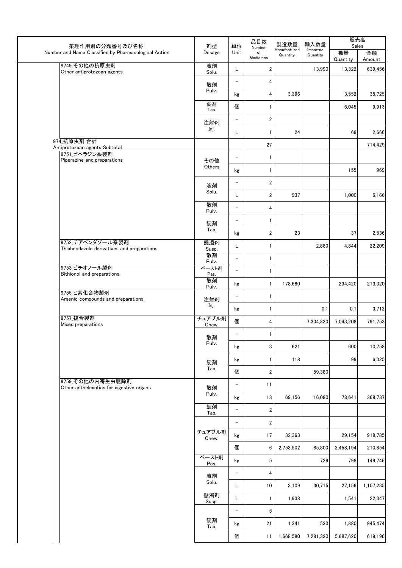| 薬理作用別の分類番号及び名称                                                 | 剤型              | 単位                       | 品目数                       | 製造数量                     | 輸入数量                 | 販売高<br>Sales   |              |
|----------------------------------------------------------------|-----------------|--------------------------|---------------------------|--------------------------|----------------------|----------------|--------------|
| Number and Name Classified by Pharmacological Action           | Dosage          | Unit                     | Number<br>of<br>Medicines | Manufactured<br>Quantity | Imported<br>Quantity | 数量<br>Quantity | 金額<br>Amount |
| 9749_その他の抗原虫剤<br>Other antiprotozoan agents                    | 液剤<br>Solu.     | L                        | $\overline{2}$            |                          | 13,990               | 13,322         | 639,456      |
|                                                                | 散剤              | $\overline{\phantom{a}}$ | 4                         |                          |                      |                |              |
|                                                                | Pulv.           | kg                       | 4                         | 3,396                    |                      | 3,552          | 35,725       |
|                                                                | 錠剤<br>Tab.      | 個                        | 1                         |                          |                      | 6,045          | 9,913        |
|                                                                | 注射剤             | $\qquad \qquad -$        | $\boldsymbol{2}$          |                          |                      |                |              |
|                                                                | Inj.            | L                        | $\mathbf{1}$              | 24                       |                      | 68             | 2,666        |
| 974 抗原虫剤 合計<br>Antiprotozoan agents Subtotal                   |                 |                          | 27                        |                          |                      |                | 714,429      |
| 9751 ピペラジン系製剤<br>Piperazine and preparations                   | その他             | $\overline{\phantom{a}}$ | $\mathbf{1}$              |                          |                      |                |              |
|                                                                | Others          | kg                       | $\mathbf{1}$              |                          |                      | 155            | 969          |
|                                                                | 液剤              | $\overline{\phantom{a}}$ | $\overline{2}$            |                          |                      |                |              |
|                                                                | Solu.           | L                        | $\overline{2}$            | 937                      |                      | 1,000          | 6,166        |
|                                                                | 散剤<br>Pulv.     | $\overline{\phantom{0}}$ | 4                         |                          |                      |                |              |
|                                                                | 錠剤              | $\overline{\phantom{0}}$ | $\mathbf{1}$              |                          |                      |                |              |
|                                                                | Tab.            | kg                       | $\boldsymbol{2}$          | 23                       |                      | 37             | 2,536        |
| 9752 チアベンダゾール系製剤<br>Thiabendazole derivatives and preparations | 懸濁剤<br>Susp.    | L                        | $\mathbf{1}$              |                          | 2,880                | 4,844          | 22,209       |
|                                                                | 散剤<br>Pulv.     | $\overline{\phantom{0}}$ | $\mathbf{1}$              |                          |                      |                |              |
| 9753_ビチオノール製剤<br>Bithionol and preparations                    | ペースト剤<br>Pas.   | $\equiv$                 | $\mathbf{1}$              |                          |                      |                |              |
|                                                                | 散剤<br>Pulv.     | kg                       | $\mathbf{1}$              | 178,680                  |                      | 234,420        | 213,320      |
| 9755_ヒ素化合物製剤<br>Arsenic compounds and preparations             | 注射剤             | $\overline{\phantom{a}}$ | $\mathbf{1}$              |                          |                      |                |              |
|                                                                | Inj.            | kg                       | 1                         |                          | 0.1                  | 0.1            | 3,712        |
| 9757 複合製剤<br>Mixed preparations                                | チュアブル剤<br>Chew. | 個                        | 4                         |                          | 7,304,820            | 7.043.208      | 791,753      |
|                                                                | 散剤              | $\qquad \qquad -$        | $\mathbf{1}$              |                          |                      |                |              |
|                                                                | Pulv.           | kg                       | $\mathbf 3$               | 621                      |                      | 600            | 10,758       |
|                                                                | 錠剤              | kg                       | $\mathbf{1}$              | 118                      |                      | 99             | 6,325        |
|                                                                | Tab.            | 個                        | $\boldsymbol{2}$          |                          | 59,380               |                |              |
| 9759 その他の内寄生虫駆除剤<br>Other anthelmintics for digestive organs   | 散剤              | $\overline{\phantom{a}}$ | 11                        |                          |                      |                |              |
|                                                                | Pulv.           | kg                       | 13                        | 69,156                   | 16,080               | 78,641         | 369,737      |
|                                                                | 錠剤<br>Tab.      | $\qquad \qquad -$        | $\mathbf 2$               |                          |                      |                |              |
|                                                                |                 | $\overline{\phantom{0}}$ | $\boldsymbol{2}$          |                          |                      |                |              |
|                                                                | チュアブル剤<br>Chew. | kg                       | 17                        | 32,363                   |                      | 29,154         | 919,785      |
|                                                                |                 | 個                        | 6                         | 2,753,502                | 85,800               | 2,458,194      | 210,854      |
|                                                                | ペースト剤<br>Pas.   | kg                       | $\sqrt{5}$                |                          | 729                  | 798            | 149,746      |
|                                                                | 液剤              | $\overline{\phantom{0}}$ | 4                         |                          |                      |                |              |
|                                                                | Solu.           | L                        | 10                        | 3,109                    | 30,715               | 27,156         | 1,107,235    |
|                                                                | 懸濁剤<br>Susp.    | L                        | $\mathbf{1}$              | 1,938                    |                      | 1,541          | 22,347       |
|                                                                |                 | $\qquad \qquad -$        | $\sqrt{5}$                |                          |                      |                |              |
|                                                                | 錠剤<br>Tab.      | kg                       | 21                        | 1,341                    | 530                  | 1,880          | 945,474      |
|                                                                |                 | 個                        | 11                        | 1,668,580                | 7,281,320            | 5,687,620      | 619,196      |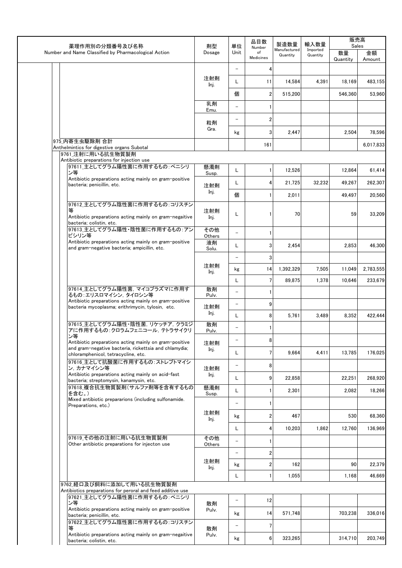| 薬理作用別の分類番号及び名称                                                                                             | 品目数<br>製造数量<br>単位<br>剤型<br>Number | 輸入数量                     | 販売高<br>Sales    |                          |                      |                |              |
|------------------------------------------------------------------------------------------------------------|-----------------------------------|--------------------------|-----------------|--------------------------|----------------------|----------------|--------------|
| Number and Name Classified by Pharmacological Action                                                       | Dosage                            | Unit                     | of<br>Medicines | Manufactured<br>Quantity | Imported<br>Quantity | 数量<br>Quantity | 金額<br>Amount |
|                                                                                                            |                                   | $\overline{\phantom{0}}$ | 4               |                          |                      |                |              |
|                                                                                                            | 注射剤<br>Inj.                       | L                        | 11              | 14,584                   | 4,391                | 18,169         | 483,155      |
|                                                                                                            |                                   | 個                        | 2               | 515,200                  |                      | 546,360        | 53,960       |
|                                                                                                            | 乳剤<br>Emu.                        | $\overline{\phantom{m}}$ |                 |                          |                      |                |              |
|                                                                                                            | 粒剤                                | $\overline{\phantom{m}}$ | 2               |                          |                      |                |              |
|                                                                                                            | Gra.                              | kg                       | 3               | 2,447                    |                      | 2,504          | 78.596       |
| 975_内寄生虫駆除剤 合計<br>Anthelmintics for digestive organs Subotal                                               |                                   |                          | 161             |                          |                      |                | 6,017,833    |
| 9761 注射に用いる抗生物質製剤                                                                                          |                                   |                          |                 |                          |                      |                |              |
| Antibiotic preparations for injection use<br>97611_主としてグラム陽性菌に作用するもの:ペニシリ                                  | 懸濁剤                               | L                        | 1               | 12,526                   |                      | 12,864         | 61,414       |
| ン等<br>Antibiotic preparations acting mainly on gram-positive                                               | Susp.                             |                          |                 |                          |                      |                |              |
| bacteria; penicillin, etc.                                                                                 | 注射剤<br>Inj.                       | L                        | 4               | 21,725                   | 32,232               | 49,267         | 262,307      |
| 97612_主としてグラム陰性菌に作用するもの:コリスチン                                                                              |                                   | 個                        |                 | 2,011                    |                      | 49,497         | 20,560       |
| 等<br>Antibiotic preparations acting mainly on gram-negaitive<br>bacteria: colistin. etc.                   | 注射剤<br>Inj.                       | Г                        |                 | 70                       |                      | 59             | 33,209       |
| 97613_主としてグラム陽性・陰性菌に作用するもの:アン<br>ピシリン等                                                                     | その他<br>Others                     | $\overline{\phantom{a}}$ | 1               |                          |                      |                |              |
| Antibiotic preparations acting mainly on gram-positive<br>and gram-negative bacteria; ampicillin, etc.     | 液剤<br>Solu.                       | L                        | 3               | 2,454                    |                      | 2,853          | 46,300       |
|                                                                                                            |                                   | $\overline{\phantom{0}}$ | 3               |                          |                      |                |              |
|                                                                                                            | 注射剤<br>Inj.                       | kg                       | 14              | 1,392,329                | 7,505                | 11,049         | 2,783,555    |
|                                                                                                            |                                   | L                        | 7               | 89,875                   | 1,378                | 10,646         | 233,679      |
| 97614 主としてグラム陽性菌. マイコプラズマに作用す<br>るもの:エリスロマイシン, タイロシン等                                                      | 散剤<br>Pulv.                       | $\overline{\phantom{a}}$ |                 |                          |                      |                |              |
| Antibiotic preparations acting mainly on gram-positive<br>bacteria mycoplasma; erithrimycin, tylosin, etc. | 注射剤                               | $\overline{\phantom{a}}$ | 9               |                          |                      |                |              |
|                                                                                                            | Inj.                              | L                        | 8               | 5,761                    | 3,489                | 8,352          | 422,444      |
| 97615_主としてグラム陽性・陰性菌, リケッチア, クラミジ<br>アに作用するもの:クロラムフェニコール、テトラサイクリ                                            | 散剤<br>Pulv.                       | $\overline{\phantom{0}}$ |                 |                          |                      |                |              |
| ン等<br>Antibiotic preparations acting mainly on gram-positive                                               | 注射剤                               | $\qquad \qquad -$        | 8               |                          |                      |                |              |
| and gram-negative bacteria, rickettsia and chlamydia;<br>chloramphenicol, tetracycline, etc.               | Inj.                              | L                        | 7               | 9,664                    | 4,411                | 13,785         | 176,025      |
| 97616_主として抗酸菌に作用するもの: ストレプトマイシ<br>ン, カナマイシン等                                                               | 注射剤                               | $\qquad \qquad -$        | 8               |                          |                      |                |              |
| Antibiotic preparations acting mainly on acid-fast<br>bacteria; streptomysin, kanamysin, etc.              | Inj.                              | L                        | 9               | 22,858                   |                      | 22,251         | 268,920      |
| 97618 複合抗生物質製剤(サルファ剤等を含有するもの<br> を含む。)                                                                     | 懸濁剤<br>Susp.                      | L                        |                 | 2,301                    |                      | 2,082          | 18,266       |
| Mixed antibiotic prepararions (including sulfonamide.<br>Preparations, etc.)                               |                                   | $\qquad \qquad -$        | 1               |                          |                      |                |              |
|                                                                                                            | 注射剤<br>Inj.                       | kg                       | 2               | 467                      |                      | 530            | 68,360       |
|                                                                                                            |                                   | L                        | 4               | 10,203                   | 1,862                | 12,760         | 136,969      |
| 97619_その他の注射に用いる抗生物質製剤                                                                                     | その他                               | $\qquad \qquad -$        |                 |                          |                      |                |              |
| Other antibiotic preparations for injecton use                                                             | Others                            | $\overline{\phantom{a}}$ | 2               |                          |                      |                |              |
|                                                                                                            | 注射剤                               | kg                       | 2               | 162                      |                      | 90             | 22,379       |
|                                                                                                            | Inj.                              | Г                        | $\mathbf{1}$    | 1,055                    |                      | 1,168          | 46,669       |
| 9762 経口及び飼料に添加して用いる抗生物質製剤                                                                                  |                                   |                          |                 |                          |                      |                |              |
| Antibiotics preparations for peroral and feed additive use<br>97621_主としてグラム陽性菌に作用するもの:ペニシリ                 |                                   | $\qquad \qquad -$        | 12              |                          |                      |                |              |
| ン等<br>Antibiotic preparations acting mainly on gram-positive                                               | 散剤<br>Pulv.                       |                          |                 |                          |                      |                | 336,016      |
| bacteria; penicillin, etc.<br>97622_主としてグラム陰性菌に作用するもの:コリスチン                                                |                                   | kg                       | 14              | 571,748                  |                      | 703,238        |              |
| 等<br>Antibiotic preparations acting mainly on gram-negaitive                                               | 散剤<br>Pulv.                       | $\overline{\phantom{a}}$ | $7\phantom{.0}$ |                          |                      |                |              |
| bacteria; colistin, etc.                                                                                   |                                   | kg                       | 6               | 323,265                  |                      | 314,710        | 203,749      |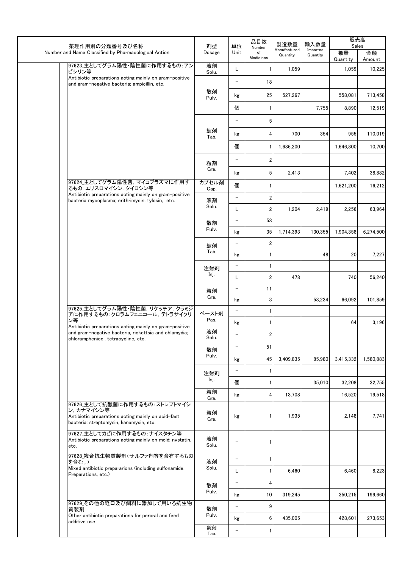| 薬理作用別の分類番号及び名称                                                                                                  | 剤型            | 単位                                                   | 品目数                                                                                      | 製造数量                          | 輸入数量                 | 販売高<br>Sales   |              |
|-----------------------------------------------------------------------------------------------------------------|---------------|------------------------------------------------------|------------------------------------------------------------------------------------------|-------------------------------|----------------------|----------------|--------------|
| Number and Name Classified by Pharmacological Action                                                            | Dosage        | Unit                                                 | Number<br>of<br>Medicines                                                                | Manufactured<br>Quantity      | Imported<br>Quantity | 数量<br>Quantity | 金額<br>Amount |
| 97623_主としてグラム陽性·陰性菌に作用するもの:アン<br>ピシリン等                                                                          | 液剤<br>Solu.   | L                                                    | 1                                                                                        | 1,059                         |                      | 1,059          | 10,225       |
| Antibiotic preparations acting mainly on gram-positive<br>and gram-negative bacteria; ampicillin, etc.          |               | $\qquad \qquad -$                                    | 18                                                                                       |                               |                      |                |              |
|                                                                                                                 | 散剤<br>Pulv.   | kg                                                   | 25                                                                                       | 527,267                       |                      | 558,081        | 713,458      |
|                                                                                                                 |               | 個                                                    | 1                                                                                        |                               | 7,755                | 8,890          | 12,519       |
|                                                                                                                 |               | $\overline{\phantom{0}}$                             | 5                                                                                        |                               |                      |                |              |
|                                                                                                                 | 錠剤<br>Tab.    | kg                                                   | 4                                                                                        | 700                           | 354                  | 955            | 110.019      |
|                                                                                                                 |               | 個                                                    | 1                                                                                        | 1,686,200                     |                      | 1,646,800      | 10,700       |
|                                                                                                                 | 粒剤            | $\qquad \qquad -$                                    | $\overline{\mathbf{c}}$                                                                  |                               |                      |                |              |
|                                                                                                                 | Gra.          | kg                                                   | 5                                                                                        | 2,413                         |                      | 7,402          | 38,882       |
| 97624 主としてグラム陽性菌, マイコプラズマに作用す<br>るもの:エリスロマイシン, タイロシン等                                                           | カプセル剤         | 個                                                    | $\mathbf{1}$                                                                             |                               |                      | 1,621,200      | 16,212       |
| Antibiotic preparations acting mainly on gram-positive<br>bacteria mycoplasma; erithrimycin, tylosin, etc.      | Cap.<br>液剤    | $\overline{\phantom{0}}$                             | $\overline{\mathbf{c}}$                                                                  |                               |                      |                |              |
|                                                                                                                 | Solu.         | Г                                                    | $\overline{\mathbf{c}}$                                                                  | 1,204                         | 2,419                | 2,256          | 63,964       |
|                                                                                                                 | 散剤            | $\qquad \qquad -$                                    | 58                                                                                       |                               |                      |                |              |
|                                                                                                                 | Pulv.         | 35<br>kg<br>2<br>$\overline{\phantom{0}}$<br>1<br>kg | 1,714,393                                                                                | 130,355                       | 1,904,358            | 6,274,500      |              |
|                                                                                                                 | 錠剤<br>Tab.    |                                                      |                                                                                          |                               |                      |                |              |
|                                                                                                                 |               |                                                      | 1<br>$\qquad \qquad -$<br>$\overline{\mathbf{c}}$<br>L<br>11<br>$\overline{\phantom{0}}$ |                               | 48                   | 20             | 7,227        |
|                                                                                                                 | 注射剤           |                                                      |                                                                                          |                               |                      |                |              |
|                                                                                                                 | Inj.          |                                                      |                                                                                          | 478<br>3<br>$\mathbf{1}$<br>1 |                      | 740            | 56,240       |
|                                                                                                                 | 粒剤<br>Gra.    |                                                      |                                                                                          |                               |                      |                |              |
| 97625_主としてグラム陽性・陰性菌, リケッチア, クラミジ                                                                                |               | kg                                                   |                                                                                          |                               | 58,234               | 66,092         | 101,859      |
| アに作用するもの:クロラムフェニコール, テトラサイクリ<br>ン等                                                                              | ペースト剤<br>Pas. |                                                      |                                                                                          |                               |                      |                |              |
| Antibiotic preparations acting mainly on gram-positive<br>and gram-negative bacteria, rickettsia and chlamydia; | 液剤            | kg                                                   |                                                                                          |                               |                      | 64             | 3,196        |
| chloramphenicol, tetracycline, etc.                                                                             | Solu.         | $\overline{\phantom{0}}$                             | 2                                                                                        |                               |                      |                |              |
|                                                                                                                 | 散剤<br>Pulv.   | $\overline{\phantom{0}}$                             | 51                                                                                       |                               |                      |                |              |
|                                                                                                                 |               | kg                                                   | 45                                                                                       | 3,409,835                     | 85,980               | 3,415,332      | 1,580,883    |
|                                                                                                                 | 注射剤<br>Inj.   | $\qquad \qquad -$                                    | 1                                                                                        |                               |                      |                |              |
|                                                                                                                 | 粒剤            | 個                                                    | 1                                                                                        |                               | 35,010               | 32,208         | 32,755       |
| 97626_主として抗酸菌に作用するもの:ストレプトマイシ                                                                                   | Gra.          | kg                                                   | 4                                                                                        | 13,708                        |                      | 16,520         | 19,518       |
| ン, カナマイシン等<br>Antibiotic preparations acting mainly on acid-fast<br>bacteria; streptomysin, kanamysin, etc.     | 粒剤<br>Gra.    | kg                                                   | 1                                                                                        | 1,935                         |                      | 2,148          | 7,741        |
| 97627_主としてカビに作用するもの:ナイスタチン等<br>Antibiotic preparations acting mainly on mold; nystatin,<br>etc.                 | 液剤<br>Solu.   | $\qquad \qquad -$                                    | 1                                                                                        |                               |                      |                |              |
| 97628_複合抗生物質製剤(サルファ剤等を含有するもの<br>を含む。)                                                                           | 液剤            | $\qquad \qquad -$                                    | 1                                                                                        |                               |                      |                |              |
| Mixed antibiotic prepararions (including sulfonamide.<br>Preparations, etc.)                                    | Solu.         | L                                                    | 1                                                                                        | 6,460                         |                      | 6,460          | 8,223        |
|                                                                                                                 | 散剤            | $\overline{\phantom{0}}$                             | 4                                                                                        |                               |                      |                |              |
|                                                                                                                 | Pulv.         | kg                                                   | 10                                                                                       | 319,245                       |                      | 350,215        | 199,660      |
| 97629_その他の経口及び飼料に添加して用いる抗生物<br>質製剤                                                                              | 散剤            | $\overline{\phantom{0}}$                             | 9                                                                                        |                               |                      |                |              |
| Other antibiotic preparations for peroral and feed<br>additive use                                              | Pulv.         | kg                                                   | 6                                                                                        | 435,005                       |                      | 428,601        | 273,653      |
|                                                                                                                 | 錠剤<br>Tab.    | $\overline{\phantom{0}}$                             | $\mathbf{1}$                                                                             |                               |                      |                |              |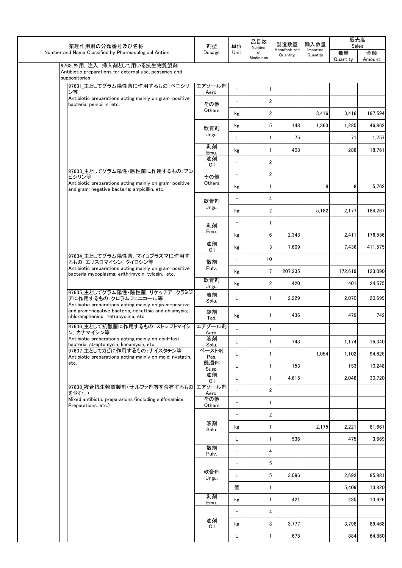|  |  | 薬理作用別の分類番号及び名称                                                                                                     | 単位<br>剤型          | 品目数<br>Number            | 製造数量             | 輸入数量                     | 販売高<br>Sales         |                |              |
|--|--|--------------------------------------------------------------------------------------------------------------------|-------------------|--------------------------|------------------|--------------------------|----------------------|----------------|--------------|
|  |  | Number and Name Classified by Pharmacological Action                                                               | Dosage            | Unit                     | of<br>Medicines  | Manufactured<br>Quantity | Imported<br>Quantity | 数量<br>Quantity | 金額<br>Amount |
|  |  | 9763_外用, 注入, 挿入剤として用いる抗生物質製剤<br>Antibiotic preparations for external use, pessaries and                            |                   |                          |                  |                          |                      |                |              |
|  |  | suppositories<br>97631_主としてグラム陽性菌に作用するもの:ペニシリ                                                                      |                   |                          |                  |                          |                      |                |              |
|  |  | ン等                                                                                                                 | エアゾール剤<br>Aero.   | $\equiv$                 |                  |                          |                      |                |              |
|  |  | Antibiotic preparations acting mainly on gram-positive<br>bacteria; penicillin, etc.                               | その他               | $\overline{\phantom{0}}$ | 2                |                          |                      |                |              |
|  |  |                                                                                                                    | Others            | kg                       | $\boldsymbol{2}$ |                          | 3,416                | 3,416          | 187,594      |
|  |  |                                                                                                                    | 軟膏剤               | kg                       | 5                | 148                      | 1,363                | 1,285          | 46,862       |
|  |  |                                                                                                                    | Ungu.             | Г                        |                  | 75                       |                      | 71             | 1,757        |
|  |  |                                                                                                                    | 乳剤<br>Emu.        | kg                       |                  | 408                      |                      | 288            | 18,761       |
|  |  |                                                                                                                    | 油剤<br>Oil         | $\overline{\phantom{0}}$ | 2                |                          |                      |                |              |
|  |  | 97633_主としてグラム陽性·陰性菌に作用するもの:アン<br>ピシリン等                                                                             | その他               | $\qquad \qquad -$        | 2                |                          |                      |                |              |
|  |  | Antibiotic preparations acting mainly on gram-positive<br>and gram-negative bacteria; ampicillin, etc.             | Others            | kg                       |                  |                          | 8                    | 8              | 5,762        |
|  |  |                                                                                                                    | 軟膏剤               | $\qquad \qquad -$        | 4                |                          |                      |                |              |
|  |  |                                                                                                                    | Ungu.             | kg                       | $\overline{2}$   |                          | 5,182                | 2,177          | 184,267      |
|  |  |                                                                                                                    | 乳剤                | $\overline{\phantom{0}}$ |                  |                          |                      |                |              |
|  |  |                                                                                                                    | Emu.              | kg                       | 6                | 2,343                    |                      | 2,411          | 176,556      |
|  |  |                                                                                                                    | 油剤<br>Oil         | kg                       | 3                | 7,609                    |                      | 7,436          | 411,575      |
|  |  | 97634_主としてグラム陽性菌, マイコプラズマに作用す<br>るもの:エリスロマイシン、タイロシン等                                                               | 散剤                | $\qquad \qquad -$        | 10               |                          |                      |                |              |
|  |  | Antibiotic preparations acting mainly on gram-positive<br>bacteria mycoplasma; erithrimycin, tylosin, etc.         | Pulv.             | kg                       | 7                | 207,235                  |                      | 172,619        | 123,090      |
|  |  |                                                                                                                    | 軟膏剤<br>Ungu.      | kg                       | $\overline{2}$   | 420                      |                      | 401            | 24,575       |
|  |  | 97635_主としてグラム陽性·陰性菌, リケッチア, クラミジ<br>アに作用するもの:クロラムフェニコール等<br>Antibiotic preparations acting mainly on gram-positive | 液剤<br>Solu.       | Г                        |                  | 2,229                    |                      | 2,070          | 20,699       |
|  |  | and gram-negative bacteria, rickettsia and chlamydia;<br>chloramphenicol, tetracycline, etc.                       | 錠剤<br>Tab.        | kg                       |                  | 436                      |                      | 479            | 742          |
|  |  | 97636_主として抗酸菌に作用するもの: ストレプトマイシ                                                                                     | エアゾール剤            | $\overline{a}$           |                  |                          |                      |                |              |
|  |  | ン. カナマイシン等<br>Antibiotic preparations acting mainly on acid-fast                                                   | Aero.<br>液剤       | L                        |                  | 743                      |                      | 1,174          | 15,340       |
|  |  | bacteria; streptomysin, kanamysin, etc.<br>97637_主としてカビに作用するもの:ナイスタチン等                                             | Solu.<br>ペースト剤    | Г                        | 1                |                          | 1,054                | 1,102          | 94,625       |
|  |  | Antibiotic preparations acting mainly on mold; nystatin,<br>etc.                                                   | Pas.<br>懸濁剤       | Г                        | 1                | 153                      |                      | 153            | 10,248       |
|  |  |                                                                                                                    | Susp.<br>油剤       | L                        | 1                | 4,615                    |                      | 2,048          | 30,720       |
|  |  | 97638_複合抗生物質製剤(サルファ剤等を含有するもの エアゾール剤                                                                                | Oil               | $\equiv$                 | $\boldsymbol{2}$ |                          |                      |                |              |
|  |  | を含む。)<br>Mixed antibiotic prepararions (including sulfonamide.                                                     | Aero.<br>その他      | $\overline{\phantom{0}}$ | 1                |                          |                      |                |              |
|  |  | Preparations, etc.)                                                                                                | Others            | $\qquad \qquad -$        | $\boldsymbol{2}$ |                          |                      |                |              |
|  |  |                                                                                                                    | 液剤                | kg                       | 1                |                          | 2,175                | 2,221          | 81,661       |
|  |  |                                                                                                                    | Solu.             | Г                        |                  | 536                      |                      | 475            | 3,669        |
|  |  |                                                                                                                    | 散剤                | $\qquad \qquad -$        | 4                |                          |                      |                |              |
|  |  |                                                                                                                    | Pulv.             | $\qquad \qquad -$        | 5                |                          |                      |                |              |
|  |  |                                                                                                                    | 軟膏剤               | L                        | 5                | 3,096                    |                      | 2,692          | 85,981       |
|  |  | Ungu.                                                                                                              | 個                 | 1                        |                  |                          | 5,409                | 13,820         |              |
|  |  | 乳剤                                                                                                                 | kg                | 1                        | 421              |                          | 235                  | 13,926         |              |
|  |  | Emu.                                                                                                               | $\qquad \qquad -$ | 4                        |                  |                          |                      |                |              |
|  |  | 油剤                                                                                                                 | kg                | 3                        | 3,777            |                          | 3,798                | 89,468         |              |
|  |  |                                                                                                                    | Oil               | L                        | 1                | 675                      |                      | 884            | 64,860       |
|  |  |                                                                                                                    |                   |                          |                  |                          |                      |                |              |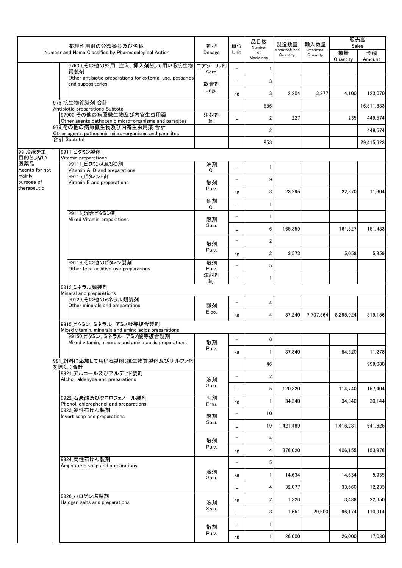| Manufactured<br>Imported<br>Number and Name Classified by Pharmacological Action<br>Unit<br>数量<br>Dosage<br>of<br>金額<br>Quantity<br>Quantity<br>Medicines<br>Quantity<br>Amount<br>97639_その他の外用, 注入, 挿入剤として用いる抗生物<br>エアゾール剤<br>$\mathbf{1}$<br>質製剤<br>Aero.<br>Other antibiotic preparations for external use, pessaries<br>3<br>$\overline{\phantom{0}}$<br>and suppositories<br>軟膏剤<br>Ungu.<br>3<br>4,100<br>2,204<br>3,277<br>kg<br>976 抗生物質製剤 合計<br>556<br>Antibiotic preparations Subtotal<br>97900 その他の病原微生物及び内寄生虫用薬<br>注射剤<br>2<br>227<br>235<br>L<br>Other agents pathogenic micro-organisms and parasites<br>Inj.<br>979 その他の病原微生物及び内寄生虫用薬 合計<br>2<br>Other agents pathogenic micro-organisms and parasites<br>合計 Subtotal<br>953<br>99_治療を主<br>9911 ビタミン製剤<br>目的としない<br>Vitamin preparations<br>医薬品<br>99111 ビタミンA及びD剤<br>油剤<br>$\overline{\phantom{0}}$<br>1<br>Agents for not<br>Vitamin A, D and preparations<br>Oil<br>mainly<br>99115 ビタミンE剤<br>9<br>$\overline{\phantom{0}}$<br>purpose of<br>散剤<br>Viramin E and preparations<br>therapeutic<br>Pulv.<br>3<br>23,295<br>22,370<br>kg<br>油剤<br>$\overline{\phantom{0}}$<br>$\mathbf{1}$<br>Oil<br>99116_混合ビタミン剤<br>$\qquad \qquad -$<br>$\mathbf{1}$<br>液剤<br>Mixed Vitamin preparations<br>Solu.<br>L<br>6<br>165,359<br>161,827<br>$\overline{2}$<br>$\qquad \qquad -$<br>散剤<br>Pulv.<br>2<br>3,573<br>5,058<br>kg<br>99119 その他のビタミン製剤<br>散剤<br>5<br>$\qquad \qquad -$<br>Other feed additive use prepararions<br>Pulv.<br>注射剤<br>$\mathbf{1}$<br>$\overline{a}$<br>Inj.<br>9912 ミネラル類製剤<br>Mineral and preparetions<br>99129_その他のミネラル類製剤<br>4<br>$\overline{\phantom{0}}$<br>舐剤<br>Other minerals and preparations<br>Elec.<br>8,295,924<br>4<br>37,240<br>7,707,564<br>kg<br>9915 ビタミン、ミネラル、アミノ酸等複合製剤<br>Mixed vitamin, minerals and amino acids preparations<br>99150_ビタミン, ミネラル, アミノ酸等複合製剤<br>b<br>散剤<br>Mixed vitamin, minerals and amino acids preparations<br>Pulv.<br>$\mathbf{1}$<br>87.840<br>84,520<br>kg<br>991 飼料に添加して用いる製剤(抗生物質製剤及びサルファ剤<br>46<br>を除く。)合計<br>9921_アルコール及びアルデヒド製剤<br>$\overline{2}$<br>$\qquad \qquad -$<br>液剤<br>Alchol, aldehyde and preparations<br>Solu.<br>5 <sup>1</sup><br>120,320<br>L<br>114,740<br>9922 石炭酸及びクロロフェノール製剤<br>乳剤<br>34.340<br>34,340<br>kg<br>1 I<br>Phenol, chlorophenol and preparations<br>Emu.<br>9923 逆性石けん製剤<br>10 <sub>1</sub><br>$\qquad \qquad -$<br>液剤<br>Invert soap and preparations<br>Solu.<br>1,421,489<br>L<br>19<br>1,416,231<br>$\qquad \qquad -$<br>$\overline{4}$<br>散剤<br>Pulv.<br>376,020<br>406,155<br>4<br>kg<br>9924 両性石けん製剤<br>$5\phantom{.0}$<br>$\qquad \qquad -$<br>Amphoteric soap and preparations<br>液剤<br>14,634<br>14,634<br>1 <sup>1</sup><br>kg<br>Solu.<br>32,077<br>L<br>4<br>33,660<br>9926 ハロゲン塩製剤<br>$\overline{2}$<br>1,326<br>3,438<br>kg<br>液剤<br>Halogen salts and preparations<br>Solu.<br>Г<br>3<br>29,600<br>1,651<br>96,174<br>$\qquad \qquad -$<br>$\mathbf{1}$<br>散剤<br>Pulv.<br>26,000<br>26,000<br>kg<br>$\mathbf{1}$ |  |  |                |    |    | 品目数    | 製造数量 | 輸入数量 | 販売高<br>Sales |  |
|---------------------------------------------------------------------------------------------------------------------------------------------------------------------------------------------------------------------------------------------------------------------------------------------------------------------------------------------------------------------------------------------------------------------------------------------------------------------------------------------------------------------------------------------------------------------------------------------------------------------------------------------------------------------------------------------------------------------------------------------------------------------------------------------------------------------------------------------------------------------------------------------------------------------------------------------------------------------------------------------------------------------------------------------------------------------------------------------------------------------------------------------------------------------------------------------------------------------------------------------------------------------------------------------------------------------------------------------------------------------------------------------------------------------------------------------------------------------------------------------------------------------------------------------------------------------------------------------------------------------------------------------------------------------------------------------------------------------------------------------------------------------------------------------------------------------------------------------------------------------------------------------------------------------------------------------------------------------------------------------------------------------------------------------------------------------------------------------------------------------------------------------------------------------------------------------------------------------------------------------------------------------------------------------------------------------------------------------------------------------------------------------------------------------------------------------------------------------------------------------------------------------------------------------------------------------------------------------------------------------------------------------------------------------------------------------------------------------------------------------------------------------------------------------------------------------------------------------------------------------------------------------------------------------------------------------------------------------------------------------------|--|--|----------------|----|----|--------|------|------|--------------|--|
|                                                                                                                                                                                                                                                                                                                                                                                                                                                                                                                                                                                                                                                                                                                                                                                                                                                                                                                                                                                                                                                                                                                                                                                                                                                                                                                                                                                                                                                                                                                                                                                                                                                                                                                                                                                                                                                                                                                                                                                                                                                                                                                                                                                                                                                                                                                                                                                                                                                                                                                                                                                                                                                                                                                                                                                                                                                                                                                                                                                                   |  |  | 薬理作用別の分類番号及び名称 | 剤型 | 単位 | Number |      |      |              |  |
|                                                                                                                                                                                                                                                                                                                                                                                                                                                                                                                                                                                                                                                                                                                                                                                                                                                                                                                                                                                                                                                                                                                                                                                                                                                                                                                                                                                                                                                                                                                                                                                                                                                                                                                                                                                                                                                                                                                                                                                                                                                                                                                                                                                                                                                                                                                                                                                                                                                                                                                                                                                                                                                                                                                                                                                                                                                                                                                                                                                                   |  |  |                |    |    |        |      |      |              |  |
| 123,070<br>16,511,883<br>449.574<br>449,574<br>29,415,623<br>11,304<br>151,483<br>5,859<br>819,156<br>11,278<br>999.080<br>157.404<br>30,144<br>641,625<br>153,976<br>5,935<br>12,233<br>22,350<br>110,914<br>17,030                                                                                                                                                                                                                                                                                                                                                                                                                                                                                                                                                                                                                                                                                                                                                                                                                                                                                                                                                                                                                                                                                                                                                                                                                                                                                                                                                                                                                                                                                                                                                                                                                                                                                                                                                                                                                                                                                                                                                                                                                                                                                                                                                                                                                                                                                                                                                                                                                                                                                                                                                                                                                                                                                                                                                                              |  |  |                |    |    |        |      |      |              |  |
|                                                                                                                                                                                                                                                                                                                                                                                                                                                                                                                                                                                                                                                                                                                                                                                                                                                                                                                                                                                                                                                                                                                                                                                                                                                                                                                                                                                                                                                                                                                                                                                                                                                                                                                                                                                                                                                                                                                                                                                                                                                                                                                                                                                                                                                                                                                                                                                                                                                                                                                                                                                                                                                                                                                                                                                                                                                                                                                                                                                                   |  |  |                |    |    |        |      |      |              |  |
|                                                                                                                                                                                                                                                                                                                                                                                                                                                                                                                                                                                                                                                                                                                                                                                                                                                                                                                                                                                                                                                                                                                                                                                                                                                                                                                                                                                                                                                                                                                                                                                                                                                                                                                                                                                                                                                                                                                                                                                                                                                                                                                                                                                                                                                                                                                                                                                                                                                                                                                                                                                                                                                                                                                                                                                                                                                                                                                                                                                                   |  |  |                |    |    |        |      |      |              |  |
|                                                                                                                                                                                                                                                                                                                                                                                                                                                                                                                                                                                                                                                                                                                                                                                                                                                                                                                                                                                                                                                                                                                                                                                                                                                                                                                                                                                                                                                                                                                                                                                                                                                                                                                                                                                                                                                                                                                                                                                                                                                                                                                                                                                                                                                                                                                                                                                                                                                                                                                                                                                                                                                                                                                                                                                                                                                                                                                                                                                                   |  |  |                |    |    |        |      |      |              |  |
|                                                                                                                                                                                                                                                                                                                                                                                                                                                                                                                                                                                                                                                                                                                                                                                                                                                                                                                                                                                                                                                                                                                                                                                                                                                                                                                                                                                                                                                                                                                                                                                                                                                                                                                                                                                                                                                                                                                                                                                                                                                                                                                                                                                                                                                                                                                                                                                                                                                                                                                                                                                                                                                                                                                                                                                                                                                                                                                                                                                                   |  |  |                |    |    |        |      |      |              |  |
|                                                                                                                                                                                                                                                                                                                                                                                                                                                                                                                                                                                                                                                                                                                                                                                                                                                                                                                                                                                                                                                                                                                                                                                                                                                                                                                                                                                                                                                                                                                                                                                                                                                                                                                                                                                                                                                                                                                                                                                                                                                                                                                                                                                                                                                                                                                                                                                                                                                                                                                                                                                                                                                                                                                                                                                                                                                                                                                                                                                                   |  |  |                |    |    |        |      |      |              |  |
|                                                                                                                                                                                                                                                                                                                                                                                                                                                                                                                                                                                                                                                                                                                                                                                                                                                                                                                                                                                                                                                                                                                                                                                                                                                                                                                                                                                                                                                                                                                                                                                                                                                                                                                                                                                                                                                                                                                                                                                                                                                                                                                                                                                                                                                                                                                                                                                                                                                                                                                                                                                                                                                                                                                                                                                                                                                                                                                                                                                                   |  |  |                |    |    |        |      |      |              |  |
|                                                                                                                                                                                                                                                                                                                                                                                                                                                                                                                                                                                                                                                                                                                                                                                                                                                                                                                                                                                                                                                                                                                                                                                                                                                                                                                                                                                                                                                                                                                                                                                                                                                                                                                                                                                                                                                                                                                                                                                                                                                                                                                                                                                                                                                                                                                                                                                                                                                                                                                                                                                                                                                                                                                                                                                                                                                                                                                                                                                                   |  |  |                |    |    |        |      |      |              |  |
|                                                                                                                                                                                                                                                                                                                                                                                                                                                                                                                                                                                                                                                                                                                                                                                                                                                                                                                                                                                                                                                                                                                                                                                                                                                                                                                                                                                                                                                                                                                                                                                                                                                                                                                                                                                                                                                                                                                                                                                                                                                                                                                                                                                                                                                                                                                                                                                                                                                                                                                                                                                                                                                                                                                                                                                                                                                                                                                                                                                                   |  |  |                |    |    |        |      |      |              |  |
|                                                                                                                                                                                                                                                                                                                                                                                                                                                                                                                                                                                                                                                                                                                                                                                                                                                                                                                                                                                                                                                                                                                                                                                                                                                                                                                                                                                                                                                                                                                                                                                                                                                                                                                                                                                                                                                                                                                                                                                                                                                                                                                                                                                                                                                                                                                                                                                                                                                                                                                                                                                                                                                                                                                                                                                                                                                                                                                                                                                                   |  |  |                |    |    |        |      |      |              |  |
|                                                                                                                                                                                                                                                                                                                                                                                                                                                                                                                                                                                                                                                                                                                                                                                                                                                                                                                                                                                                                                                                                                                                                                                                                                                                                                                                                                                                                                                                                                                                                                                                                                                                                                                                                                                                                                                                                                                                                                                                                                                                                                                                                                                                                                                                                                                                                                                                                                                                                                                                                                                                                                                                                                                                                                                                                                                                                                                                                                                                   |  |  |                |    |    |        |      |      |              |  |
|                                                                                                                                                                                                                                                                                                                                                                                                                                                                                                                                                                                                                                                                                                                                                                                                                                                                                                                                                                                                                                                                                                                                                                                                                                                                                                                                                                                                                                                                                                                                                                                                                                                                                                                                                                                                                                                                                                                                                                                                                                                                                                                                                                                                                                                                                                                                                                                                                                                                                                                                                                                                                                                                                                                                                                                                                                                                                                                                                                                                   |  |  |                |    |    |        |      |      |              |  |
|                                                                                                                                                                                                                                                                                                                                                                                                                                                                                                                                                                                                                                                                                                                                                                                                                                                                                                                                                                                                                                                                                                                                                                                                                                                                                                                                                                                                                                                                                                                                                                                                                                                                                                                                                                                                                                                                                                                                                                                                                                                                                                                                                                                                                                                                                                                                                                                                                                                                                                                                                                                                                                                                                                                                                                                                                                                                                                                                                                                                   |  |  |                |    |    |        |      |      |              |  |
|                                                                                                                                                                                                                                                                                                                                                                                                                                                                                                                                                                                                                                                                                                                                                                                                                                                                                                                                                                                                                                                                                                                                                                                                                                                                                                                                                                                                                                                                                                                                                                                                                                                                                                                                                                                                                                                                                                                                                                                                                                                                                                                                                                                                                                                                                                                                                                                                                                                                                                                                                                                                                                                                                                                                                                                                                                                                                                                                                                                                   |  |  |                |    |    |        |      |      |              |  |
|                                                                                                                                                                                                                                                                                                                                                                                                                                                                                                                                                                                                                                                                                                                                                                                                                                                                                                                                                                                                                                                                                                                                                                                                                                                                                                                                                                                                                                                                                                                                                                                                                                                                                                                                                                                                                                                                                                                                                                                                                                                                                                                                                                                                                                                                                                                                                                                                                                                                                                                                                                                                                                                                                                                                                                                                                                                                                                                                                                                                   |  |  |                |    |    |        |      |      |              |  |
|                                                                                                                                                                                                                                                                                                                                                                                                                                                                                                                                                                                                                                                                                                                                                                                                                                                                                                                                                                                                                                                                                                                                                                                                                                                                                                                                                                                                                                                                                                                                                                                                                                                                                                                                                                                                                                                                                                                                                                                                                                                                                                                                                                                                                                                                                                                                                                                                                                                                                                                                                                                                                                                                                                                                                                                                                                                                                                                                                                                                   |  |  |                |    |    |        |      |      |              |  |
|                                                                                                                                                                                                                                                                                                                                                                                                                                                                                                                                                                                                                                                                                                                                                                                                                                                                                                                                                                                                                                                                                                                                                                                                                                                                                                                                                                                                                                                                                                                                                                                                                                                                                                                                                                                                                                                                                                                                                                                                                                                                                                                                                                                                                                                                                                                                                                                                                                                                                                                                                                                                                                                                                                                                                                                                                                                                                                                                                                                                   |  |  |                |    |    |        |      |      |              |  |
|                                                                                                                                                                                                                                                                                                                                                                                                                                                                                                                                                                                                                                                                                                                                                                                                                                                                                                                                                                                                                                                                                                                                                                                                                                                                                                                                                                                                                                                                                                                                                                                                                                                                                                                                                                                                                                                                                                                                                                                                                                                                                                                                                                                                                                                                                                                                                                                                                                                                                                                                                                                                                                                                                                                                                                                                                                                                                                                                                                                                   |  |  |                |    |    |        |      |      |              |  |
|                                                                                                                                                                                                                                                                                                                                                                                                                                                                                                                                                                                                                                                                                                                                                                                                                                                                                                                                                                                                                                                                                                                                                                                                                                                                                                                                                                                                                                                                                                                                                                                                                                                                                                                                                                                                                                                                                                                                                                                                                                                                                                                                                                                                                                                                                                                                                                                                                                                                                                                                                                                                                                                                                                                                                                                                                                                                                                                                                                                                   |  |  |                |    |    |        |      |      |              |  |
|                                                                                                                                                                                                                                                                                                                                                                                                                                                                                                                                                                                                                                                                                                                                                                                                                                                                                                                                                                                                                                                                                                                                                                                                                                                                                                                                                                                                                                                                                                                                                                                                                                                                                                                                                                                                                                                                                                                                                                                                                                                                                                                                                                                                                                                                                                                                                                                                                                                                                                                                                                                                                                                                                                                                                                                                                                                                                                                                                                                                   |  |  |                |    |    |        |      |      |              |  |
|                                                                                                                                                                                                                                                                                                                                                                                                                                                                                                                                                                                                                                                                                                                                                                                                                                                                                                                                                                                                                                                                                                                                                                                                                                                                                                                                                                                                                                                                                                                                                                                                                                                                                                                                                                                                                                                                                                                                                                                                                                                                                                                                                                                                                                                                                                                                                                                                                                                                                                                                                                                                                                                                                                                                                                                                                                                                                                                                                                                                   |  |  |                |    |    |        |      |      |              |  |
|                                                                                                                                                                                                                                                                                                                                                                                                                                                                                                                                                                                                                                                                                                                                                                                                                                                                                                                                                                                                                                                                                                                                                                                                                                                                                                                                                                                                                                                                                                                                                                                                                                                                                                                                                                                                                                                                                                                                                                                                                                                                                                                                                                                                                                                                                                                                                                                                                                                                                                                                                                                                                                                                                                                                                                                                                                                                                                                                                                                                   |  |  |                |    |    |        |      |      |              |  |
|                                                                                                                                                                                                                                                                                                                                                                                                                                                                                                                                                                                                                                                                                                                                                                                                                                                                                                                                                                                                                                                                                                                                                                                                                                                                                                                                                                                                                                                                                                                                                                                                                                                                                                                                                                                                                                                                                                                                                                                                                                                                                                                                                                                                                                                                                                                                                                                                                                                                                                                                                                                                                                                                                                                                                                                                                                                                                                                                                                                                   |  |  |                |    |    |        |      |      |              |  |
|                                                                                                                                                                                                                                                                                                                                                                                                                                                                                                                                                                                                                                                                                                                                                                                                                                                                                                                                                                                                                                                                                                                                                                                                                                                                                                                                                                                                                                                                                                                                                                                                                                                                                                                                                                                                                                                                                                                                                                                                                                                                                                                                                                                                                                                                                                                                                                                                                                                                                                                                                                                                                                                                                                                                                                                                                                                                                                                                                                                                   |  |  |                |    |    |        |      |      |              |  |
|                                                                                                                                                                                                                                                                                                                                                                                                                                                                                                                                                                                                                                                                                                                                                                                                                                                                                                                                                                                                                                                                                                                                                                                                                                                                                                                                                                                                                                                                                                                                                                                                                                                                                                                                                                                                                                                                                                                                                                                                                                                                                                                                                                                                                                                                                                                                                                                                                                                                                                                                                                                                                                                                                                                                                                                                                                                                                                                                                                                                   |  |  |                |    |    |        |      |      |              |  |
|                                                                                                                                                                                                                                                                                                                                                                                                                                                                                                                                                                                                                                                                                                                                                                                                                                                                                                                                                                                                                                                                                                                                                                                                                                                                                                                                                                                                                                                                                                                                                                                                                                                                                                                                                                                                                                                                                                                                                                                                                                                                                                                                                                                                                                                                                                                                                                                                                                                                                                                                                                                                                                                                                                                                                                                                                                                                                                                                                                                                   |  |  |                |    |    |        |      |      |              |  |
|                                                                                                                                                                                                                                                                                                                                                                                                                                                                                                                                                                                                                                                                                                                                                                                                                                                                                                                                                                                                                                                                                                                                                                                                                                                                                                                                                                                                                                                                                                                                                                                                                                                                                                                                                                                                                                                                                                                                                                                                                                                                                                                                                                                                                                                                                                                                                                                                                                                                                                                                                                                                                                                                                                                                                                                                                                                                                                                                                                                                   |  |  |                |    |    |        |      |      |              |  |
|                                                                                                                                                                                                                                                                                                                                                                                                                                                                                                                                                                                                                                                                                                                                                                                                                                                                                                                                                                                                                                                                                                                                                                                                                                                                                                                                                                                                                                                                                                                                                                                                                                                                                                                                                                                                                                                                                                                                                                                                                                                                                                                                                                                                                                                                                                                                                                                                                                                                                                                                                                                                                                                                                                                                                                                                                                                                                                                                                                                                   |  |  |                |    |    |        |      |      |              |  |
|                                                                                                                                                                                                                                                                                                                                                                                                                                                                                                                                                                                                                                                                                                                                                                                                                                                                                                                                                                                                                                                                                                                                                                                                                                                                                                                                                                                                                                                                                                                                                                                                                                                                                                                                                                                                                                                                                                                                                                                                                                                                                                                                                                                                                                                                                                                                                                                                                                                                                                                                                                                                                                                                                                                                                                                                                                                                                                                                                                                                   |  |  |                |    |    |        |      |      |              |  |
|                                                                                                                                                                                                                                                                                                                                                                                                                                                                                                                                                                                                                                                                                                                                                                                                                                                                                                                                                                                                                                                                                                                                                                                                                                                                                                                                                                                                                                                                                                                                                                                                                                                                                                                                                                                                                                                                                                                                                                                                                                                                                                                                                                                                                                                                                                                                                                                                                                                                                                                                                                                                                                                                                                                                                                                                                                                                                                                                                                                                   |  |  |                |    |    |        |      |      |              |  |
|                                                                                                                                                                                                                                                                                                                                                                                                                                                                                                                                                                                                                                                                                                                                                                                                                                                                                                                                                                                                                                                                                                                                                                                                                                                                                                                                                                                                                                                                                                                                                                                                                                                                                                                                                                                                                                                                                                                                                                                                                                                                                                                                                                                                                                                                                                                                                                                                                                                                                                                                                                                                                                                                                                                                                                                                                                                                                                                                                                                                   |  |  |                |    |    |        |      |      |              |  |
|                                                                                                                                                                                                                                                                                                                                                                                                                                                                                                                                                                                                                                                                                                                                                                                                                                                                                                                                                                                                                                                                                                                                                                                                                                                                                                                                                                                                                                                                                                                                                                                                                                                                                                                                                                                                                                                                                                                                                                                                                                                                                                                                                                                                                                                                                                                                                                                                                                                                                                                                                                                                                                                                                                                                                                                                                                                                                                                                                                                                   |  |  |                |    |    |        |      |      |              |  |
|                                                                                                                                                                                                                                                                                                                                                                                                                                                                                                                                                                                                                                                                                                                                                                                                                                                                                                                                                                                                                                                                                                                                                                                                                                                                                                                                                                                                                                                                                                                                                                                                                                                                                                                                                                                                                                                                                                                                                                                                                                                                                                                                                                                                                                                                                                                                                                                                                                                                                                                                                                                                                                                                                                                                                                                                                                                                                                                                                                                                   |  |  |                |    |    |        |      |      |              |  |
|                                                                                                                                                                                                                                                                                                                                                                                                                                                                                                                                                                                                                                                                                                                                                                                                                                                                                                                                                                                                                                                                                                                                                                                                                                                                                                                                                                                                                                                                                                                                                                                                                                                                                                                                                                                                                                                                                                                                                                                                                                                                                                                                                                                                                                                                                                                                                                                                                                                                                                                                                                                                                                                                                                                                                                                                                                                                                                                                                                                                   |  |  |                |    |    |        |      |      |              |  |
|                                                                                                                                                                                                                                                                                                                                                                                                                                                                                                                                                                                                                                                                                                                                                                                                                                                                                                                                                                                                                                                                                                                                                                                                                                                                                                                                                                                                                                                                                                                                                                                                                                                                                                                                                                                                                                                                                                                                                                                                                                                                                                                                                                                                                                                                                                                                                                                                                                                                                                                                                                                                                                                                                                                                                                                                                                                                                                                                                                                                   |  |  |                |    |    |        |      |      |              |  |
|                                                                                                                                                                                                                                                                                                                                                                                                                                                                                                                                                                                                                                                                                                                                                                                                                                                                                                                                                                                                                                                                                                                                                                                                                                                                                                                                                                                                                                                                                                                                                                                                                                                                                                                                                                                                                                                                                                                                                                                                                                                                                                                                                                                                                                                                                                                                                                                                                                                                                                                                                                                                                                                                                                                                                                                                                                                                                                                                                                                                   |  |  |                |    |    |        |      |      |              |  |
|                                                                                                                                                                                                                                                                                                                                                                                                                                                                                                                                                                                                                                                                                                                                                                                                                                                                                                                                                                                                                                                                                                                                                                                                                                                                                                                                                                                                                                                                                                                                                                                                                                                                                                                                                                                                                                                                                                                                                                                                                                                                                                                                                                                                                                                                                                                                                                                                                                                                                                                                                                                                                                                                                                                                                                                                                                                                                                                                                                                                   |  |  |                |    |    |        |      |      |              |  |
|                                                                                                                                                                                                                                                                                                                                                                                                                                                                                                                                                                                                                                                                                                                                                                                                                                                                                                                                                                                                                                                                                                                                                                                                                                                                                                                                                                                                                                                                                                                                                                                                                                                                                                                                                                                                                                                                                                                                                                                                                                                                                                                                                                                                                                                                                                                                                                                                                                                                                                                                                                                                                                                                                                                                                                                                                                                                                                                                                                                                   |  |  |                |    |    |        |      |      |              |  |
|                                                                                                                                                                                                                                                                                                                                                                                                                                                                                                                                                                                                                                                                                                                                                                                                                                                                                                                                                                                                                                                                                                                                                                                                                                                                                                                                                                                                                                                                                                                                                                                                                                                                                                                                                                                                                                                                                                                                                                                                                                                                                                                                                                                                                                                                                                                                                                                                                                                                                                                                                                                                                                                                                                                                                                                                                                                                                                                                                                                                   |  |  |                |    |    |        |      |      |              |  |
|                                                                                                                                                                                                                                                                                                                                                                                                                                                                                                                                                                                                                                                                                                                                                                                                                                                                                                                                                                                                                                                                                                                                                                                                                                                                                                                                                                                                                                                                                                                                                                                                                                                                                                                                                                                                                                                                                                                                                                                                                                                                                                                                                                                                                                                                                                                                                                                                                                                                                                                                                                                                                                                                                                                                                                                                                                                                                                                                                                                                   |  |  |                |    |    |        |      |      |              |  |
|                                                                                                                                                                                                                                                                                                                                                                                                                                                                                                                                                                                                                                                                                                                                                                                                                                                                                                                                                                                                                                                                                                                                                                                                                                                                                                                                                                                                                                                                                                                                                                                                                                                                                                                                                                                                                                                                                                                                                                                                                                                                                                                                                                                                                                                                                                                                                                                                                                                                                                                                                                                                                                                                                                                                                                                                                                                                                                                                                                                                   |  |  |                |    |    |        |      |      |              |  |
|                                                                                                                                                                                                                                                                                                                                                                                                                                                                                                                                                                                                                                                                                                                                                                                                                                                                                                                                                                                                                                                                                                                                                                                                                                                                                                                                                                                                                                                                                                                                                                                                                                                                                                                                                                                                                                                                                                                                                                                                                                                                                                                                                                                                                                                                                                                                                                                                                                                                                                                                                                                                                                                                                                                                                                                                                                                                                                                                                                                                   |  |  |                |    |    |        |      |      |              |  |
|                                                                                                                                                                                                                                                                                                                                                                                                                                                                                                                                                                                                                                                                                                                                                                                                                                                                                                                                                                                                                                                                                                                                                                                                                                                                                                                                                                                                                                                                                                                                                                                                                                                                                                                                                                                                                                                                                                                                                                                                                                                                                                                                                                                                                                                                                                                                                                                                                                                                                                                                                                                                                                                                                                                                                                                                                                                                                                                                                                                                   |  |  |                |    |    |        |      |      |              |  |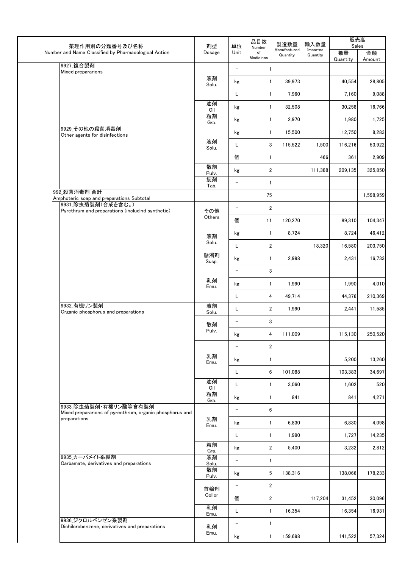| 薬理作用別の分類番号及び名称                                                                    | 剤型                   | 単位                       | 品目数                       | 製造数量                     | 輸入数量                 | 販売高<br>Sales   |              |
|-----------------------------------------------------------------------------------|----------------------|--------------------------|---------------------------|--------------------------|----------------------|----------------|--------------|
| Number and Name Classified by Pharmacological Action                              | Dosage               | Unit                     | Number<br>of<br>Medicines | Manufactured<br>Quantity | Imported<br>Quantity | 数量<br>Quantity | 金額<br>Amount |
| 9927_複合製剤<br>Mixed prepararions                                                   |                      | $\overline{\phantom{a}}$ | 1                         |                          |                      |                |              |
|                                                                                   | 液剤<br>Solu.          | kg                       | $\mathbf{1}$              | 39,973                   |                      | 40,554         | 28,805       |
|                                                                                   |                      | L                        | $\mathbf{1}$              | 7,960                    |                      | 7,160          | 9,088        |
|                                                                                   | 油剤<br>Oil            | kg                       | 1                         | 32,508                   |                      | 30,258         | 16,766       |
|                                                                                   | 粒剤<br>Gra.           | kg                       | 1 <sup>1</sup>            | 2,970                    |                      | 1,980          | 1,725        |
| 9929 その他の殺菌消毒剤<br>Other agents for disinfections                                  |                      | kg                       | $\mathbf{1}$              | 15,500                   |                      | 12,750         | 8,283        |
|                                                                                   | 液剤<br>Solu.          | L                        | 3 <sup>1</sup>            | 115,522                  | 1,500                | 116,216        | 53,922       |
|                                                                                   |                      | 個                        | 1                         |                          | 466                  | 361            | 2,909        |
|                                                                                   | 散剤<br>Pulv.          | kg                       | $\overline{2}$            |                          | 111,388              | 209,135        | 325,850      |
|                                                                                   | 錠剤<br>Tab.           | $\overline{\phantom{a}}$ | $\mathbf{1}$              |                          |                      |                |              |
| 992 殺菌消毒剤 合計<br>Amphoteric soap and preparations Subtotal                         |                      |                          | 75                        |                          |                      |                | 1,598,959    |
| 9931 除虫菊製剤(合成を含む。)<br>Pyrethrum and preparations (includind synthetic)            | その他                  | $\qquad \qquad -$        | $\overline{2}$            |                          |                      |                |              |
|                                                                                   | Others               | 個                        | 11                        | 120,270                  |                      | 89,310         | 104,347      |
|                                                                                   | 液剤                   | kg                       | $\mathbf{1}$              | 8,724                    |                      | 8,724          | 46,412       |
|                                                                                   | Solu.                | L                        | $\overline{2}$            |                          | 18,320               | 16,580         | 203,750      |
|                                                                                   | 懸濁剤<br>Susp.         | kg                       | 1                         | 2,998                    |                      | 2,431          | 16,733       |
|                                                                                   |                      | $\overline{\phantom{a}}$ | $\overline{3}$            |                          |                      |                |              |
|                                                                                   | 乳剤<br>Emu.           | kg                       | $\mathbf{1}$              | 1,990                    |                      | 1,990          | 4,010        |
|                                                                                   |                      | L                        | $\overline{4}$            | 49,714                   |                      | 44,376         | 210,369      |
| 9932 有機リン製剤<br>Organic phosphorus and preparations                                | 液剤<br>Solu.          | L                        | $\overline{2}$            | 1,990                    |                      | 2,441          | 11,585       |
|                                                                                   | 散剤                   | $\qquad \qquad -$        | $\overline{3}$            |                          |                      |                |              |
|                                                                                   | Pulv.                | kg                       | $4\vert$                  | 111,009                  |                      | 115,130        | 250,520      |
|                                                                                   |                      | $\overline{\phantom{a}}$ | $\overline{2}$            |                          |                      |                |              |
|                                                                                   | 乳剤<br>Emu.           | kg                       | 1                         |                          |                      | 5,200          | 13,260       |
|                                                                                   |                      | L                        | 6 <sup>1</sup>            | 101,088                  |                      | 103,383        | 34,697       |
|                                                                                   | 油剤<br>Oil            | L                        | $\mathbf{1}$              | 3,060                    |                      | 1,602          | 520          |
|                                                                                   | 粒剤<br>Gra.           | kg                       | 1 <sup>1</sup>            | 841                      |                      | 841            | 4,271        |
| 9933 除虫菊製剤・有機リン酸等含有製剤<br>Mixed prepararions of pyrecthrum, organic phosphorus and |                      | $\equiv$                 | 6 <sup>1</sup>            |                          |                      |                |              |
| preparations                                                                      | 乳剤<br>Emu.           | kg                       | $\mathbf{1}$              | 6,830                    |                      | 6,830          | 4,098        |
|                                                                                   |                      | L                        | 1 <sup>1</sup>            | 1,990                    |                      | 1,727          | 14,235       |
|                                                                                   | 粒剤                   | kg                       | $\overline{2}$            | 5,400                    |                      | 3,232          | 2,812        |
| 9935 カーバメイト系製剤<br>Carbamate, derivatives and preparations                         | Gra.<br>液剤           | $\equiv$                 | 1                         |                          |                      |                |              |
|                                                                                   | Solu.<br>散剤<br>Pulv. | kg                       | 5 <sub>l</sub>            | 138,316                  |                      | 138,066        | 178,233      |
|                                                                                   | 首輪剤                  | $\overline{\phantom{0}}$ | $\overline{2}$            |                          |                      |                |              |
|                                                                                   | Collor               | 個                        | $\overline{2}$            |                          | 117,204              | 31,452         | 30,096       |
|                                                                                   | 乳剤<br>Emu.           | L                        | $\mathbf{1}$              | 16,354                   |                      | 16,354         | 16,931       |
| 9936 ジクロルベンゼン系製剤<br>Dichilorobenzene, derivatives and preparations                | 乳剤                   | $\overline{\phantom{a}}$ | 1                         |                          |                      |                |              |
|                                                                                   | Emu.                 | kg                       | $\mathbf{1}$              | 159,698                  |                      | 141,522        | 57,324       |
|                                                                                   |                      |                          |                           |                          |                      |                |              |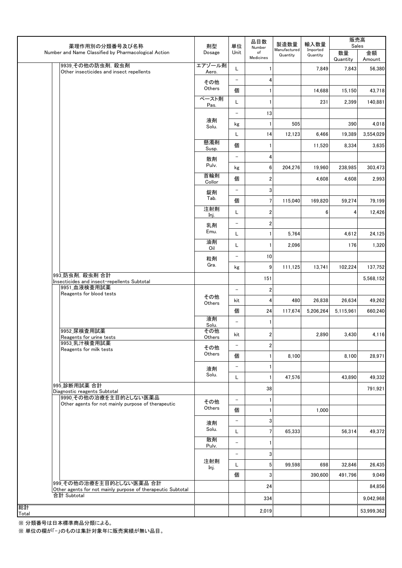| 薬理作用別の分類番号及び名称                                                                          | 剤型              | 単位                       | 品目数<br>Number    | 製造数量                     | 輸入数量                 | 販売高<br>Sales   |              |
|-----------------------------------------------------------------------------------------|-----------------|--------------------------|------------------|--------------------------|----------------------|----------------|--------------|
| Number and Name Classified by Pharmacological Action                                    | Dosage          | Unit                     | of<br>Medicines  | Manufactured<br>Quantity | Imported<br>Quantity | 数量<br>Quantity | 金額<br>Amount |
| 9939 その他の防虫剤, 殺虫剤<br>Other insecticides and insect repellents                           | エアゾール剤<br>Aero. | L                        |                  |                          | 7,849                | 7,843          | 56,380       |
|                                                                                         | その他             | $\qquad \qquad -$        | 4                |                          |                      |                |              |
|                                                                                         | Others          | 個                        | 1                |                          | 14,688               | 15,150         | 43,718       |
|                                                                                         | ペースト剤<br>Pas.   | L                        | 1                |                          | 231                  | 2,399          | 140,881      |
|                                                                                         |                 | $\qquad \qquad -$        | 13               |                          |                      |                |              |
|                                                                                         | 液剤<br>Solu.     | kg                       | 1                | 505                      |                      | 390            | 4,018        |
|                                                                                         |                 | L                        | 14               | 12,123                   | 6,466                | 19,389         | 3,554,029    |
|                                                                                         | 懸濁剤<br>Susp.    | 個                        | 1                |                          | 11,520               | 8,334          | 3,635        |
|                                                                                         | 散剤<br>Pulv.     | $\qquad \qquad -$        | 4                |                          |                      |                |              |
|                                                                                         | 首輪剤             | kg                       | 6                | 204,276                  | 19,960               | 238,985        | 303,473      |
|                                                                                         | Collor          | 個                        | $\overline{c}$   |                          | 4,608                | 4,608          | 2,993        |
|                                                                                         | 錠剤              | $\overline{\phantom{m}}$ | 3                |                          |                      |                |              |
|                                                                                         | Tab.<br>注射剤     | 個                        | $7\phantom{.0}$  | 115.040                  | 169,820              | 59,274         | 79,199       |
|                                                                                         | Inj.            | L                        | $\boldsymbol{2}$ |                          | 6                    | 4              | 12,426       |
|                                                                                         | 乳剤              | $\qquad \qquad -$        | $\boldsymbol{2}$ |                          |                      |                |              |
|                                                                                         | Emu.<br>油剤      | L                        | 1                | 5,764                    |                      | 4,612          | 24,125       |
|                                                                                         | Oil             | L                        | 1                | 2,096                    |                      | 176            | 1,320        |
|                                                                                         | 粒剤              | $\qquad \qquad -$        | 10               |                          |                      |                |              |
|                                                                                         | Gra.            | kg                       | 9                | 111,125                  | 13,741               | 102,224        | 137,752      |
| 993 防虫剤, 殺虫剤 合計<br>Insecticides and insect-repellents Subtotal                          |                 |                          | 151              |                          |                      |                | 5,568,152    |
| 9951 血液検査用試薬<br>Reagents for blood tests                                                |                 | $\qquad \qquad -$        | $\overline{2}$   |                          |                      |                |              |
|                                                                                         | その他<br>Others   | kit                      | 4                | 480                      | 26,838               | 26,634         | 49,262       |
|                                                                                         |                 | 個                        | 24               | 117,674                  | 5,206,264            | 5,115,961      | 660,240      |
|                                                                                         | 液剤<br>Solu.     | $\overline{\phantom{a}}$ | 1                |                          |                      |                |              |
| 9952 尿検査用試薬<br>Reagents for urine tests                                                 | その他<br>Others   | kit                      | $\boldsymbol{2}$ |                          | 2,890                | 3,430          | 4,116        |
| 9953 乳汁検査用試薬<br>Reagents for milk tests                                                 | その他             | $\qquad \qquad -$        | 2                |                          |                      |                |              |
|                                                                                         | Others          | 個                        |                  | 8,100                    |                      | 8,100          | 28,971       |
|                                                                                         | 液剤              | $\qquad \qquad -$        |                  |                          |                      |                |              |
|                                                                                         | Solu.           | L                        |                  | 47.576                   |                      | 43,890         | 49,332       |
| 995 診断用試薬 合計<br>Diagnostic reagents Subtotal                                            |                 |                          | 38               |                          |                      |                | 791,921      |
| 9990 その他の治療を主目的としない医薬品<br>Other agents for not mainly purpose of therapeutic            | その他             | $\qquad \qquad -$        | 1                |                          |                      |                |              |
|                                                                                         | Others          | 個                        |                  |                          | 1,000                |                |              |
|                                                                                         | 液剤              | $\qquad \qquad -$        | 3                |                          |                      |                |              |
|                                                                                         | Solu.           | L                        | 7                | 65,333                   |                      | 56,314         | 49,372       |
|                                                                                         | 散剤<br>Pulv.     | $\qquad \qquad -$        |                  |                          |                      |                |              |
|                                                                                         |                 | $\overline{\phantom{a}}$ | 3                |                          |                      |                |              |
|                                                                                         | 注射剤<br>Inj.     | Г                        | 5                | 99,598                   | 698                  | 32,846         | 26,435       |
|                                                                                         |                 | 個                        | 3                |                          | 390,600              | 491,796        | 9,049        |
| 999 その他の治療を主目的としない医薬品 合計<br>Other agents for not mainly purpose of therapeutic Subtotal |                 |                          | 24               |                          |                      |                | 84,856       |
| 合計 Subtotal                                                                             |                 |                          | 334              |                          |                      |                | 9,042,968    |
| 総計<br>Total                                                                             |                 |                          | 2,019            |                          |                      |                | 53,999,362   |

※ 分類番号は日本標準商品分類による。

※ 単位の欄が「-」のものは集計対象年に販売実績が無い品目。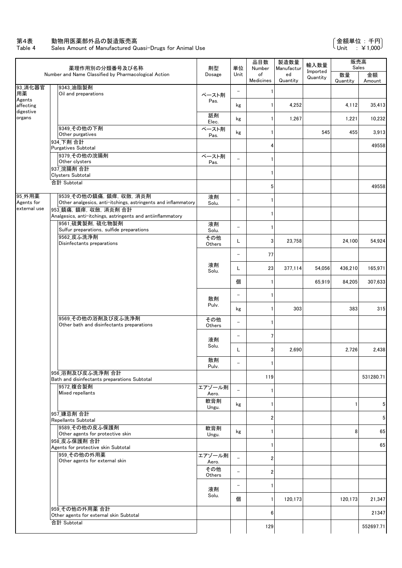Table 4 Sales Amount of Manufactured Quasi-Drugs for Animal Use

|                                      | 薬理作用別の分類番号及び名称                                                                                                      | 剤型              | 単位                       | 品目数<br>Number   | 製造数量<br>Manufactur | 輸入数量                 | 販売高<br>Sales   |                 |
|--------------------------------------|---------------------------------------------------------------------------------------------------------------------|-----------------|--------------------------|-----------------|--------------------|----------------------|----------------|-----------------|
|                                      | Number and Name Classified by Pharmacological Action                                                                | Dosage          | Unit                     | of<br>Medicines | ed<br>Quantity     | Imported<br>Quantity | 数量<br>Quantity | 金額<br>Amount    |
| 93_消化器官<br>用薬                        | 9343_油脂製剤<br>Oil and preparations                                                                                   | ペースト剤           | $\overline{\phantom{a}}$ | 1               |                    |                      |                |                 |
| Agents<br>affecting<br>digestive     |                                                                                                                     | Pas.            | kg                       | 1               | 4,252              |                      | 4,112          | 35,413          |
| organs                               |                                                                                                                     | 舐剤<br>Elec.     | kg                       | 1               | 1,267              |                      | 1,221          | 10,232          |
|                                      | 9349 その他の下剤<br>Other purgatives                                                                                     | ペースト剤<br>Pas.   | kg                       | 1               |                    | 545                  | 455            | 3,913           |
|                                      | 934 下剤 合計<br><b>Purgatives Subtotal</b>                                                                             |                 |                          | 4               |                    |                      |                | 49558           |
|                                      | 9379 その他の浣腸剤<br>Other clysters                                                                                      | ペースト剤<br>Pas.   |                          | 1               |                    |                      |                |                 |
|                                      | 937 浣腸剤 合計<br>Clysters Subtotal                                                                                     |                 |                          | 1               |                    |                      |                |                 |
|                                      | 合計 Subtotal                                                                                                         |                 |                          | 5               |                    |                      |                | 49558           |
| 95_外用薬<br>Agents for<br>external use | 9539_その他の鎮痛, 鎮痒, 収斂, 消炎剤<br>Other analgesics, anti-itchings, astringents and inflammatory<br>953 鎮痛, 鎮痒, 収斂, 消炎剤 合計 | 液剤<br>Solu.     | $\overline{\phantom{0}}$ | 1               |                    |                      |                |                 |
|                                      | Analgesics, anti-itchings, astringents and antiinflammatory<br>9561 硫黄製剤. 硫化物製剤                                     | 液剤              |                          | 1               |                    |                      |                |                 |
|                                      | Sulfur preparations, sulfide preparations<br>9562 皮ふ洗浄剤                                                             | Solu.           | $\overline{\phantom{0}}$ | 1               |                    |                      |                |                 |
|                                      | Disinfectants preparations                                                                                          | その他<br>Others   | Г                        | 3               | 23,758             |                      | 24,100         | 54,924          |
|                                      |                                                                                                                     |                 | $\qquad \qquad -$        | 77              |                    |                      |                |                 |
|                                      |                                                                                                                     | 液剤<br>Solu.     | L                        | 23              | 377,114            | 54,056               | 436,210        | 165,971         |
|                                      |                                                                                                                     |                 | 個                        | 1               |                    | 65,919               | 84,205         | 307,633         |
|                                      |                                                                                                                     | 散剤              | —                        | 1               |                    |                      |                |                 |
|                                      |                                                                                                                     | Pulv.           | kg                       | 1               | 303                |                      | 383            | 315             |
|                                      | 9569_その他の浴剤及び皮ふ洗浄剤<br>Other bath and disinfectants preparations                                                     | その他<br>Others   | $\qquad \qquad -$        | 1               |                    |                      |                |                 |
|                                      |                                                                                                                     | 液剤              | $\qquad \qquad -$        | 7               |                    |                      |                |                 |
|                                      |                                                                                                                     | Solu.           | L                        | 3               | 2,690              |                      | 2,726          | 2,438           |
|                                      |                                                                                                                     | 散剤<br>Pulv.     | $\overline{\phantom{m}}$ | $\mathbf{1}$    |                    |                      |                |                 |
|                                      | 956 浴剤及び皮ふ洗浄剤 合計<br>Bath and disinfectants preparations Subtotal                                                    |                 |                          | 119             |                    |                      |                | 531280.71       |
|                                      | 9572_複合製剤<br>Mixed repellants                                                                                       | エアゾール剤<br>Aero. |                          | 1               |                    |                      |                |                 |
|                                      |                                                                                                                     | 軟膏剤<br>Ungu.    | kg                       | 1               |                    |                      | 1              | $5\phantom{.0}$ |
|                                      | 957 嫌忌剤 合計<br>Repellants Subtotal                                                                                   |                 |                          | 2               |                    |                      |                | $5\phantom{.0}$ |
|                                      | 9589 その他の皮ふ保護剤<br>Other agents for protective skin                                                                  | 軟膏剤<br>Ungu.    | kg                       | 1               |                    |                      | 8              | 65              |
|                                      | 958 皮ふ保護剤 合計<br>Agents for protective skin Subtotal                                                                 |                 |                          | 1               |                    |                      |                | 65              |
|                                      | 959 その他の外用薬<br>Other agents for external skin                                                                       | エアゾール剤<br>Aero. | $\equiv$                 | $\overline{2}$  |                    |                      |                |                 |
|                                      |                                                                                                                     | その他<br>Others   | $\qquad \qquad -$        | $\overline{2}$  |                    |                      |                |                 |
|                                      |                                                                                                                     | 液剤              | $\qquad \qquad -$        | 1               |                    |                      |                |                 |
|                                      |                                                                                                                     | Solu.           | 個                        | 1               | 120,173            |                      | 120,173        | 21,347          |
|                                      | 959 その他の外用薬合計<br>Other agents for external skin Subtotal                                                            |                 |                          | 6               |                    |                      |                | 21347           |
|                                      | 合計 Subtotal                                                                                                         |                 |                          | 129             |                    |                      |                | 552697.71       |
|                                      |                                                                                                                     |                 |                          |                 |                    |                      |                |                 |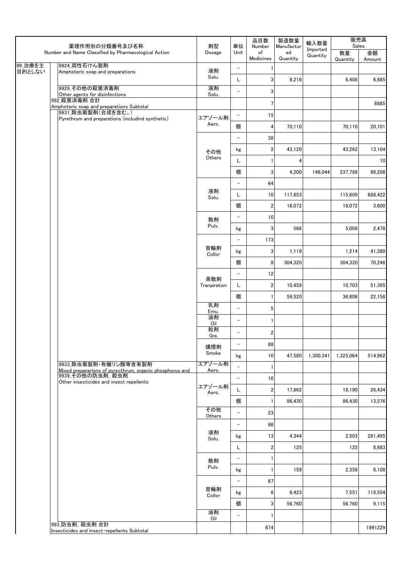|                   | 薬理作用別の分類番号及び名称                                                                    | 剤型                       | 単位                       | 品目数<br>Number           | 製造数量<br>Manufactur | 輸入数量                 | 販売高<br>Sales   |              |
|-------------------|-----------------------------------------------------------------------------------|--------------------------|--------------------------|-------------------------|--------------------|----------------------|----------------|--------------|
|                   | Number and Name Classified by Pharmacological Action                              | Dosage                   | Unit                     | of<br>Medicines         | ed<br>Quantity     | Imported<br>Quantity | 数量<br>Quantity | 金額<br>Amount |
| 99_治療を主<br>目的としない | 9924 両性石けん製剤                                                                      | 液剤                       | $\overline{\phantom{a}}$ | -1                      |                    |                      |                |              |
|                   | Amphoteric soap and preparations                                                  | Solu.                    | L                        | 3                       | 8,216              |                      | 6,406          | 6,885        |
|                   | 9929 その他の殺菌消毒剤<br>Other agents for disinfections                                  | 液剤<br>Solu.              | $\overline{\phantom{a}}$ | 3                       |                    |                      |                |              |
|                   | 992 殺菌消毒剤 合計                                                                      |                          |                          | 7                       |                    |                      |                | 6885         |
|                   | Amphoteric soap and preparations Subtotal<br>9931 除虫菊製剤(合成を含む。)                   |                          | $\overline{\phantom{0}}$ | 15                      |                    |                      |                |              |
|                   | Pyrethrum and preparations (includind synthetic)                                  | エアゾール剤<br>Aero.          | 個                        | 4                       | 70,110             |                      | 70,110         | 20,101       |
|                   |                                                                                   |                          | $\overline{\phantom{0}}$ | 38                      |                    |                      |                |              |
|                   |                                                                                   | その他                      | kg                       | $\overline{\mathbf{c}}$ | 43,120             |                      | 43,262         | 13,104       |
|                   |                                                                                   | Others                   | L                        | -1                      | 4                  |                      |                | 10           |
|                   |                                                                                   |                          | 個                        | 3                       | 4,200              | 146,044              | 237,788        | 98,208       |
|                   |                                                                                   |                          | $\qquad \qquad -$        | 64                      |                    |                      |                |              |
|                   |                                                                                   | 液剤<br>Solu.              | L                        | 10                      | 117,853            |                      | 115,609        | 688,422      |
|                   |                                                                                   |                          | 個                        | $\sqrt{2}$              | 18.072             |                      | 18.072         | 3,600        |
|                   |                                                                                   | 散剤                       | $\overline{\phantom{a}}$ | 10                      |                    |                      |                |              |
|                   |                                                                                   | Pulv.                    | kg                       | 3                       | 566                |                      | 5,009          | 2,478        |
|                   |                                                                                   |                          | $\qquad \qquad -$        | 173                     |                    |                      |                |              |
|                   |                                                                                   | 首輪剤<br>Collor            | kg                       | 3                       | 1,119              |                      | 1,214          | 41,380       |
|                   |                                                                                   |                          | 個                        | 8                       | 304,320            |                      | 304,320        | 70,246       |
|                   | 蒸散剤                                                                               | $\overline{\phantom{a}}$ | 12                       |                         |                    |                      |                |              |
|                   | Tranpiration                                                                      | L                        | $\boldsymbol{2}$         | 10,459                  |                    | 10,703               | 51,395         |              |
|                   |                                                                                   |                          | 個                        | 1                       | 59,520             |                      | 36.606         | 22,158       |
|                   |                                                                                   | 乳剤<br>Emu.               | $\overline{\phantom{a}}$ | 5                       |                    |                      |                |              |
|                   |                                                                                   | 油剤<br>Oil                | $\overline{\phantom{a}}$ | $\mathbf{1}$            |                    |                      |                |              |
|                   |                                                                                   | 粒剤<br>Gra.               | $\overline{\phantom{0}}$ | $\overline{\mathbf{c}}$ |                    |                      |                |              |
|                   |                                                                                   | 燻煙剤                      | $\overline{\phantom{a}}$ | 88                      |                    |                      |                |              |
|                   |                                                                                   | Smoke                    | kg                       | 10                      | 47,580             | 1,300,341            | 1,325,064      | 514,962      |
|                   | 9933 除虫菊製剤・有機リン酸等含有製剤<br>Mixed prepararions of pyrecthrum, organic phosphorus and | エアゾール剤<br>Aero.          | $\equiv$                 | $\mathbf{1}$            |                    |                      |                |              |
|                   | 9939 その他の防虫剤, 殺虫剤<br>Other insecticides and insect repellents                     |                          | $\overline{\phantom{0}}$ | 10                      |                    |                      |                |              |
|                   |                                                                                   | エアゾール剤<br>Aero.          | L                        | $\overline{\mathbf{c}}$ | 17.862             |                      | 18,190         | 26,434       |
|                   |                                                                                   |                          | 個                        | $\mathbf{1}$            | 86,430             |                      | 86,430         | 13,576       |
|                   |                                                                                   | その他<br>Others            | $\overline{\phantom{0}}$ | 23                      |                    |                      |                |              |
|                   |                                                                                   |                          | $\overline{\phantom{a}}$ | 86                      |                    |                      |                |              |
|                   |                                                                                   | 液剤<br>Solu.              | kg                       | 13                      | 4,344              |                      | 2,503          | 281,495      |
|                   |                                                                                   |                          | L                        | $\overline{\mathbf{2}}$ | 125                |                      | 125            | 8,883        |
|                   |                                                                                   | 散剤                       | $\overline{\phantom{a}}$ | 1                       |                    |                      |                |              |
|                   | Pulv.                                                                             | kg                       | $\mathbf{1}$             | 159                     |                    | 2,358                | 6,108          |              |
|                   |                                                                                   |                          | $\overline{\phantom{a}}$ | 67                      |                    |                      |                |              |
|                   |                                                                                   | 首輪剤<br>Collor            | kg                       | $\bf 6$                 | 6,423              |                      | 7,551          | 119,554      |
|                   |                                                                                   |                          | 個                        | 3                       | 56,760             |                      | 56,760         | 9,115        |
|                   |                                                                                   | 油剤<br>Oil                | $\overline{\phantom{a}}$ | 1                       |                    |                      |                |              |
|                   | 993_防虫剤, 殺虫剤 合計<br>Insecticides and insect-repellents Subtotal                    |                          |                          | 674                     |                    |                      |                | 1991229      |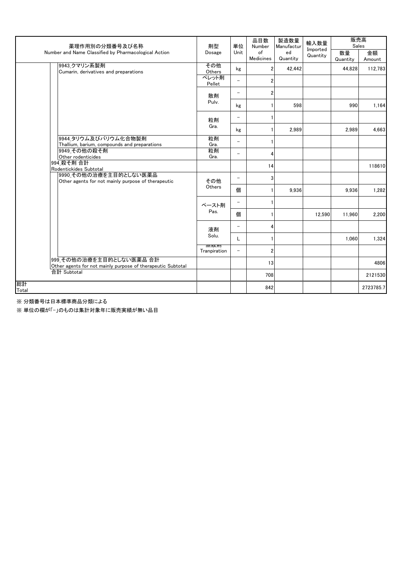| 薬理作用別の分類番号及び名称                                                                          | 剤型                    | 単位                       | 品目数<br>Number   | 製造数量<br>Manufactur | 輸入数量<br>Imported | 販売高<br>Sales   |              |
|-----------------------------------------------------------------------------------------|-----------------------|--------------------------|-----------------|--------------------|------------------|----------------|--------------|
| Number and Name Classified by Pharmacological Action                                    | Dosage                | Unit                     | of<br>Medicines | ed<br>Quantity     | Quantity         | 数量<br>Quantity | 金額<br>Amount |
| 9943_クマリン系製剤<br>Cumarin, derivatives and preparations                                   | その他<br>Others         | kg                       | $\overline{2}$  | 42.442             |                  | 44.828         | 112,783      |
|                                                                                         | ペレット剤<br>Pellet       | $\overline{\phantom{0}}$ | $\overline{2}$  |                    |                  |                |              |
|                                                                                         | 散剤                    | $\overline{\phantom{m}}$ | $\overline{2}$  |                    |                  |                |              |
|                                                                                         | Pulv.                 | kg                       |                 | 598                |                  | 990            | 1,164        |
|                                                                                         | 粒剤                    | $\overline{\phantom{0}}$ |                 |                    |                  |                |              |
|                                                                                         | Gra.                  | kg                       |                 | 2,989              |                  | 2,989          | 4,663        |
| 9944 タリウム及びバリウム化合物製剤<br>Thallium, barium, compounds and preparations                    | 粒剤<br>Gra.            | $\overline{\phantom{m}}$ |                 |                    |                  |                |              |
| 9949 その他の殺そ剤<br>Other rodenticides                                                      | 粒剤<br>Gra.            | $\overline{\phantom{0}}$ | 4               |                    |                  |                |              |
| 994 殺そ剤 合計<br>Rodentickides Subtotal                                                    |                       |                          | 14              |                    |                  |                | 118610       |
| 9990_その他の治療を主目的としない医薬品<br>Other agents for not mainly purpose of therapeutic            | その他                   |                          | 3               |                    |                  |                |              |
|                                                                                         | Others                | 個                        |                 | 9.936              |                  | 9.936          | 1,282        |
|                                                                                         | ペースト剤                 |                          |                 |                    |                  |                |              |
|                                                                                         | Pas.                  | 個                        |                 |                    | 12.590           | 11.960         | 2,200        |
|                                                                                         | 液剤                    | $\overline{\phantom{m}}$ | 4               |                    |                  |                |              |
|                                                                                         | Solu.<br><b>徐祥人用!</b> | L                        |                 |                    |                  | 1,060          | 1,324        |
|                                                                                         | Tranpiration          |                          | $\overline{2}$  |                    |                  |                |              |
| 999 その他の治療を主目的としない医薬品 合計<br>Other agents for not mainly purpose of therapeutic Subtotal |                       |                          | 13              |                    |                  |                | 4806         |
| 合計 Subtotal                                                                             |                       |                          | 708             |                    |                  |                | 2121530      |
| 総計<br>Total                                                                             |                       |                          | 842             |                    |                  |                | 2723785.7    |

※ 分類番号は日本標準商品分類による

※ 単位の欄が「-」のものは集計対象年に販売実績が無い品目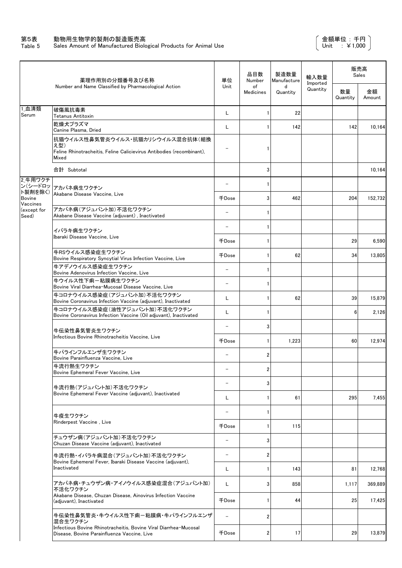#### 第5表 動物用生物学的製剤の製造販売高

Table 5 Sales Amount of Manufactured Biological Products for Animal Use

|                               | 薬理作用別の分類番号及び名称                                                                                                            | 単位                       | 品目数<br>Number           | 製浩数量<br>Manufacture | 輸入数量                 |                | 販売高<br>Sales |
|-------------------------------|---------------------------------------------------------------------------------------------------------------------------|--------------------------|-------------------------|---------------------|----------------------|----------------|--------------|
|                               | Number and Name Classified by Pharmacological Action                                                                      | Unit                     | of<br>Medicines         | d<br>Quantity       | Imported<br>Quantity | 数量<br>Quantity | 金額<br>Amount |
| 1血清類<br>Serum                 | 破傷風抗毒素<br>Tetanus Antitoxin                                                                                               | L                        | 1                       | 22                  |                      |                |              |
|                               | 乾燥犬プラズマ<br>Canine Plasma, Dried                                                                                           | L                        | 1                       | 142                 |                      | 142            | 10,164       |
|                               | 抗猫ウイルス性鼻気管炎ウイルス・抗猫カリシウイルス混合抗体(組換<br>え型)<br>Feline Rhinotracheitis, Feline Calicievirus Antibodies (recombinant),<br>Mixed |                          | 1                       |                     |                      |                |              |
|                               | 合計 Subtotal                                                                                                               |                          | 3                       |                     |                      |                | 10,164       |
| 2_牛用ワクチ<br>ン(シードロッ<br>ト製剤を除く) | アカバネ病生ワクチン<br>Akabane Disease Vaccine, Live                                                                               |                          | 1                       |                     |                      |                |              |
| <b>Bovine</b><br>Vaccines     |                                                                                                                           | 千Dose                    | 3                       | 462                 |                      | 204            | 152.732      |
| (except for<br>Seed)          | アカバネ病(アジュバント加)不活化ワクチン<br>Akabane Disease Vaccine (adiuvant) . Inactivated                                                 |                          | 1                       |                     |                      |                |              |
|                               | イバラキ病生ワクチン                                                                                                                |                          | 1                       |                     |                      |                |              |
|                               | Ibaraki Disease Vaccine, Live                                                                                             | 千Dose                    | 1                       |                     |                      | 29             | 6,590        |
|                               | 牛RSウイルス感染症生ワクチン<br>Bovine Respiratory Syncytial Virus Infection Vaccine, Live                                             | 千Dose                    | 1                       | 62                  |                      | 34             | 13,805       |
|                               | 牛アデノウイルス感染症生ワクチン<br>Bovine Adenovirus Infection Vaccine, Live                                                             |                          | 1                       |                     |                      |                |              |
|                               | 牛ウイルス性下痢ー粘膜病生ワクチン<br>Bovine Viral Diarrhea-Mucosal Disease Vaccine, Live                                                  | $\overline{\phantom{0}}$ | 1                       |                     |                      |                |              |
|                               | 牛コロナウイルス感染症(アジュバント加)不活化ワクチン<br>Bovine Coronavirus Infection Vaccine (adjuvant), Inactivated                               | L                        | 1                       | 62                  |                      | 39             | 15,879       |
|                               | 牛コロナウイルス感染症(油性アジュバント加)不活化ワクチン<br>Bovine Coronavirus Infection Vaccine (Oil adjuvant), Inactivated                         | L                        | 1                       |                     |                      | 6              | 2,126        |
|                               | 牛伝染性鼻気管炎生ワクチン                                                                                                             |                          | 3                       |                     |                      |                |              |
|                               | Infectious Bovine Rhinotracheitis Vaccine, Live                                                                           | 千Dose                    | 1                       | 1,223               |                      | 60             | 12,974       |
|                               | 牛パラインフルエンザ生ワクチン<br>Bovine Parainfluenza Vaccine, Live                                                                     |                          | 2                       |                     |                      |                |              |
|                               | 牛流行熱生ワクチン<br>Bovine Ephemeral Fever Vaccine, Live                                                                         |                          | 2                       |                     |                      |                |              |
|                               | 牛流行熱(アジュバント加)不活化ワクチン                                                                                                      |                          | 3                       |                     |                      |                |              |
|                               | Bovine Ephemeral Fever Vaccine (adjuvant), Inactivated                                                                    | L                        | 1                       | 61                  |                      | 295            | 7,455        |
|                               | 牛疫生ワクチン                                                                                                                   | $\overline{\phantom{a}}$ | 1                       |                     |                      |                |              |
|                               | Rinderpest Vaccine, Live                                                                                                  | 千Dose                    | 1                       | 115                 |                      |                |              |
|                               | チュウザン病(アジュバント加)不活化ワクチン<br>Chuzan Disease Vaccine (adjuvant), Inactivated                                                  | $\overline{\phantom{a}}$ | 3                       |                     |                      |                |              |
|                               | 牛流行熱・イバラキ病混合(アジュバント加)不活化ワクチン                                                                                              | $\overline{\phantom{a}}$ | 2                       |                     |                      |                |              |
|                               | Bovine Ephemeral Fever, Ibaraki Disease Vaccine (adjuvant),<br>Inactivated                                                | L                        | 1                       | 143                 |                      | 81             | 12,768       |
|                               | アカバネ病・チュウザン病・アイノウイルス感染症混合(アジュバント加)<br>不活化ワクチン                                                                             | L                        | 3                       | 858                 |                      | 1,117          | 369,889      |
|                               | Akabane Disease, Chuzan Disease, Ainovirus Infection Vaccine<br>(adjuvant), Inactivated                                   | 千Dose                    | 1                       | 44                  |                      | 25             | 17,425       |
|                               | 牛伝染性鼻気管炎・牛ウイルス性下痢-粘膜病・牛パラインフルエンザ<br>混合生ワクチン                                                                               | $\overline{\phantom{a}}$ | $\overline{2}$          |                     |                      |                |              |
|                               | Infectious Bovine Rhinotracheitis, Bovine Viral Diarrhea-Mucosal<br>Disease, Bovine Parainfluenza Vaccine, Live           | 千Dose                    | $\overline{\mathbf{c}}$ | 17                  |                      | 29             | 13,879       |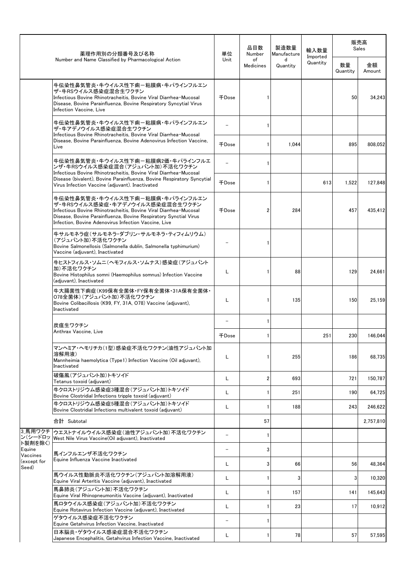|                               | 薬理作用別の分類番号及び名称                                                                                                                                                                                                                                                     | 単位<br>Unit               | 品目数<br>Number          | 製造数量<br>Manufacture | 輸入数量                                                                                                                                                                                                                                                           |              |           |
|-------------------------------|--------------------------------------------------------------------------------------------------------------------------------------------------------------------------------------------------------------------------------------------------------------------|--------------------------|------------------------|---------------------|----------------------------------------------------------------------------------------------------------------------------------------------------------------------------------------------------------------------------------------------------------------|--------------|-----------|
|                               | Number and Name Classified by Pharmacological Action                                                                                                                                                                                                               |                          | of<br><b>Medicines</b> | d<br>Quantity       | 販売高<br>Sales<br>Imported<br>Quantity<br>数量<br>Quantity<br>50<br>895<br>613<br>1,522<br>284<br>457<br>88<br>129<br>135<br>150<br>251<br>230<br>255<br>186<br>693<br>721<br>251<br>190<br>188<br>243<br>66<br>56<br>3<br>3<br>157<br>141<br>17<br>23<br>78<br>57 | 金額<br>Amount |           |
|                               | 牛伝染性鼻気管炎・牛ウイルス性下痢-粘膜病・牛パラインフルエン<br>ザ・牛RSウイルス感染症混合生ワクチン<br>Infectious Bovine Rhinotracheitis, Bovine Viral Diarrhea-Mucosal<br>Disease, Bovine Parainfluenza, Bovine Respiratory Syncytial Virus<br>Infection Vaccine, Live                                         | 千Dose                    |                        |                     |                                                                                                                                                                                                                                                                |              | 34,243    |
|                               | 牛伝染性鼻気管炎・牛ウイルス性下痢ー粘膜病・牛パラインフルエン<br>ザ・牛アデノウイルス感染症混合生ワクチン<br>Infectious Bovine Rhinotracheitis, Bovine Viral Diarrhea-Mucosal                                                                                                                                        |                          | $\mathbf{1}$           |                     |                                                                                                                                                                                                                                                                |              |           |
|                               | Disease, Bovine Parainfluenza, Bovine Adenovirus Infection Vaccine.<br>Live                                                                                                                                                                                        | 千Dose                    | 1                      | 1,044               |                                                                                                                                                                                                                                                                |              | 808,052   |
|                               | 牛伝染性鼻気管炎・牛ウイルス性下痢-粘膜病2価・牛パラインフルエ<br>ンザ・牛RSウイルス感染症混合(アジュバント加)不活化ワクチン<br>Infectious Bovine Rhinotracheitis, Bovine Viral Diarrhea-Mucosal                                                                                                                            |                          | $\mathbf{1}$           |                     |                                                                                                                                                                                                                                                                |              |           |
|                               | Disease (bivalent), Bovine Parainfluenza, Bovine Respiratory Syncytial<br>Virus Infection Vaccine (adjuvant). Inactivated                                                                                                                                          | 千Dose                    | 1                      |                     |                                                                                                                                                                                                                                                                |              | 127.848   |
|                               | 牛伝染性鼻気管炎・牛ウイルス性下痢ー粘膜病・牛パラインフルエン<br>ザ・牛RSウイルス感染症・牛アデノウイルス感染症混合生ワクチン<br>Infectious Bovine Rhinotracheitis, Bovine Viral Diarrhea-Mucosal<br>Disease, Bovine Parainfluenza, Bovine Respiratory Synctial Virus<br>Infection, Bovine Adenovirus Infection Vaccine, Live | 千Dose                    | 2                      |                     |                                                                                                                                                                                                                                                                |              | 435.412   |
|                               | 牛サルモネラ症(サルモネラ・ダブリン・サルモネラ・ティフィムリウム)<br>(アジュバント加)不活化ワクチン<br>Bovine Salmonellosis (Salmonella dublin, Salmonella typhimurium)<br>Vaccine (adjuvant), Inactivated                                                                                                      |                          | 1                      |                     |                                                                                                                                                                                                                                                                |              |           |
|                               | 牛ヒストフィルス・ソムニ(ヘモフィルス・ソムナス)感染症(アジュバント<br>加)不活化ワクチン<br>Bovine Histophilus somni (Haemophilus somnus) Infection Vaccine<br>(adjuvant), Inactivated                                                                                                                     | L                        | 1                      |                     |                                                                                                                                                                                                                                                                |              | 24.661    |
|                               | 牛大腸菌性下痢症(K99保有全菌体·FY保有全菌体·31A保有全菌体·<br>078全菌体)(アジュバント加)不活化ワクチン<br>Bovine Colibacillosis (K99, FY, 31A, O78) Vaccine (adjuvant),<br>Inactivated                                                                                                                     | L                        | 1                      |                     |                                                                                                                                                                                                                                                                |              | 25,159    |
|                               | 炭疽生ワクチン                                                                                                                                                                                                                                                            |                          | $\mathbf{1}$           |                     |                                                                                                                                                                                                                                                                |              |           |
|                               | Anthrax Vaccine, Live                                                                                                                                                                                                                                              | 千Dose                    |                        |                     |                                                                                                                                                                                                                                                                |              | 146,044   |
|                               | マンヘミア・ヘモリチカ(1型)感染症不活化ワクチン(油性アジュバント加<br>溶解用液)<br>Mannheimia haemolytica (Type1) Infection Vaccine (Oil adjuvant),<br>Inactivated                                                                                                                                    | L                        | 1                      |                     |                                                                                                                                                                                                                                                                |              | 68,735    |
|                               | 破傷風(アジュバント加)トキソイド<br>Tetanus toxoid (adjuvant)                                                                                                                                                                                                                     | L                        | $\overline{2}$         |                     |                                                                                                                                                                                                                                                                |              | 150,787   |
|                               | 牛クロストリジウム感染症3種混合(アジュバント加)トキソイド<br>Bovine Clostridial Infections tripple toxoid (adjuvant)                                                                                                                                                                          | L                        | 1                      |                     |                                                                                                                                                                                                                                                                |              | 64,725    |
|                               | 牛クロストリジウム感染症5種混合(アジュバント加)トキソイド<br>Bovine Clostridial Infections multivalent toxoid (adjuvant)                                                                                                                                                                      | L                        | $\mathbf{1}$           |                     |                                                                                                                                                                                                                                                                |              | 246,622   |
|                               | 合計 Subtotal                                                                                                                                                                                                                                                        |                          | 57                     |                     |                                                                                                                                                                                                                                                                |              | 2,757,810 |
| 3 馬用ワクチ<br>ン(シードロッ<br>ト製剤を除く) | ウエストナイルウイルス感染症(油性アジュバント加)不活化ワクチン<br>West Nile Virus Vaccine(Oil adjuvant), Inactivated                                                                                                                                                                             |                          | -1                     |                     |                                                                                                                                                                                                                                                                |              |           |
| Equine<br>Vaccines            | 馬インフルエンザ不活化ワクチン                                                                                                                                                                                                                                                    | $\overline{\phantom{0}}$ | 3                      |                     |                                                                                                                                                                                                                                                                |              |           |
| (except for<br>Seed)          | Equine Influenza Vaccine Inactivated                                                                                                                                                                                                                               | L                        | 3                      |                     |                                                                                                                                                                                                                                                                |              | 48,364    |
|                               | 馬ウイルス性動脈炎不活化ワクチン(アジュバント加溶解用液)<br>Equine Viral Arteritis Vaccine (adjuvant), Inactivated                                                                                                                                                                            | Г                        |                        |                     |                                                                                                                                                                                                                                                                |              | 10,320    |
|                               | 馬鼻肺炎(アジュバント加)不活化ワクチン<br>Equine Viral Rhinopneumonitis Vaccine (adjuvant), Inactivated                                                                                                                                                                              | L                        | $\mathbf{1}$           |                     |                                                                                                                                                                                                                                                                |              | 145,643   |
|                               | 馬ロタウイルス感染症(アジュバント加)不活化ワクチン<br>Equine Rotavirus Infection Vaccine (adjuvant), Inactivated                                                                                                                                                                           | Г                        | 1                      |                     |                                                                                                                                                                                                                                                                |              | 10,912    |
|                               | ゲタウイルス感染症不活化ワクチン<br>Equine Getahvirus Infection Vaccine, Inactivated                                                                                                                                                                                               |                          | 1                      |                     |                                                                                                                                                                                                                                                                |              |           |
|                               | 日本脳炎・ゲタウイルス感染症混合不活化ワクチン<br>Japanese Encephalitis, Getahvirus Infection Vaccine, Inactivated                                                                                                                                                                        | L                        | 1                      |                     |                                                                                                                                                                                                                                                                |              | 57,595    |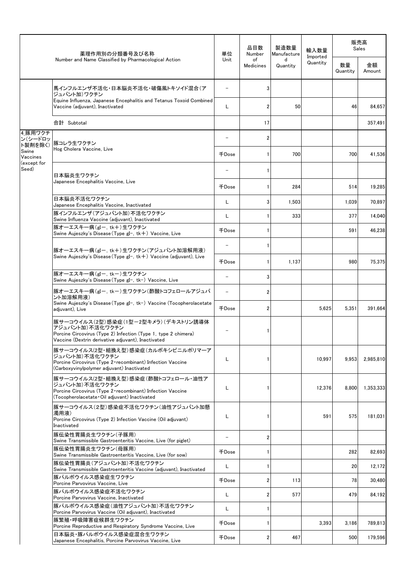|                              | 薬理作用別の分類番号及び名称                                                                                                                                                                 | 単位                       | 品目数<br>Number          | 製造数量<br>Manufacture | 輸入数量<br>Imported |                | 販売高<br>Sales |
|------------------------------|--------------------------------------------------------------------------------------------------------------------------------------------------------------------------------|--------------------------|------------------------|---------------------|------------------|----------------|--------------|
|                              | Number and Name Classified by Pharmacological Action                                                                                                                           | Unit                     | of<br><b>Medicines</b> | d<br>Quantity       | Quantity         | 数量<br>Quantity | 金額<br>Amount |
|                              | 馬インフルエンザ不活化・日本脳炎不活化・破傷風トキソイド混合(ア<br>ジュバント加)ワクチン                                                                                                                                |                          |                        |                     |                  |                |              |
|                              | Equine Influenza, Japanese Encephalitis and Tetanus Toxoid Combined<br>Vaccine (adjuvant), Inactivated                                                                         | L                        | 2                      | 50                  |                  | 46             | 84.657       |
|                              | 合計 Subtotal                                                                                                                                                                    |                          | 17                     |                     |                  |                | 357,491      |
| 4 豚用ワクチ<br>ン(シードロッ           | 豚コレラ生ワクチン                                                                                                                                                                      |                          | 2                      |                     |                  |                |              |
| ト製剤を除く)<br>Swine<br>Vaccines | Hog Cholera Vaccine, Live                                                                                                                                                      | 千Dose                    |                        | 700                 |                  | 700            | 41,536       |
| (except for<br>Seed)         | 日本脳炎生ワクチン                                                                                                                                                                      |                          |                        |                     |                  |                |              |
|                              | Japanese Encephalitis Vaccine, Live                                                                                                                                            | 千Dose                    |                        | 284                 |                  | 514            | 19,285       |
|                              | 日本脳炎不活化ワクチン<br>Japanese Encephalitis Vaccine, Inactivated                                                                                                                      | L                        | 3                      | 1,503               |                  | 1,039          | 70,897       |
|                              | 豚インフルエンザ(アジュバント加)不活化ワクチン<br>Swine Influenza Vaccine (adiuvant), Inactivated                                                                                                    | L                        |                        | 333                 |                  | 377            | 14,040       |
|                              | 豚オーエスキー病(gI-, tk+)生ワクチン<br>Swine Aujeszky's Disease(Type gI-, tk+) Vaccine, Live                                                                                               | 千Dose                    |                        |                     |                  | 591            | 46,238       |
|                              | 豚オーエスキー病(gIー, tk+)生ワクチン(アジュバント加溶解用液)                                                                                                                                           |                          |                        |                     |                  |                |              |
|                              | Swine Aujeszky's Disease (Type gI-, tk+) Vaccine (adjuvant), Live                                                                                                              | 千Dose                    |                        | 1,137               |                  | 980            | 75,375       |
|                              | 豚オーエスキー病(gIー, tkー)生ワクチン<br>Swine Aujeszky's Disease(Type gI−, tk−) Vaccine, Live                                                                                               | $\overline{\phantom{0}}$ | 3                      |                     |                  |                |              |
|                              | 豚オーエスキー病(gIー, tkー)生ワクチン(酢酸トコフェロールアジュバ<br>ント加溶解用液)<br>Swine Aujeszky's Disease (Type gI-, tk-) Vaccine (Tocopherolacetate<br>adjuvant), Live                                    | $\equiv$                 | 2                      |                     |                  |                |              |
|                              |                                                                                                                                                                                | <b>千Dose</b>             | 2                      |                     | 5,625            | 5,351          | 391,664      |
|                              | 豚サーコウイルス(2型)感染症(1型ー2型キメラ)(デキストリン誘導体<br>アジュバント加)不活化ワクチン<br>Porcine Circovirus (Type 2) Infection (Type 1, type 2 chimera)<br>Vaccine (Dextrin derivative adjuvant), Inactivated |                          |                        |                     |                  |                |              |
|                              | 豚サーコウイルス(2型・組換え型)感染症(カルボキシビニルポリマーア<br>ジュバント加)不活化ワクチン<br>Porcine Circovirus (Type 2 recombinant) Infection Vaccine<br>(Carboxyvinylpolymer adjuvant) Inactivated                | L                        |                        |                     | 10,997           | 9,953          | 2,985,810    |
|                              | 豚サーコウイルス(2型・組換え型) 感染症(酢酸トコフェロール・油性ア<br>ジュバント加)不活化ワクチン<br>Porcine Circovirus (Type 2 · recombinant) Infection Vaccine<br>(Tocopherolacetate • Oil adiuvant) Inactivated         | L                        |                        |                     | 12.376           | 8,800          | 1,353,333    |
|                              | 豚サーコウイルス(2型)感染症不活化ワクチン(油性アジュバント加懸<br>濁用液)<br>Porcine Circovirus (Type 2) Infection Vaccine (Oil adiuvant)<br>Inactivated                                                       | L                        |                        |                     | 591              | 575            | 181,031      |
|                              | 豚伝染性胃腸炎生ワクチン(子豚用)<br>Swine Transmissible Gastroenteritis Vaccine, Live (for piglet)                                                                                            | $\qquad \qquad -$        | 2                      |                     |                  |                |              |
|                              | 豚伝染性胃腸炎生ワクチン(母豚用)<br>Swine Transmissible Gastroenteritis Vaccine, Live (for sow)                                                                                               | 千Dose                    |                        |                     |                  | 282            | 82,693       |
|                              | 豚伝染性胃腸炎(アジュバント加)不活化ワクチン<br>Swine Transmissible Gastroenteritis Vaccine (adjuvant), Inactivated                                                                                 | L                        |                        |                     |                  | 20             | 12,172       |
|                              | 豚パルボウイルス感染症生ワクチン<br>Porcine Parvovirus Vaccine, Live                                                                                                                           | 千Dose                    | 2                      | 113                 |                  | 78             | 30,480       |
|                              | 豚パルボウイルス感染症不活化ワクチン<br>Porcine Parvovirus Vaccine, Inactivated                                                                                                                  | L                        | 2                      | 577                 |                  | 479            | 84,192       |
|                              | 豚パルボウイルス感染症(油性アジュバント加)不活化ワクチン<br>Porcine Parvovirus Vaccine (Oil adjuvant), Inactivated                                                                                        | L                        |                        |                     |                  |                |              |
|                              | 豚繁殖・呼吸障害症候群生ワクチン<br>Porcine Reproductive and Respiratory Syndrome Vaccine, Live                                                                                                | 千Dose                    |                        |                     | 3,393            | 3,186          | 789,813      |
|                              | 日本脳炎・豚パルボウイルス感染症混合生ワクチン<br>Japanese Encephalitis, Porcine Parvovirus Vaccine, Live                                                                                             | 千Dose                    |                        | 467                 |                  | 500            | 179,596      |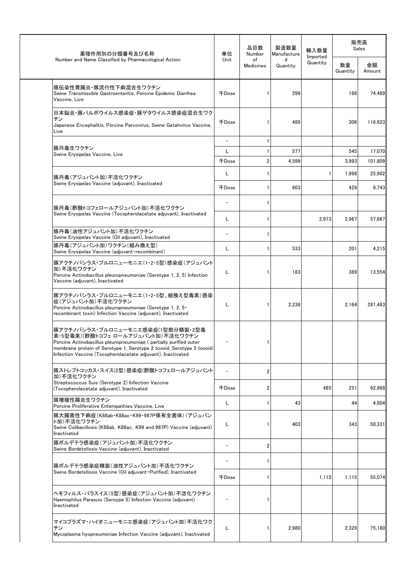| 薬理作用別の分類番号及び名称                                                                                                                                                                                                                                                                     | 単位                            | 品目数<br>Number   | 製造数量<br>Manufacture | 輸入数量                 |                | 販売高<br>Sales |
|------------------------------------------------------------------------------------------------------------------------------------------------------------------------------------------------------------------------------------------------------------------------------------|-------------------------------|-----------------|---------------------|----------------------|----------------|--------------|
| Number and Name Classified by Pharmacological Action                                                                                                                                                                                                                               | Unit                          | of<br>Medicines | d<br>Quantity       | Imported<br>Quantity | 数量<br>Quantity | 金額<br>Amount |
| 豚伝染性胃腸炎・豚流行性下痢混合生ワクチン<br>Swine Transmissible Gastroenteritis, Porcine Epidemic Diarrhea<br>Vaccine, Live                                                                                                                                                                           | 千Dose                         |                 | 299                 |                      | 186            | 74,489       |
| 日本脳炎・豚パルボウイルス感染症・豚ゲタウイルス感染症混合生ワク<br>チン<br>Japanese Encephalitis, Porcine Parvovirus, Swine Getahvirus Vaccine,<br>Live                                                                                                                                                             | 千Dose                         |                 | 489                 |                      | 306            | 116,623      |
| 豚丹毒生ワクチン                                                                                                                                                                                                                                                                           | $\overline{\phantom{a}}$<br>L |                 | 577                 |                      | 545            | 17,070       |
| Swine Erysipelas Vaccine, Live                                                                                                                                                                                                                                                     | 千Dose                         | $\overline{2}$  | 4.599               |                      | 3,993          | 101,809      |
| 豚丹毒(アジュバント加)不活化ワクチン                                                                                                                                                                                                                                                                | L                             | -1              |                     |                      | 1,998          | 25,902       |
| Swine Erysipelas Vaccine (adjuvant), Inactivated                                                                                                                                                                                                                                   | 千Dose                         | -1              | 603                 |                      | 429            | 9,743        |
| 豚丹毒(酢酸トコフェロールアジュバント加)不活化ワクチン                                                                                                                                                                                                                                                       | $\overline{a}$                |                 |                     |                      |                |              |
| Swine Erysipelas Vaccine (Tocopherolacetate adjuvant), Inactivated                                                                                                                                                                                                                 | L                             |                 |                     | 2,973                | 2,967          | 57,667       |
| 豚丹毒(油性アジュバント加)不活化ワクチン<br>Swine Erysipelas Vaccine (Oil adjuvant), Inactivated                                                                                                                                                                                                      | $\overline{\phantom{0}}$      |                 |                     |                      |                |              |
| 豚丹毒(アジュバント加)ワクチン(組み換え型)<br>Swine Erysipelas Vaccine (adjuvant·recombinant)                                                                                                                                                                                                         | L                             | -1              | 533                 |                      | 201            | 4,215        |
| 豚アクチノバシラス・プルロニューモニエ(1・2・5型)感染症(アジュバント<br>加)不活化ワクチン<br>Porcine Actinobacillus pleuropneumoniae (Serotype 1, 2, 5) Infection<br>Vaccine (adjuvant), Inactivated                                                                                                                      | Г                             | -1              | 183                 |                      | 389            | 13,554       |
| 豚アクチノバシラス・プルロニューモニエ(1・2・5型、組換え型毒素)感染<br>症(アジュバント加)不活化ワクチン<br>Porcine Actinobacillus pleuropneumoniae (Serotype 1, 2, 5 ·<br>recombinant toxin) Infection Vaccine (adjuvant), Inactivated                                                                                           | L                             | -1              | 2,238               |                      | 2,164          | 281,483      |
| 豚アクチノバシラス・プルロニューモニエ感染症(1型部分精製・2型毒<br>素・5型毒素)(酢酸トコフェロールアジュバント加)不活化ワクチン<br>Porcine Actinobacillus pleuropneumoniae (partially purified outer<br>membrane protein of Serotype 1, Serotype 2 toxoid, Serotype 5 toxoid)<br>Infection Vaccine (Tocopherolacetate adjuvant), Inactivated |                               |                 |                     |                      |                |              |
| 豚ストレプトコッカス・スイス(2型)感染症(酢酸トコフェロールアジュバント<br>加)不活化ワクチン                                                                                                                                                                                                                                 |                               | $\overline{2}$  |                     |                      |                |              |
| Streptococcus Suis (Serotype 2) Infection Vaccine<br>(Tocopherolacetate adjuvant), Inactivated                                                                                                                                                                                     | 千Dose                         | 2               |                     | 485                  | 251            | 62,868       |
| 豚増殖性腸炎生ワクチン<br>Porcine Proliferative Enteropathies Vaccine, Live                                                                                                                                                                                                                   | L                             |                 | 43                  |                      | 44             | 4,804        |
| 豚大腸菌性下痢症(K88ab・K88ac・K99・987P保有全菌体)(アジュバン<br>ト加)不活化ワクチン<br>Swine Colibacillosis (K88ab, K88ac, K99 and 987P) Vaccine (adjuvant)<br>Inactivated                                                                                                                                     | L                             |                 | 403                 |                      | 343            | 50,331       |
| 豚ボルデテラ感染症(アジュバント加)不活化ワクチン<br>Swine Bordetellosis Vaccine (adjuvant), Inactivated                                                                                                                                                                                                   | $\qquad \qquad -$             | $\overline{2}$  |                     |                      |                |              |
| 豚ボルデテラ感染症精製(油性アジュバント加)不活化ワクチン                                                                                                                                                                                                                                                      |                               |                 |                     |                      |                |              |
| Swine Bordetellosis Vaccine (Oil adjuvant Purified), Inactivated                                                                                                                                                                                                                   | 千Dose                         |                 |                     | 1,115                | 1,115          | 55,074       |
| ヘモフィルス・パラスイス(5型)感染症(アジュバント加)不活化ワクチン<br>Haemophilus Parasuis (Seroype 5) Infection Vaccine (adjuvant)<br>Inactivated                                                                                                                                                                |                               |                 |                     |                      |                |              |
| マイコプラズマ・ハイオニューモニエ感染症(アジュバント加)不活化ワク<br>チン<br>Mycoplasma hyopneumoniae Infection Vaccine (adjuvant), Inactivated                                                                                                                                                                     | L                             |                 | 2,980               |                      | 2,329          | 75,180       |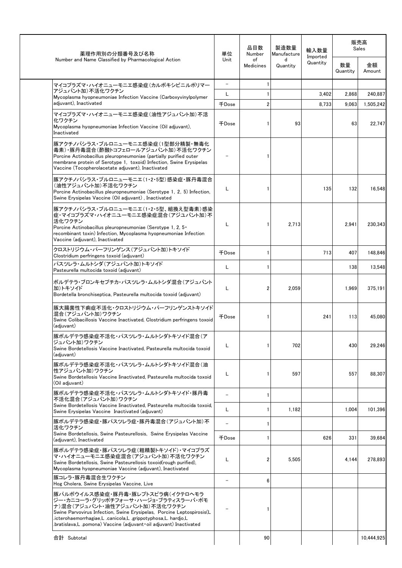| 薬理作用別の分類番号及び名称                                                                                                                                                                                                                                                                                                          | 単位                       | 品目数<br>Number          | 製造数量<br>Manufacture | 輸入数量<br>Imported | 販売高<br>Sales   |              |
|-------------------------------------------------------------------------------------------------------------------------------------------------------------------------------------------------------------------------------------------------------------------------------------------------------------------------|--------------------------|------------------------|---------------------|------------------|----------------|--------------|
| Number and Name Classified by Pharmacological Action                                                                                                                                                                                                                                                                    | <b>Unit</b>              | of<br><b>Medicines</b> | d<br>Quantity       | Quantity         | 数量<br>Quantity | 金額<br>Amount |
| マイコプラズマ・ハイオニューモニエ感染症(カルボキシビニルポリマー                                                                                                                                                                                                                                                                                       | $\overline{\phantom{a}}$ |                        |                     |                  |                |              |
| アジュバント加)不活化ワクチン<br>Mycoplasma hyopneumoniae Infection Vaccine (Carboxyvinylpolymer                                                                                                                                                                                                                                      | L                        |                        |                     | 3,402            | 2.868          | 240.887      |
| adiuvant). Inactivated                                                                                                                                                                                                                                                                                                  | 千Dose                    | 2                      |                     | 8,733            | 9.063          | 1.505.242    |
| マイコプラズマ・ハイオニューモニエ感染症(油性アジュバント加)不活<br>化ワクチン<br>Mycoplasma hyopneumoniae Infection Vaccine (Oil adjuvant),<br>Inactivated                                                                                                                                                                                                 | 千Dose                    |                        | 93                  |                  | 63             | 22,747       |
| 豚アクチノバシラス・プルロニューモニエ感染症(1型部分精製・無毒化<br>毒素)・豚丹毒混合(酢酸トコフェロールアジュバント加)不活化ワクチン<br>Porcine Actinobacillus pleuropneumoniae (partially purified outer<br>membrane protein of Serotype 1, toxoid) Infection, Swine Erysipelas<br>Vaccine (Tocopherolacetate adjuvant), Inactivated                                                |                          |                        |                     |                  |                |              |
| 豚アクチノバシラス・プルロニューモニエ(1・2・5型)感染症・豚丹毒混合<br>(油性アジュバント加)不活化ワクチン<br>Porcine Actinobacillus pleuropneumoniae (Serotype 1, 2, 5) Infection,<br>Swine Erysipelas Vaccine (Oil adjuvant), Inactivated                                                                                                                             | L                        |                        |                     | 135              | 132            | 16,548       |
| 豚アクチノバシラス・プルロニューモニエ(1・2・5型、組換え型毒素)感染<br>症・マイコプラズマ・ハイオニユーモニエ感染症混合(アジユバント加)不<br>活化ワクチン<br>Porcine Actinobacillus pleuropneumoniae (Serotype 1, 2, 5 ·<br>recombinant toxin) Infection, Mycoplasma hyopneumoniae Infection<br>Vaccine (adjuvant), Inactivated                                                              | L                        |                        | 2,713               |                  | 2,941          | 230,343      |
| クロストリジウム・パーフリンゲンス(アジュバント加)トキソイド<br>Clostridium perfringens toxoid (adjuvant)                                                                                                                                                                                                                                            | 千Dose                    |                        |                     | 713              | 407            | 148.846      |
| パスツレラ・ムルトシダ (アジュバント加)トキソイド<br>Pasteurella multocida toxoid (adjuvant)                                                                                                                                                                                                                                                   | L                        |                        |                     |                  | 138            | 13,548       |
| ボルデテラ・ブロンキセプチカ・パスツレラ・ムルトシダ混合(アジュバント<br>加)トキソイド<br>Bordetella bronchiseptica, Pasteurella multocida toxoid (adjuvant)                                                                                                                                                                                                    | L                        | 2                      | 2,059               |                  | 1,969          | 375,191      |
| 豚大腸菌性下痢症不活化・クロストリジウム・パーフリンゲンストキソイド<br>混合(アジュバント加)ワクチン<br>Swine Colibacillosis Vaccine Inactivated, Clostridium perfringens toxoid<br>(adjuvant)                                                                                                                                                                         | <b>千Dose</b>             |                        |                     | 241              | 113            | 45,080       |
| 豚ボルデテラ感染症不活化・パスツレラ・ムルトシダトキソイド混合(ア<br>ジュバント加) ワクチン<br>Swine Bordetellosis Vaccine Inactivated, Pasteurella multocida toxoid<br>(adiuvant)                                                                                                                                                                                | L                        |                        | 702                 |                  | 430            | 29,246       |
| 豚ボルデテラ感染症不活化・パスツレラ・ムルトシダトキソイド混合(油<br>性アジュバント加)ワクチン<br>Swine Bordetellosis Vaccine Iinactivated, Pasteurella multocida toxoid<br>(Oil adiuvant)                                                                                                                                                                          | L                        |                        | 597                 |                  | 557            | 88,307       |
| 豚ボルデテラ感染症不活化・パスツレラ・ムルトシダトキソイド・豚丹毒<br>不活化混合(アジュバント加)ワクチン                                                                                                                                                                                                                                                                 | $\equiv$                 |                        |                     |                  |                |              |
| Swine Bordetellosis Vaccine Iinactivated. Pasteurella multocida toxoid.<br>Swine Erysipelas Vaccine Inactivated (adjuvant)                                                                                                                                                                                              | L                        |                        | 1,182               |                  | 1.004          | 101,396      |
| 豚ボルデテラ感染症・豚パスツレラ症・豚丹毒混合(アジュバント加)不<br>活化ワクチン                                                                                                                                                                                                                                                                             |                          |                        |                     |                  |                |              |
| Swine Bordetellosis, Swine Pasteurellosis, Swine Erysipelas Vaccine<br>(adjuvant), Inactivated                                                                                                                                                                                                                          | 千Dose                    |                        |                     | 626              | 331            | 39.684       |
| 豚ボルデテラ感染症・豚パスツレラ症(粗精製トキソイド)・マイコプラズ<br>マ・ハイオニューモニエ感染症混合(アジュバント加)不活化ワクチン<br>Swine Bordetellosis, Swine Pasteurellosis toxoid (rough purified),<br>Mycoplasma hyopneumoniae Vaccine (adjuvant), Inactivated                                                                                                                | L                        |                        | 5,505               |                  | 4.144          | 278,893      |
| 豚コレラ・豚丹毒混合生ワクチン<br>Hog Cholera, Swine Erysipelas Vaccine, Live                                                                                                                                                                                                                                                          | $\overline{a}$           | 6                      |                     |                  |                |              |
| 豚パルボウイルス感染症・豚丹毒・豚レプトスピラ病(イクテロヘモラ<br>ジー・カニコーラ・グリッポチフォーサ・ハージョ・ブラティスラーバ・ポモ<br>ナ)混合(アジュバント・油性アジュバント加)不活化ワクチン<br>Swine Parvovirus Infection, Swine Erysipelas, Porcine Leptospirosis(L<br>.icterohaemorrhagiae,L .canicola,L .grippotyphosa,L. hardjo,L<br>bratislava,L .pomona) Vaccine (adjuvant oil adjuvant) Inactivated |                          |                        |                     |                  |                |              |
|                                                                                                                                                                                                                                                                                                                         |                          |                        |                     |                  |                |              |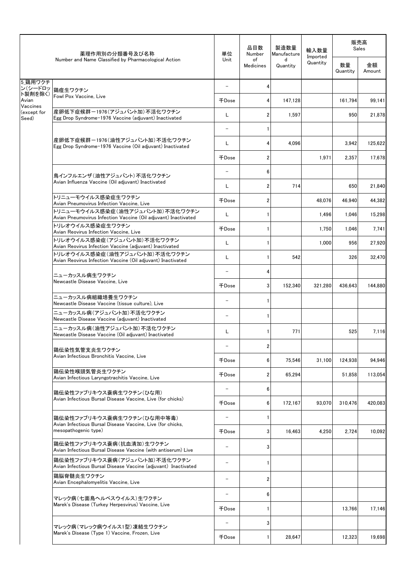|                         | 薬理作用別の分類番号及び名称                                                                                  | 単位                       | 品目数<br>Number           | 製造数量<br>Manufacture | 輸入数量<br>Imported | 販売高<br>Sales   |              |
|-------------------------|-------------------------------------------------------------------------------------------------|--------------------------|-------------------------|---------------------|------------------|----------------|--------------|
|                         | Number and Name Classified by Pharmacological Action                                            | Unit                     | of<br><b>Medicines</b>  | d<br>Quantity       | Quantity         | 数量<br>Quantity | 金額<br>Amount |
| 5 鶏用ワクチ<br>ン(シードロッ      | 鶏痘生ワクチン                                                                                         | $\qquad \qquad -$        | 4                       |                     |                  |                |              |
| ト製剤を除く)<br>Avian        | Fowl Pox Vaccine, Live                                                                          | 千Dose                    | 4                       | 147.128             |                  | 161,794        | 99,141       |
| Vaccines<br>(except for | 産卵低下症候群ー1976 (アジュバント加) 不活化ワクチン                                                                  | Г                        | 2                       | 1,597               |                  | 950            | 21.878       |
| Seed)                   | Egg Drop Syndrome-1976 Vaccine (adjuvant) Inactivated                                           | $\qquad \qquad -$        |                         |                     |                  |                |              |
|                         | 産卵低下症候群ー1976(油性アジュバント加)不活化ワクチン<br>Egg Drop Syndrome-1976 Vaccine (Oil adjuvant) Inactivated     | L                        | 4                       | 4,096               |                  | 3,942          | 125,622      |
|                         |                                                                                                 | 千Dose                    | $\overline{2}$          |                     | 1,971            | 2,357          | 17,678       |
|                         |                                                                                                 |                          | 6                       |                     |                  |                |              |
|                         | 鳥インフルエンザ(油性アジュバント)不活化ワクチン<br>Avian Influenza Vaccine (Oil adjuvant) Inactivated                 | L                        | $\overline{2}$          | 714                 |                  | 650            | 21,840       |
|                         | トリニューモウイルス感染症生ワクチン                                                                              |                          |                         |                     |                  |                |              |
|                         | Avian Pneumovirus Infection Vaccine, Live<br>トリニューモウイルス感染症(油性アジュバント加)不活化ワクチン                    | 千Dose                    | $\overline{\mathbf{c}}$ |                     | 48.076           | 46,940         | 44,382       |
|                         | Avian Pneumovirus Infection Vaccine (Oil adjuvant) Inactivated<br>トリレオウイルス感染症生ワクチン              | L                        | -1                      |                     | 1,496            | 1,046          | 15,298       |
|                         | Avian Reovirus Infection Vaccine, Live                                                          | 千Dose                    | $\mathbf{1}$            |                     | 1,750            | 1,046          | 7,741        |
|                         | トリレオウイルス感染症(アジュバント加)不活化ワクチン<br>Avian Reovirus Infection Vaccine (adjuvant) Inactivated          | L                        | -1                      |                     | 1,000            | 956            | 27,920       |
|                         | トリレオウイルス感染症(油性アジュバント加)不活化ワクチン<br>Avian Reovirus Infection Vaccine (Oil adjuvant) Inactivated    | L                        | 1                       | 542                 |                  | 326            | 32,470       |
|                         | ニューカッスル病生ワクチン                                                                                   | $\overline{\phantom{m}}$ | 4                       |                     |                  |                |              |
|                         | Newcastle Disease Vaccine, Live                                                                 | 千Dose                    | 3                       | 152,340             | 321,280          | 436,643        | 144,880      |
|                         | ニューカッスル病組織培養生ワクチン<br>Newcastle Disease Vaccine (tissue culture), Live                           | $\qquad \qquad -$        | 1                       |                     |                  |                |              |
|                         | ニューカッスル病(アジュバント加)不活化ワクチン<br>Newcastle Disease Vaccine (adjuvant) Inactivated                    | $\overline{\phantom{0}}$ | -1                      |                     |                  |                |              |
|                         | ニューカッスル病(油性アジュバント加)不活化ワクチン<br>Newcastle Disease Vaccine (Oil adjuvant) Inactivated              | L                        |                         | 771                 |                  | 525            | 7,116        |
|                         | 鶏伝染性気管支炎生ワクチン                                                                                   |                          | 2                       |                     |                  |                |              |
|                         | Avian Infectious Bronchitis Vaccine, Live                                                       | 千Dose                    | 6                       | 75,546              | 31,100           | 124,938        | 94,946       |
|                         | 鶏伝染性喉頭気管炎生ワクチン<br>Avian Infectious Laryngotrachitis Vaccine, Live                               | 千Dose                    | $\overline{2}$          | 65,294              |                  | 51,858         | 113,054      |
|                         | 鶏伝染性ファブリキウス嚢病生ワクチン(ひな用)                                                                         | $\overline{\phantom{0}}$ | 6                       |                     |                  |                |              |
|                         | Avian Infectious Bursal Disease Vaccine, Live (for chicks)                                      | 千Dose                    | 6                       | 172,167             | 93,070           | 310,476        | 420,083      |
|                         | 鶏伝染性ファブリキウス嚢病生ワクチン(ひな用中等毒)                                                                      | $\qquad \qquad -$        | 1                       |                     |                  |                |              |
|                         | Avian Infectious Bursal Disease Vaccine, Live (for chicks,<br>mesopathogenic type)              | 千Dose                    | 3                       | 16,463              | 4,250            | 2,724          | 10,092       |
|                         | 鶏伝染性ファブリキウス嚢病(抗血清加)生ワクチン<br>Avian Infectious Bursal Disease Vaccine (with antiserum) Live       |                          | 3                       |                     |                  |                |              |
|                         | 鶏伝染性ファブリキウス嚢病(アジュバント加)不活化ワクチン<br>Avian Infectious Bursal Disease Vaccine (adjuvant) Inactivated |                          | 1                       |                     |                  |                |              |
|                         | 鶏脳脊髄炎生ワクチン<br>Avian Encephalomyelitis Vaccine, Live                                             | $\overline{\phantom{0}}$ | $\overline{\mathbf{c}}$ |                     |                  |                |              |
|                         | マレック病(七面鳥ヘルペスウイルス)生ワクチン                                                                         | $\overline{\phantom{0}}$ | 6                       |                     |                  |                |              |
|                         | Marek's Disease (Turkey Herpesvirus) Vaccine, Live                                              | 千Dose                    | 1                       |                     |                  | 13,766         | 17,146       |
|                         | マレック病(マレック病ウイルス1型)凍結生ワクチン                                                                       | $\overline{\phantom{0}}$ | 3                       |                     |                  |                |              |
|                         | Marek's Disease (Type 1) Vaccine, Frozen, Live                                                  | 千Dose                    | 1                       | 28,647              |                  | 12,323         | 19,698       |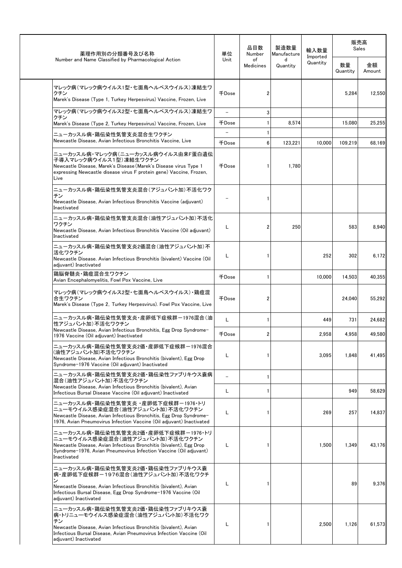| 薬理作用別の分類番号及び名称                                                                                                                                                                                                                                  | 単位                                | 品目数<br>Number          | 製造数量<br>Manufacture | 輸入数量                 | 販売高<br>Sales   |              |
|-------------------------------------------------------------------------------------------------------------------------------------------------------------------------------------------------------------------------------------------------|-----------------------------------|------------------------|---------------------|----------------------|----------------|--------------|
| Number and Name Classified by Pharmacological Action                                                                                                                                                                                            | Unit                              | of<br><b>Medicines</b> | d<br>Quantity       | Imported<br>Quantity | 数量<br>Quantity | 金額<br>Amount |
| マレック病(マレック病ウイルス1型・七面鳥ヘルペスウイルス)凍結生ワ<br>クチン<br>Marek's Disease (Type 1, Turkey Herpesvirus) Vaccine, Frozen, Live                                                                                                                                 | 千Dose                             | $\overline{2}$         |                     |                      | 5,284          | 12,550       |
| マレック病(マレック病ウイルス2型・七面鳥ヘルペスウイルス)凍結生ワ<br>クチン                                                                                                                                                                                                       | $\overline{\phantom{0}}$          | 3                      |                     |                      |                |              |
| Marek's Disease (Type 2, Turkey Herpesvirus) Vaccine, Frozen, Live                                                                                                                                                                              | 千Dose                             | $\mathbf{1}$           | 8,574               |                      | 15,080         | 25,255       |
| ニューカッスル病・鶏伝染性気管支炎混合生ワクチン<br>Newcastle Disease, Avian Infectious Bronchitis Vaccine, Live                                                                                                                                                        | $\overline{\phantom{0}}$<br>千Dose | 1<br>6                 | 123,221             | 10,000               | 109,219        | 68,169       |
| ニューカッスル病・マレック病(ニューカッスル病ウイルス由来F蛋白遺伝<br>子導入マレック病ウイルス1型)凍結生ワクチン<br>Newcastle Disease, Marek's Disease (Marek's Disease virus Type 1<br>expressing Newcastle disease virus F protein gene) Vaccine, Frozen,<br>Live                                 | 千Dose                             | 1                      | 1,780               |                      |                |              |
| ニューカッスル病・鶏伝染性気管支炎混合(アジュバント加)不活化ワク<br>チン<br>Newcastle Disease, Avian Infectious Bronchitis Vaccine (adjuvant)<br>Inactivated                                                                                                                     |                                   | 1                      |                     |                      |                |              |
| ニューカッスル病・鶏伝染性気管支炎混合(油性アジュバント加)不活化<br>ワクチン<br>Newcastle Disease, Avian Infectious Bronchitis Vaccine (Oil adjuvant)<br>Inactivated                                                                                                               | L                                 | 2                      | 250                 |                      | 583            | 8,940        |
| ニューカッスル病・鶏伝染性気管支炎2価混合(油性アジュバント加)不<br>活化ワクチン<br>Newcastle Disease. Avian Infectious Bronchitis (bivalent) Vaccine (Oil<br>adjuvant) Inactivated                                                                                                  | Г                                 | 1                      |                     | 252                  | 302            | 6,172        |
| 鶏脳脊髄炎・鶏痘混合生ワクチン<br>Avian Encephalomyelitis, Fowl Pox Vaccine, Live                                                                                                                                                                              | <b>千Dose</b>                      | $\mathbf{1}$           |                     | 10,000               | 14,503         | 40,355       |
| マレック病(マレック病ウイルス2型・七面鳥ヘルペスウイルス)・鶏痘混<br>合生ワクチン<br>Marek's Disease (Type 2, Turkey Herpesvirus). Fowl Pox Vaccine, Live                                                                                                                            | 千Dose                             | 2                      |                     |                      | 24.040         | 55,292       |
| ニューカッスル病・鶏伝染性気管支炎・産卵低下症候群ー1976混合(油<br>性アジュバント加)不活化ワクチン                                                                                                                                                                                          | L                                 | 1                      |                     | 449                  | 731            | 24,682       |
| Newcastle Disease, Avian Infectious Bronchitis, Egg Drop Syndrome-<br>1976 Vaccine (Oil adjuvant) Inactivated                                                                                                                                   | 千Dose                             | 2                      |                     | 2.958                | 4.958          | 49,580       |
| ニューカッスル病・鶏伝染性気管支炎2価・産卵低下症候群ー1976混合<br>(油性アジュバント加)不活化ワクチン<br>Newcastle Disease, Avian Infectious Bronchitis (bivalent), Egg Drop<br>Syndrome-1976 Vaccine (Oil adjuvant) Inactivated                                                             | L                                 | 1                      |                     | 3,095                | 1,848          | 41,495       |
| ニューカッスル病・鶏伝染性気管支炎2価・鶏伝染性ファブリキウス嚢病<br>混合(油性アジュバント加)不活化ワクチン                                                                                                                                                                                       | $\overline{\phantom{0}}$          | 1                      |                     |                      |                |              |
| Newcastle Disease, Avian Infectious Bronchitis (bivalent), Avian<br>Infectious Bursal Disease Vaccine (Oil adjuvant) Inactivated                                                                                                                | L                                 | 1                      |                     |                      | 949            | 58,629       |
| ニューカッスル病・鶏伝染性気管支炎 ・産卵低下症候群-1976・トリ<br>ニューモウイルス感染症混合(油性アジュバント加)不活化ワクチン<br>Newcastle Disease, Avian Infectious Bronchitis, Egg Drop Syndrome-<br>1976. Avian Pneumovirus Infection Vaccine (Oil adiuvant) Inactivated                             | L                                 | 1                      |                     | 269                  | 257            | 14,837       |
| ニューカッスル病・鶏伝染性気管支炎2価・産卵低下症候群-1976・トリ<br>ニューモウイルス感染症混合(油性アジュバント加)不活化ワクチン<br>Newcastle Disease, Avian Infectious Bronchitis (bivalent), Egg Drop<br>Syndrome-1976, Avian Pneumovirus Infection Vaccine (Oil adjuvant)<br>Inactivated               | L                                 | 1                      |                     | 1,500                | 1,349          | 43,176       |
| ニューカッスル病・鶏伝染性気管支炎2価・鶏伝染性ファブリキウス嚢<br>病・産卵低下症候群ー1976混合(油性アジュバント加)不活化ワクチ<br>Newcastle Disease, Avian Infectious Bronchitis (bivalent), Avian<br>Infectious Bursal Disease, Egg Drop Syndrome-1976 Vaccine (Oil<br>adjuvant) Inactivated            | L                                 | 1                      |                     |                      | 89             | 9,376        |
| ニューカッスル病・鶏伝染性気管支炎2価・鶏伝染性ファブリキウス嚢<br>病・トリニューモウイルス感染症混合(油性アジュバント加)不活化ワク<br>チン<br>Newcastle Disease, Avian Infectious Bronchitis (bivalent), Avian<br>Infectious Bursal Disease, Avian Pneumovirus Infection Vaccine (Oil<br>adjuvant) Inactivated | L                                 | 1                      |                     | 2,500                | 1,126          | 61,573       |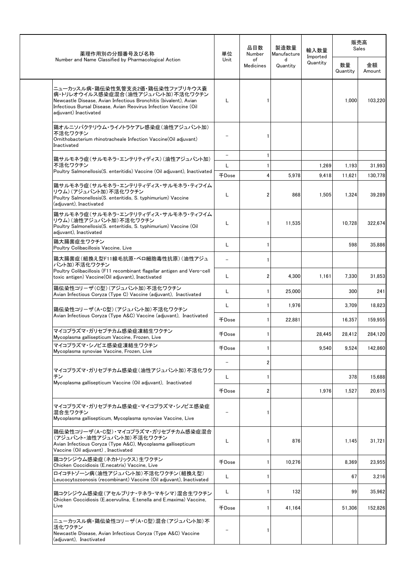| 薬理作用別の分類番号及び名称<br>Number and Name Classified by Pharmacological Action                                                                                                                                                                 | 単位    | 品目数<br>Number          | 製造数量<br>Manufacture | 輸入数量<br>Imported |                | 販売高<br>Sales |  |
|----------------------------------------------------------------------------------------------------------------------------------------------------------------------------------------------------------------------------------------|-------|------------------------|---------------------|------------------|----------------|--------------|--|
|                                                                                                                                                                                                                                        | Unit  | of<br><b>Medicines</b> | d<br>Quantity       | Quantity         | 数量<br>Quantity | 金額<br>Amount |  |
| ニューカッスル病・鶏伝染性気管支炎2価・鶏伝染性ファブリキウス嚢<br>病・トリレオウイルス感染症混合(油性アジュバント加)不活化ワクチン<br>Newcastle Disease, Avian Infectious Bronchitis (bivalent), Avian<br>Infectious Bursal Disease, Avian Reovirus Infection Vaccine (Oil<br>adiuvant) Inactivated | L     |                        |                     |                  | 1,000          | 103,220      |  |
| 鶏オルニソバクテリウム・ライノトラケアレ感染症(油性アジュバント加)<br>不活化ワクチン<br>Ornithobacterium rhinotracheale Infection Vaccine (Oil adjuvant)<br>Inactivated                                                                                                       |       | 1                      |                     |                  |                |              |  |
| 鶏サルモネラ症(サルモネラ・エンテリティディス)(油性アジュバント加)                                                                                                                                                                                                    |       | 1                      |                     |                  |                |              |  |
| 不活化ワクチン<br>Poultry Salmonellosis(S. enteritidis) Vaccine (Oil adjuvant), Inactivated                                                                                                                                                   | Г     | 1                      |                     | 1,269            | 1,193          | 31,993       |  |
|                                                                                                                                                                                                                                        | 千Dose | 4                      | 5,978               | 9,418            | 11,621         | 130,778      |  |
| 鶏サルモネラ症(サルモネラ・エンテリティディス・サルモネラ・ティフイム<br>リウム)(アジュバント加)不活化ワクチン<br>Poultry Salmonellosis(S. enteritidis, S. typhimurium) Vaccine<br>(adjuvant), Inactivated                                                                                | L     | 2                      | 868                 | 1,505            | 1,324          | 39,289       |  |
| 鶏サルモネラ症(サルモネラ・エンテリティディス・サルモネラ・ティフイム<br>リウム)(油性アジュバント加)不活化ワクチン<br>Poultry Salmonellosis(S. enteritidis, S. typhimurium) Vaccine (Oil<br>adjuvant), Inactivated                                                                          | L     | 1                      | 11,535              |                  | 10.728         | 322.674      |  |
| 鶏大腸菌症生ワクチン<br>Poultry Colibacillosis Vaccine, Live                                                                                                                                                                                     | L     | 1                      |                     |                  | 598            | 35.886       |  |
| 鶏大腸菌症(組換え型F11線毛抗原・ベロ細胞毒性抗原)(油性アジュ<br>バント加)不活化ワクチン                                                                                                                                                                                      |       | 1                      |                     |                  |                |              |  |
| Poultry Colibacillosis (F11 recombinant flagellar antigen and Vero-cell<br>toxic antigen) Vaccine(Oil adjuvant), Inactivated                                                                                                           | L     | 2                      | 4,300               | 1.161            | 7,330          | 31,853       |  |
| 鶏伝染性コリーザ(C型)(アジュバント加)不活化ワクチン<br>Avian Infectious Coryza (Type C) Vaccine (adjuvant), Inactivated                                                                                                                                       | L     | 1                      | 25.000              |                  | 300            | 241          |  |
| 鶏伝染性コリーザ(A・C型)(アジュバント加)不活化ワクチン                                                                                                                                                                                                         | L     | 1                      | 1,976               |                  | 3,709          | 18,823       |  |
| Avian Infectious Coryza (Type A&C) Vaccine (adjuvant), Inactivated                                                                                                                                                                     | 千Dose | 1                      | 22,881              |                  | 16,357         | 159,955      |  |
| マイコプラズマ・ガリセプチカム感染症凍結生ワクチン<br>Mycoplasma gallisepticum Vaccine, Frozen, Live                                                                                                                                                            | 千Dose | 1                      |                     | 28.445           | 28,412         | 284,120      |  |
| マイコプラズマ・シノビエ感染症凍結生ワクチン<br>Mycoplasma synoviae Vaccine, Frozen, Live                                                                                                                                                                    | 千Dose | 1                      |                     | 9,540            | 9,524          | 142.860      |  |
|                                                                                                                                                                                                                                        |       | 2                      |                     |                  |                |              |  |
| マイコプラズマ・ガリセプチカム感染症(油性アジュバント加)不活化ワク<br>チン<br>Mycoplasma gallisepticum Vaccine (Oil adjuvant), Inactivated                                                                                                                               | L     | 1                      |                     |                  | 378            | 15,688       |  |
|                                                                                                                                                                                                                                        | 千Dose | 2                      |                     | 1,976            | 1,527          | 20,615       |  |
| マイコプラズマ・ガリセプチカム感染症・マイコプラズマ・シノビエ感染症<br>混合生ワクチン<br>Mycoplasma gallisepticum, Mycoplasma synoviae Vaccine, Live                                                                                                                           |       |                        |                     |                  |                |              |  |
| 鶏伝染性コリーザ(A・C型)・マイコプラズマ・ガリセプチカム感染症混合<br>(アジュバント・油性アジュバント加)不活化ワクチン<br>Avian Infectious Coryza (Type A&C), Mycoplasma gallisepticum<br>Vaccine (Oil adjuvant), Inactivated                                                                | L     | 1                      | 876                 |                  | 1,145          | 31,721       |  |
| 鶏コクシジウム感染症(ネカトリックス)生ワクチン<br>Chicken Coccidiosis (E.necatrix) Vaccine, Live                                                                                                                                                             | 千Dose | 1                      | 10,276              |                  | 8,369          | 23,955       |  |
| ロイコチトゾーン病(油性アジュバント加)不活化ワクチン(組換え型)<br>Leucocytozoonosis (recombinant) Vaccine (Oil adjuvant), Inactivated                                                                                                                               | L     | 1                      |                     |                  | 67             | 3,216        |  |
| 鶏コクシジウム感染症(アセルブリナ・テネラ・マキシマ)混合生ワクチン<br>Chicken Coccidiosis (E.acervulina, E.tenella and E.maxima) Vaccine,                                                                                                                              | L     | 1                      | 132                 |                  | 99             | 35,962       |  |
| Live                                                                                                                                                                                                                                   | 千Dose | 1                      | 41.164              |                  | 51,306         | 152,826      |  |
| ニューカッスル病・鶏伝染性コリーザ(A・C型)混合(アジュバント加)不<br>活化ワクチン<br>Newcastle Disease, Avian Infectious Coryza (Type A&C) Vaccine<br>(adjuvant), Inactivated                                                                                              |       | 1                      |                     |                  |                |              |  |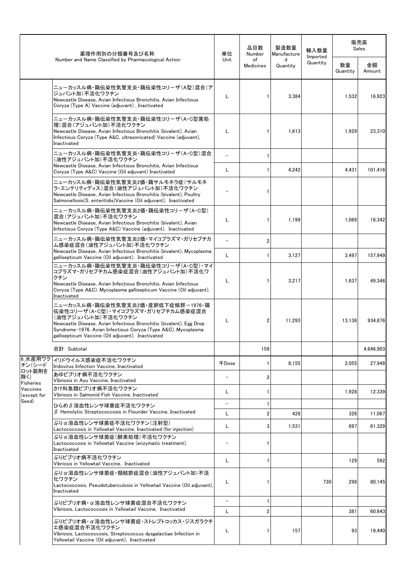|                            | 薬理作用別の分類番号及び名称                                                                                                                                                                                                                                                                              | 単位                       | 品目数<br>Number                | 製造数量<br>Manufacture | 輸入数量                 |                | 販売高<br>Sales     |
|----------------------------|---------------------------------------------------------------------------------------------------------------------------------------------------------------------------------------------------------------------------------------------------------------------------------------------|--------------------------|------------------------------|---------------------|----------------------|----------------|------------------|
|                            | Number and Name Classified by Pharmacological Action                                                                                                                                                                                                                                        | Unit                     | of<br>Medicines              | d<br>Quantity       | Imported<br>Quantity | 数量<br>Quantity | 金額<br>Amount     |
|                            | ニューカッスル病・鶏伝染性気管支炎・鶏伝染性コリーザ(A型)混合(ア<br>ジュバント加)不活化ワクチン<br>Newcastle Disease, Avian Infectious Bronchitis, Avian Infectious<br>Coryza (Type A) Vaccine (adjuvant), Inactivated                                                                                                                 | L                        | $\mathbf{1}$                 | 3,384               |                      | 1,532          | 16,923           |
|                            | ニューカッスル病・鶏伝染性気管支炎・鶏伝染性コリーザ(A・C型菌処<br>理)混合(アジュバント加)不活化ワクチン<br>Newcastle Disease, Avian Infectious Bronchitis (bivalent), Avian<br>Infectious Coryza (Type A&C, ultrasonicated) Vaccine (adjuvant),<br>Inactivated                                                                            | L                        | $\mathbf{1}$                 | 1,613               |                      | 1,929          | 23,310           |
|                            | ニューカッスル病·鶏伝染性気管支炎·鶏伝染性コリーザ(A·C型)混合<br>(油性アジュバント加)不活化ワクチン<br>Newcastle Disease, Avian Infectious Bronchitis, Avian Infectious                                                                                                                                                                | L                        | $\mathbf{1}$<br>$\mathbf{1}$ | 4,242               |                      | 4,431          | 101,416          |
|                            | Coryza (Type A&C) Vaccine (Oil adjuvant) Inactivated<br>ニューカッスル病・鶏伝染性気管支炎2価・鶏サルモネラ症(サルモネ<br>ラ・エンテリティディス)混合(油性アジュバント加)不活化ワクチン<br>Newcastle Disease, Avian Infectious Bronchitis (bivalent), Poultry<br>Salmonellosis(S. enteritidis) Vaccine (Oil adjuvant), Inactivated                     |                          | 1                            |                     |                      |                |                  |
|                            | ニューカッスル病·鶏伝染性気管支炎2価·鶏伝染性コリーザ(A·C型)<br>混合(アジュバント加)不活化ワクチン<br>Newcastle Disease, Avian Infectious Bronchitis (bivalent), Avian<br>Infectious Coryza (Type A&C) Vaccine (adjuvant), Inactivated                                                                                                | L                        | 1                            | 1,199               |                      | 1.069          | 16,342           |
|                            | ニューカッスル病・鶏伝染性気管支炎2価・マイコプラズマ・ガリセプチカ<br>ム感染症混合(油性アジュバント加)不活化ワクチン                                                                                                                                                                                                                              | $\equiv$                 | $\overline{2}$               |                     |                      |                |                  |
|                            | Newcastle Disease, Avian Infectious Bronchitis (bivalent), Mycoplasma<br>gallisepticum Vaccine (Oil adjuvant), Inactivated                                                                                                                                                                  | L                        | $\mathbf{1}$                 | 3,127               |                      | 3,497          | 157,949          |
|                            | ニューカッスル病·鶏伝染性気管支炎·鶏伝染性コリーザ(A·C型)·マイ<br> コプラズマ・ガリセプチカム感染症混合(油性アジュバント加)不活化ワ<br>クチン<br>Newcastle Disease, Avian Infectious Bronchitis, Avian Infectious<br>Coryza (Type A&C), Mycoplasma gallisepticum Vaccine (Oil adjuvant),<br>Inactivated                                                  | L                        | $\mathbf{1}$                 | 3,217               |                      | 1,637          | 49,346           |
|                            | ニューカッスル病・鶏伝染性気管支炎2価・産卵低下症候群-1976・鶏<br>伝染性コリーザ(A・C型)・マイコプラズマ・ガリセプチカム感染症混合<br>(油性アジュバント加)不活化ワクチン<br>Newcastle Disease, Avian Infectious Bronchitis (bivalent), Egg Drop<br>Syndrome-1976. Avian Infectious Coryza (Type A&C), Mycoplasma<br>gallisepticum Vaccine (Oil adjuvant), Inactivated | L                        | 2                            | 11,293              |                      | 13,136         | 934,876          |
|                            | 合計 Subtotal                                                                                                                                                                                                                                                                                 |                          | 159                          |                     |                      |                | 4,646,903        |
| 6_水産用ワク<br>チン(シード          | イリドウイルス感染症不活化ワクチン<br>Iridovirus Infection Vaccine, Inactivated                                                                                                                                                                                                                              | 千Dose                    | 1                            | 8,155               |                      | 2,055          | 27,948           |
| ロット製剤を<br>除く)<br>Fisheries | あゆビブリオ病不活化ワクチン<br>Vibriosis in Ayu Vaccine, Inactivated                                                                                                                                                                                                                                     | $\overline{\phantom{m}}$ | $\overline{2}$               |                     |                      |                |                  |
| Vaccines<br>(except for    | さけ科魚類ビブリオ病不活化ワクチン<br>Vibriosis in Salmonid Fish Vaccine, Inactivated                                                                                                                                                                                                                        | L                        | 1                            |                     |                      | 1,928          | 12,339           |
| Seed)                      | ひらめ β 溶血性レンサ球菌症不活化ワクチン                                                                                                                                                                                                                                                                      | $\overline{\phantom{a}}$ | 1                            |                     |                      |                |                  |
|                            | $\beta$ Hemolytic Streptococcosis in Flounder Vaccine, Inactivated<br>ぶりα溶血性レンサ球菌症不活化ワクチン(注射型)                                                                                                                                                                                              | L                        | $\overline{2}$               | 428                 |                      | 326            | 11,067           |
|                            | Lactococcosis in Yellowtail Vaccine, Inactivated (for injection)                                                                                                                                                                                                                            | L                        | 3                            | 1,531               |                      | 697            | 61,329           |
|                            | ぶりα溶血性レンサ球菌症(酵素処理)不活化ワクチン<br>Lactococcosis in Yellowtail Vaccine (enzymatic treatment).<br>Inactivated                                                                                                                                                                                      |                          | -1                           |                     |                      |                |                  |
|                            | ぶりビブリオ病不活化ワクチン<br>Vibriosis in Yellowtail Vaccine, Inactivated                                                                                                                                                                                                                              | L                        | -1                           |                     |                      | 129            | 592              |
|                            | ぶりα溶血性レンサ球菌症・類結節症混合(油性アジュバント加)不活<br>化ワクチン<br>Lactococcosis, Pseudotuberculosis in Yellowtail Vaccine (Oil adjuvant),<br>Inactivated                                                                                                                                                         | L                        | 1                            |                     | 730                  | 298            | 80,145           |
|                            | ぶりビブリオ病・α溶血性レンサ球菌症混合不活化ワクチン<br>Vibriosis, Lactococcosis in Yellowtail Vaccine, Inactivated                                                                                                                                                                                                  | $\overline{\phantom{a}}$ | -1                           |                     |                      |                |                  |
|                            | ぶりビブリオ病・α溶血性レンサ球菌症・ストレプトコッカス・ジスガラクチ<br>エ感染症混合不活化ワクチン<br>Vibriosis, Lactococcosis, Streptococcus dysgalactiae Infection in<br>Yellowtail Vaccine (Oil adjuvant), Inactivated                                                                                                                 | L<br>L                   | $\overline{\mathbf{c}}$<br>1 | 157                 |                      | 381<br>93      | 60,643<br>19,440 |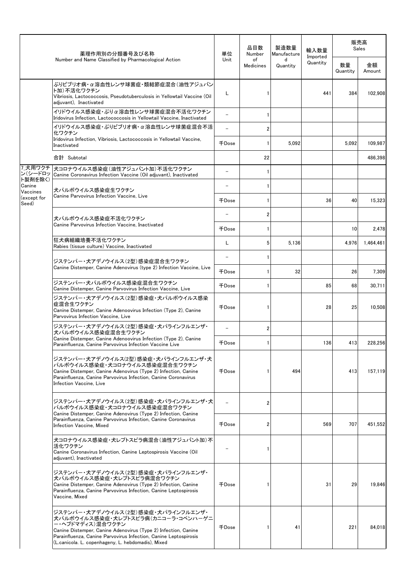|                                                       | 薬理作用別の分類番号及び名称                                                                                                                                                                                                                                                                           | 単位                       | 品目数<br>Number          | 製造数量<br>Manufacture | 輸入数量                 |                | 販売高<br>Sales |
|-------------------------------------------------------|------------------------------------------------------------------------------------------------------------------------------------------------------------------------------------------------------------------------------------------------------------------------------------------|--------------------------|------------------------|---------------------|----------------------|----------------|--------------|
|                                                       | Number and Name Classified by Pharmacological Action                                                                                                                                                                                                                                     | Unit                     | of<br><b>Medicines</b> | d<br>Quantity       | Imported<br>Quantity | 数量<br>Quantity | 金額<br>Amount |
|                                                       | ぶりビブリオ病・α溶血性レンサ球菌症・類結節症混合(油性アジュバン<br>ト加)不活化ワクチン<br>Vibriosis, Lactococcosis, Pseudotuberculosis in Yellowtail Vaccine (Oil<br>adjuvant), Inactivated                                                                                                                                     | L                        |                        |                     | 441                  | 384            | 102,908      |
|                                                       | イリドウイルス感染症・ぶりα溶血性レンサ球菌症混合不活化ワクチン<br>Iridovirus Infection, Lactococcosis in Yellowtail Vaccine, Inactivated                                                                                                                                                                               | $\overline{\phantom{0}}$ | -1                     |                     |                      |                |              |
|                                                       | イリドウイルス感染症・ぶりビブリオ病・α 溶血性レンサ球菌症混合不活<br>化ワクチン                                                                                                                                                                                                                                              | $\equiv$                 | $\overline{2}$         |                     |                      |                |              |
|                                                       | Iridovirus Infection, Vibriosis, Lactococcosis in Yellowtail Vaccine,<br>Inactivated                                                                                                                                                                                                     | 千Dose                    | $\mathbf{1}$           | 5,092               |                      | 5,092          | 109,987      |
|                                                       | 合計 Subtotal                                                                                                                                                                                                                                                                              |                          | 22                     |                     |                      |                | 486,398      |
| ン(シードロッ                                               | 7_犬用ワクチ 大コロナウイルス感染症(油性アジュバント加)不活化ワクチン<br>Canine Coronavirus Infection Vaccine (Oil adjuvant), Inactivated                                                                                                                                                                                |                          | $\mathbf{1}$           |                     |                      |                |              |
| ト製剤を除く)<br>Canine<br>Vaccines<br>(except for<br>Seed) | 犬パルボウイルス感染症生ワクチン                                                                                                                                                                                                                                                                         |                          | 1                      |                     |                      |                |              |
|                                                       | Canine Parvovirus Infection Vaccine, Live                                                                                                                                                                                                                                                | 千Dose                    | 1                      |                     | 36                   | 40             | 15,323       |
|                                                       | 犬パルボウイルス感染症不活化ワクチン                                                                                                                                                                                                                                                                       |                          | 2                      |                     |                      |                |              |
|                                                       | Canine Parvovirus Infection Vaccine, Inactivated                                                                                                                                                                                                                                         | 千Dose                    | $\mathbf{1}$           |                     |                      | 10             | 2,478        |
|                                                       | 狂犬病組織培養不活化ワクチン<br>Rabies (tissue culture) Vaccine, Inactivated                                                                                                                                                                                                                           | Г                        | 5                      | 5.136               |                      | 4,976          | 1,464,461    |
|                                                       | ジステンパー・犬アデノウイルス(2型)感染症混合生ワクチン                                                                                                                                                                                                                                                            |                          | 1                      |                     |                      |                |              |
|                                                       | Canine Distemper, Canine Adenovirus (type 2) Infection Vaccine, Live                                                                                                                                                                                                                     | 千Dose                    | 1                      | 32                  |                      | 26             | 7,309        |
|                                                       | ジステンパー・犬パルボウイルス感染症混合生ワクチン<br>Canine Distemper, Canine Parvovirus Infection Vaccine, Live                                                                                                                                                                                                 | 千Dose                    | 1                      |                     | 85                   | 68             | 30.711       |
|                                                       | ジステンパー・犬アデノウイルス(2型)感染症・犬パルボウイルス感染<br>症混合生ワクチン<br>Canine Distemper, Canine Adenoovirus Infection (Type 2), Canine<br>Parvovirus Infection Vaccine, Live                                                                                                                                   | 千Dose                    | 1                      |                     | 28                   | 25             | 10.508       |
|                                                       | ジステンパー・犬アデノウイルス(2型)感染症・犬パラインフルエンザ・<br>犬パルボウイルス感染症混合生ワクチン                                                                                                                                                                                                                                 |                          | $\overline{2}$         |                     |                      |                |              |
|                                                       | Canine Distemper, Canine Adenoovirus Infection (Type 2), Canine<br>Parainfluenza, Canine Parvovirus Infection Vaccine Live                                                                                                                                                               | 千Dose                    | 1                      |                     | 136                  | 413            | 228,256      |
|                                                       | ジステンパー・犬アデノウイルス(2型)感染症・犬パラインフルエンザ・犬<br>パルボウイルス感染症・犬コロナウイルス感染症混合生ワクチン<br>Canine Distemper, Canine Adenovirus (Type 2) Infection, Canine<br>Parainfluenza, Canine Parvovirus Infection, Canine Coronavirus<br>Infection Vaccine, Live                                                      | 千Dose                    |                        | 494                 |                      | 413            | 157,119      |
|                                                       | ジステンパー・犬アデノウイルス(2型)感染症・犬パラインフルエンザ・犬<br>パルボウイルス感染症・犬コロナウイルス感染症混合ワクチン<br>Canine Distemper, Canine Adenovirus (Type 2) Infection, Canine                                                                                                                                                    |                          | $\overline{2}$         |                     |                      |                |              |
|                                                       | Parainfluenza, Canine Parvovirus Infection, Canine Coronavirus<br>Infection Vaccine, Mixed                                                                                                                                                                                               | 千Dose                    | $\overline{2}$         |                     | 569                  | 707            | 451,552      |
|                                                       | 犬コロナウイルス感染症・犬レプトスピラ病混合(油性アジュバント加)不<br>活化ワクチン<br>Canine Coronavirus Infection, Canine Leptospirosis Vaccine (Oil<br>adjuvant), Inactivated                                                                                                                                                |                          | 1                      |                     |                      |                |              |
|                                                       | ジステンパー・犬アデノウイルス(2型)感染症・犬パラインフルエンザ・<br>犬パルボウイルス感染症・犬レプトスピラ病混合ワクチン<br>Canine Distemper, Canine Adenovirus (Type 2) Infection, Canine<br>Parainfluenza, Canine Parvovirus Infection, Canine Leptospirosis<br>Vaccine, Mixed                                                                 | 千Dose                    |                        |                     | 31                   | 29             | 19,846       |
|                                                       | ジステンパー・犬アデノウイルス(2型)感染症・犬パラインフルエンザ・<br>犬パルボウイルス感染症・犬レプトスピラ病(カニコーラ・コペンハーゲニ<br>ー・ヘブドマディス)混合ワクチン<br>Canine Distemper, Canine Adenovirus (Type 2) Infection, Canine<br>Parainfluenza, Canine Parvovirus Infection, Canine Leptospirosis<br>(L.canicola. L. copenhageny, L. hebdomadis), Mixed | 千Dose                    |                        | 41                  |                      | 221            | 84,018       |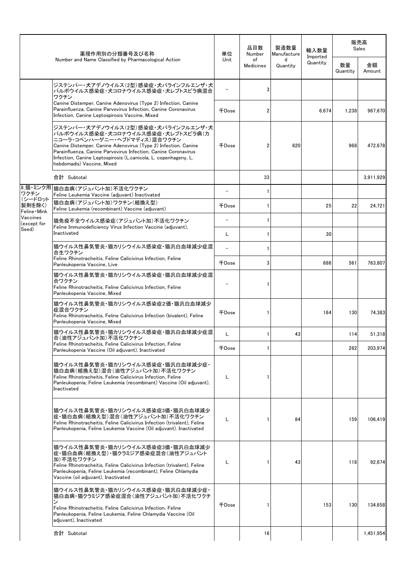|                                                             | 薬理作用別の分類番号及び名称                                                                                                                                                                                                                                                                                                                                | 単位    | 品目数<br>Number          | 製造数量<br>Manufacture | 輸入数量<br>Imported |                | 販売高<br>Sales |
|-------------------------------------------------------------|-----------------------------------------------------------------------------------------------------------------------------------------------------------------------------------------------------------------------------------------------------------------------------------------------------------------------------------------------|-------|------------------------|---------------------|------------------|----------------|--------------|
|                                                             | Number and Name Classified by Pharmacological Action                                                                                                                                                                                                                                                                                          | Unit  | of<br><b>Medicines</b> | d<br>Quantity       | Quantity         | 数量<br>Quantity | 金額<br>Amount |
|                                                             | ジステンパー・犬アデノウイルス(2型)感染症・犬パラインフルエンザ・犬<br>パルボウイルス感染症・犬コロナウイルス感染症・犬レプトスピラ病混合<br>ワクチン                                                                                                                                                                                                                                                              |       |                        |                     |                  |                |              |
|                                                             | Canine Distemper, Canine Adenovirus (Type 2) Infection, Canine<br>Parainfluenza, Canine Parvovirus Infection, Canine Coronavirus<br>Infection, Canine Leptospirosis Vaccine, Mixed                                                                                                                                                            | 千Dose |                        |                     | 6,674            | 1,238          | 967,670      |
|                                                             | ジステンパー・犬アデノウイルス(2型)感染症・犬パラインフルエンザ・犬<br>パルボウイルス感染症・犬コロナウイルス感染症・犬レプトスピラ病(カ<br>ニコーラ・コペンハーゲニー・ヘブドマディス)混合ワクチン<br>Canine Distemper, Canine Adenovirus (Type 2) Infection, Canine<br>Parainfluenza, Canine Parvovirus Infection, Canine Coronavirus<br>Infection, Canine Leptospirosis (L.canicola, L. copenhageny, L.<br>hebdomadis) Vaccine, Mixed | 千Dose |                        | 820                 |                  | 968            | 472.678      |
|                                                             | 合計 Subtotal                                                                                                                                                                                                                                                                                                                                   |       | 33                     |                     |                  |                | 3,911,929    |
| 8 猫・ミンク用<br>ワクチン                                            | 猫白血病(アジュバント加)不活化ワクチン<br>Feline Leukemia Vaccine (adjuvant) Inactivated                                                                                                                                                                                                                                                                        |       |                        |                     |                  |                |              |
| (シードロット<br>製剤を除く)<br>Feline Mink<br>Vaccines<br>(except for | 猫白血病(アジュバント加)ワクチン(組換え型)<br>Feline Leukemia (recombinant) Vaccine (adjuvant)                                                                                                                                                                                                                                                                   | 千Dose |                        |                     | 25               | 22             | 24,721       |
|                                                             | 猫免疫不全ウイルス感染症(アジュバント加)不活化ワクチン                                                                                                                                                                                                                                                                                                                  |       |                        |                     |                  |                |              |
| Seed)                                                       | Feline Immunodeficiency Virus Infection Vaccine (adjuvant),<br>Inactivated                                                                                                                                                                                                                                                                    | L     |                        |                     | 30               |                |              |
|                                                             | 猫ウイルス性鼻気管炎・猫カリシウイルス感染症・猫汎白血球減少症混<br>合生ワクチン                                                                                                                                                                                                                                                                                                    |       |                        |                     |                  |                |              |
|                                                             | Feline Rhinotracheitis, Feline Calicivirus Infection, Feline<br>Panleukopenia Vaccine, Live                                                                                                                                                                                                                                                   | 千Dose | 3                      |                     | 686              | 561            | 763,807      |
|                                                             | 猫ウイルス性鼻気管炎・猫カリシウイルス感染症・猫汎白血球減少症混<br>合ワクチン<br>Feline Rhinotracheitis, Feline Calicivirus Infection, Feline<br>Panleukopenia Vaccine, Mixed                                                                                                                                                                                                     |       |                        |                     |                  |                |              |
|                                                             | 猫ウイルス性鼻気管炎・猫カリシウイルス感染症2価・猫汎白血球減少<br> 症混合ワクチン<br>Feline Rhinotracheitis, Feline Calicivirus Infection (bivalent), Feline<br>Panleukopenia Vaccine, Mixed                                                                                                                                                                                       | 千Dose |                        |                     | 164              | 130            | 74,383       |
|                                                             | 猫ウイルス性鼻気管炎・猫カリシウイルス感染症・猫汎白血球減少症混<br>合(油性アジュバント加)不沽化ワクチン                                                                                                                                                                                                                                                                                       | L     | 1                      | 43                  |                  | 114            | 51,318       |
|                                                             | Feline Rhinotracheitis, Feline Calicivirus Infection, Feline<br>Panleukopenia Vaccine (Oil adiuvant), Inactivated                                                                                                                                                                                                                             | 千Dose |                        |                     |                  | 282            | 203.974      |
|                                                             | 猫ウイルス性鼻気管炎・猫カリシウイルス感染症・猫汎白血球減少症・<br>猫白血病(組換え型)混合(油性アジュバント加)不活化ワクチン<br>Feline Rhinotracheitis, Feline Calicivirus Infection, Feline<br>Panleukopenia, Feline Leukemia (recombinant) Vaccine (Oil adjuvant),<br>Inactivated                                                                                                                     | L     |                        |                     |                  |                |              |
|                                                             | 猫ウイルス性鼻気管炎・猫カリシウイルス感染症3価・猫汎白血球減少<br> 症・猫白血病(組換え型)混合(油性アジュバント加)不活化ワクチン<br>Feline Rhinotracheitis, Feline Calicivirus Infection (trivalent), Feline<br>Panleukopenia, Feline Leukemia Vaccine (Oil adjuvant). Inactivated                                                                                                                       | L     |                        | 84                  |                  | 159            | 106,419      |
|                                                             | 猫ウイルス性鼻気管炎・猫カリシウイルス感染症3価・猫汎白血球減少<br> 症・猫白血病(組換え型)・猫クラミジア感染症混合(油性アジュバント<br> 加)不活化ワクチン<br>Feline Rhinotracheitis, Feline Calicivirus Infection (trivalent), Feline<br>Panleukopenia, Feline Leukemia (recombinant), Feline Chlamydia<br>Vaccine (oil adjuvant), Inactivated                                                                     | L     |                        | 43                  |                  | 118            | 92,674       |
|                                                             | 猫ウイルス性鼻気管炎・猫カリシウイルス感染症・猫汎白血球減少症・<br>猫白血病・猫クラミジア感染症混合(油性アジュバント加)不活化ワクチ<br>Feline Rhinotracheitis, Feline Calicivirus Infection, Feline<br>Panleukopenia, Feline Leukemia, Feline Chlamydia Vaccine (Oil<br>adjuvant), Inactivated                                                                                                              | 千Dose |                        |                     | 153              | 130            | 134,658      |
|                                                             | 合計 Subtotal                                                                                                                                                                                                                                                                                                                                   |       | 16                     |                     |                  |                | 1,451,954    |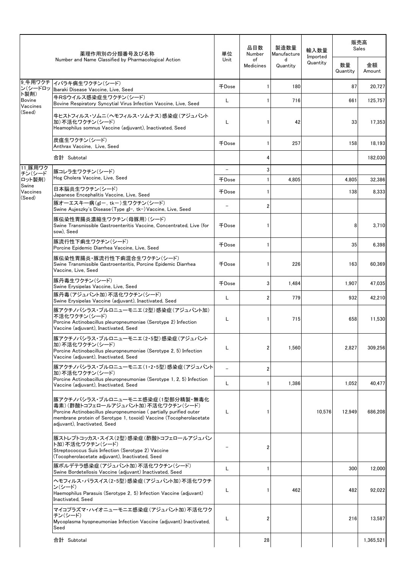| 薬理作用別の分類番号及び名称        |                                                                                                                                                                                                                                                   | 単位                       | 品目数<br>Number          | 製造数量<br>Manufacture | 輸入数量     | 販売高<br>Sales<br>Imported |              |
|-----------------------|---------------------------------------------------------------------------------------------------------------------------------------------------------------------------------------------------------------------------------------------------|--------------------------|------------------------|---------------------|----------|--------------------------|--------------|
|                       | Number and Name Classified by Pharmacological Action                                                                                                                                                                                              | <b>Unit</b>              | of<br><b>Medicines</b> | d<br>Quantity       | Quantity | 数量<br>Quantity           | 金額<br>Amount |
| 9 牛用ワクチ<br>ン(シードロッ    | イバラキ病生ワクチン(シード)<br>Ibaraki Disease Vaccine, Live, Seed                                                                                                                                                                                            | 千Dose                    | -1                     | 180                 |          | 87                       | 20,727       |
| ト製剤)<br><b>Bovine</b> | 牛RSウイルス感染症生ワクチン(シード)<br>Bovine Respiratory Syncytial Virus Infection Vaccine, Live, Seed                                                                                                                                                          | L                        | 1                      | 716                 |          | 661                      | 125,757      |
| Vaccines<br>(Seed)    | 牛ヒストフィルス・ソムニ(ヘモフィルス・ソムナス)感染症(アジュバント<br>加)不活化ワクチン(シード)<br>Heamophilus somnus Vaccine (adiuvant), Inactivated, Seed                                                                                                                                 | L                        | 1                      | 42                  |          | 33                       | 17.353       |
|                       | 炭疽生ワクチン(シード)<br>Anthrax Vaccine, Live, Seed                                                                                                                                                                                                       | 千Dose                    | -1                     | 257                 |          | 158                      | 18,193       |
|                       | 合計 Subtotal                                                                                                                                                                                                                                       |                          | 4                      |                     |          |                          | 182,030      |
| 11 豚用ワク<br>チン(シード     | 豚コレラ生ワクチン(シード)                                                                                                                                                                                                                                    | $\equiv$                 | 3                      |                     |          |                          |              |
| ロット製剤)<br>Swine       | Hog Cholera Vaccine, Live, Seed                                                                                                                                                                                                                   | 千Dose                    | $\mathbf{1}$           | 4.805               |          | 4.805                    | 32.386       |
| Vaccines              | 日本脳炎生ワクチン(シード)<br>Japanese Encephalitis Vaccine, Live, Seed                                                                                                                                                                                       | 千Dose                    | -1                     |                     |          | 138                      | 8,333        |
| (Seed)                | 豚オーエスキー病(gI-, tk-)生ワクチン(シード)<br>Swine Aujeszky's Disease (Type gI-, tk-) Vaccine, Live, Seed                                                                                                                                                      | $\overline{\phantom{a}}$ | $\overline{2}$         |                     |          |                          |              |
|                       | 豚伝染性胃腸炎濃縮生ワクチン(母豚用)(シード)<br>Swine Transmissible Gastroenteritis Vaccine, Concentrated, Live (for<br>sow). Seed                                                                                                                                    | 千Dose                    |                        |                     |          | 8                        | 3,710        |
|                       | 豚流行性下痢生ワクチン(シード)<br>Porcine Epidemic Diarrhea Vaccine, Live, Seed                                                                                                                                                                                 | 千Dose                    | -1                     |                     |          | 35                       | 6,398        |
|                       | 豚伝染性胃腸炎・豚流行性下痢混合生ワクチン(シード)<br>Swine Transmissible Gastroenteritis, Porcine Epidemic Diarrhea<br>Vaccine, Live, Seed                                                                                                                               | 千Dose                    |                        | 226                 |          | 163                      | 60,369       |
|                       | 豚丹毒生ワクチン(シード)<br>Swine Erysipelas Vaccine, Live, Seed                                                                                                                                                                                             | 千Dose                    | 3                      | 1.484               |          | 1.907                    | 47.035       |
|                       | 豚丹毒(アジュバント加)不活化ワクチン(シード)<br>Swine Erysipelas Vaccine (adjuvant), Inactivated, Seed                                                                                                                                                                | L                        | $\overline{2}$         | 779                 |          | 932                      | 42,210       |
|                       | 豚アクチノバシラス・プルロニューモニエ(2型)感染症(アジュバント加)<br>不活化ワクチン(シード)<br>Porcine Actinobacillus pleuropneumoniae (Serotype 2) Infection<br>Vaccine (adjuvant), Inactivated, Seed                                                                                    | L                        |                        | 715                 |          | 658                      | 11.530       |
|                       | 豚アクチノバシラス・プルロニューモニエ(2・5型)感染症(アジュバント<br>加)不活化ワクチン(シード)<br>Porcine Actinobacillus pleuropneumoniae (Serotype 2, 5) Infection<br>Vaccine (adjuvant), Inactivated, Seed                                                                               | L                        | 2                      | 1.560               |          | 2.827                    | 309,256      |
|                       | 豚アクチノバシラス・プルロニューモニエ(1・2・5型)感染症(アジュバント<br>加)不活化ワクチン(シード)                                                                                                                                                                                           | $\equiv$                 | $\overline{2}$         |                     |          |                          |              |
|                       | Porcine Actinobacillus pleuropneumoniae (Serotype 1, 2, 5) Infection<br>Vaccine (adjuvant), Inactivated, Seed                                                                                                                                     | L                        |                        | 1,386               |          | 1,052                    | 40,477       |
|                       | 豚アクチノバシラス・プルロニューモニエ感染症(1型部分精製・無毒化<br>毒素)(酢酸トコフェロールアジュバント加)不活化ワクチン(シード)<br>Porcine Actinobacillus pleuropneumoniae (partially purified outer<br>membrane protein of Serotype 1, toxoid) Vaccine (Tocopherolacetate<br>adiuvant). Inactivated. Seed | L                        |                        |                     | 10,576   | 12,949                   | 686,208      |
|                       | 豚ストレプトコッカス・スイス(2型)感染症(酢酸トコフェロールアジュバン<br>ト加)不活化ワクチン(シード)<br>Streptococcus Suis Infection (Serotype 2) Vaccine<br>(Tocopherolacetate adjuvant), Inactivated, Seed                                                                                   |                          | $\overline{2}$         |                     |          |                          |              |
|                       | 豚ボルデテラ感染症(アジュバント加)不活化ワクチン(シード)<br>Swine Bordetellosis Vaccine (adjuvant) Inactivated, Seed                                                                                                                                                        | L                        |                        |                     |          | 300                      | 12,000       |
|                       | ヘモフィルス・パラスイス(2・5型)感染症(アジュバント加)不活化ワクチ<br>ン(シード)<br>Haemophilus Parasuis (Serotype 2, 5) Infection Vaccine (adjuvant)<br>Inactivated, Seed                                                                                                          | L                        | 1                      | 462                 |          | 482                      | 92.022       |
|                       | マイコプラズマ・ハイオニューモニエ感染症(アジュバント加)不活化ワク<br>チン(シード)<br>Mycoplasma hyopneumoniae Infection Vaccine (adjuvant) Inactivated,<br>Seed                                                                                                                       | L                        | $\overline{2}$         |                     |          | 216                      | 13,587       |
|                       | 合計 Subtotal                                                                                                                                                                                                                                       |                          | 28                     |                     |          |                          | 1,365,521    |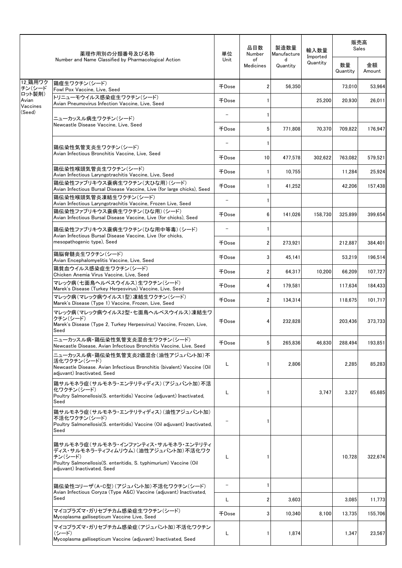|                    | 薬理作用別の分類番号及び名称                                                                                                                                                                             | 単位                       | 品目数<br>Number   | 製造数量<br>Manufacture | 輸入数量<br>Imported | 販売高<br>Sales   |              |
|--------------------|--------------------------------------------------------------------------------------------------------------------------------------------------------------------------------------------|--------------------------|-----------------|---------------------|------------------|----------------|--------------|
|                    | Number and Name Classified by Pharmacological Action                                                                                                                                       | Unit                     | of<br>Medicines | d<br>Quantity       | Quantity         | 数量<br>Quantity | 金額<br>Amount |
| 12 鶏用ワク<br>チン(シード  | 鶏痘生ワクチン(シード)<br>Fowl Pox Vaccine, Live, Seed                                                                                                                                               | 千Dose                    | $\overline{2}$  | 56.350              |                  | 73,010         | 53,964       |
| ロット製剤)<br>Avian    | トリニューモウイルス感染症生ワクチン(シード)<br>Avian Pneumovirus Infection Vaccine, Live, Seed                                                                                                                 | 千Dose                    |                 |                     | 25,200           | 20.930         | 26,011       |
| Vaccines<br>(Seed) |                                                                                                                                                                                            | $\qquad \qquad -$        | -1              |                     |                  |                |              |
|                    | ニューカッスル病生ワクチン(シード)<br>Newcastle Disease Vaccine, Live, Seed                                                                                                                                | 千Dose                    | 5               | 771,808             | 70,370           | 709,822        | 176,947      |
|                    |                                                                                                                                                                                            | $\overline{\phantom{0}}$ | -1              |                     |                  |                |              |
|                    | 鶏伝染性気管支炎生ワクチン(シード)<br>Avian Infectious Bronchitis Vaccine, Live, Seed                                                                                                                      | 千Dose                    | 10              | 477,578             | 302,622          | 763,082        | 579,521      |
|                    | 鶏伝染性喉頭気管炎生ワクチン(シード)<br>Avian Infectious Laryngotrachitis Vaccine, Live, Seed                                                                                                               | 千Dose                    | -1              | 10,755              |                  | 11,284         | 25,924       |
|                    | 鶏伝染性ファブリキウス嚢病生ワクチン(大ひな用)(シード)<br>Avian Infectious Bursal Disease Vaccine, Live (for large chicks), Seed                                                                                    | 千Dose                    |                 | 41,252              |                  | 42,206         | 157,438      |
|                    | 鶏伝染性喉頭気管炎凍結生ワクチン(シード)<br>Avian Infectious Laryngotrachitis Vaccine, Frozen Live, Seed                                                                                                      | $\overline{\phantom{0}}$ | -1              |                     |                  |                |              |
|                    | 鶏伝染性ファブリキウス嚢病生ワクチン(ひな用)(シード)<br>Avian Infectious Bursal Disease Vaccine, Live (for chicks), Seed                                                                                           | 千Dose                    | 6               | 141.026             | 158.730          | 325.899        | 399,654      |
|                    | 鶏伝染性ファブリキウス嚢病生ワクチン(ひな用中等毒)(シード)                                                                                                                                                            |                          | 1               |                     |                  |                |              |
|                    | Avian Infectious Bursal Disease Vaccine, Live (for chicks,<br>mesopathogenic type), Seed                                                                                                   | 千Dose                    | $\overline{2}$  | 273,921             |                  | 212,887        | 384,401      |
|                    | 鶏脳脊髄炎生ワクチン(シード)<br>Avian Encephalomyelitis Vaccine, Live, Seed                                                                                                                             | 千Dose                    | 3               | 45.141              |                  | 53,219         | 196,514      |
|                    | 鶏貧血ウイルス感染症生ワクチン(シード)                                                                                                                                                                       | 千Dose                    | $\overline{2}$  | 64,317              | 10.200           | 66.209         | 107,727      |
|                    | Chicken Anemia Virus Vaccine, Live, Seed<br>マレック病(七面鳥ヘルペスウイルス)生ワクチン(シード)                                                                                                                   | 千Dose                    | 4               | 179,581             |                  | 117,634        | 184,433      |
|                    | Marek's Disease (Turkey Herpesvirus) Vaccine, Live, Seed<br>マレック病(マレック病ウイルス1型)凍結牛ワクチン(シード)                                                                                                 | 千Dose                    | 2               | 134,314             |                  | 118,675        | 101.717      |
|                    | Marek's Disease (Type 1) Vaccine, Frozen, Live, Seed<br>マレック病(マレック病ウイルス2型・七面鳥ヘルペスウイルス)凍結生ワ                                                                                                 |                          |                 |                     |                  |                |              |
|                    | クチン(シード)<br>Marek's Disease (Type 2, Turkey Herpesvirus) Vaccine, Frozen, Live,<br>Seed                                                                                                    | 千Dose                    | 4               | 232,828             |                  | 203,436        | 373,733      |
|                    | ニューカッスル病・鶏伝染性気管支炎混合生ワクチン(シード)<br>Newcastle Disease, Avian Infectious Bronchitis Vaccine, Live, Seed                                                                                        | 千Dose                    | 5               | 265,836             | 46,830           | 288,494        | 193,851      |
|                    | ニューカッスル病・鶏伝染性気管支炎2価混合(油性アジュバント加)不<br>活化ワクチン(シード)<br>Newcastle Disease. Avian Infectious Bronchitis (bivalent) Vaccine (Oil<br>adiuvant) Inactivated, Seed                                  | L                        |                 | 2,806               |                  | 2,285          | 85,283       |
|                    | 鶏サルモネラ症(サルモネラ・エンテリティディス)(アジュバント加)不活<br>化ワクチン(シード)<br>Poultry Salmonellosis(S. enteritidis) Vaccine (adjuvant) Inactivated,<br>Seed                                                         | L                        |                 |                     | 3,747            | 3,327          | 65,685       |
|                    | 鶏サルモネラ症(サルモネラ・エンテリティディス)(油性アジュバント加)<br>不活化ワクチン(シード)<br>Poultry Salmonellosis(S. enteritidis) Vaccine (Oil adjuvant) Inactivated,<br>Seed                                                   | -                        |                 |                     |                  |                |              |
|                    | 鶏サルモネラ症(サルモネラ・インファンティス・サルモネラ・エンテリティ<br>ディス・サルモネラ・ティフィムリウム)(油性アジュバント加)不活化ワク<br>チン(シード)<br>Poultry Salmonellosis(S. enteritidis, S. typhimurium) Vaccine (Oil<br>adjuvant) Inactivated, Seed | L                        |                 |                     |                  | 10,728         | 322,674      |
|                    | 鶏伝染性コリーザ(A・C型)(アジュバント加)不活化ワクチン(シード)                                                                                                                                                        | $\overline{\phantom{a}}$ |                 |                     |                  |                |              |
|                    | Avian Infectious Coryza (Type A&C) Vaccine (adjuvant) Inactivated,<br>Seed                                                                                                                 | L                        | 2               | 3,603               |                  | 3,085          | 11,773       |
|                    | マイコプラズマ・ガリセプチカム感染症生ワクチン(シード)<br>Mycoplasma gallisepticum Vaccine Live, Seed                                                                                                                | 千Dose                    | 3               | 10,340              | 8,100            | 13,735         | 155,706      |
|                    | マイコプラズマ・ガリセプチカム感染症(アジュバント加)不活化ワクチン<br>(シード)<br>Mycoplasma gallisepticum Vaccine (adjuvant) Inactivated, Seed                                                                               | L                        |                 | 1,874               |                  | 1,347          | 23,567       |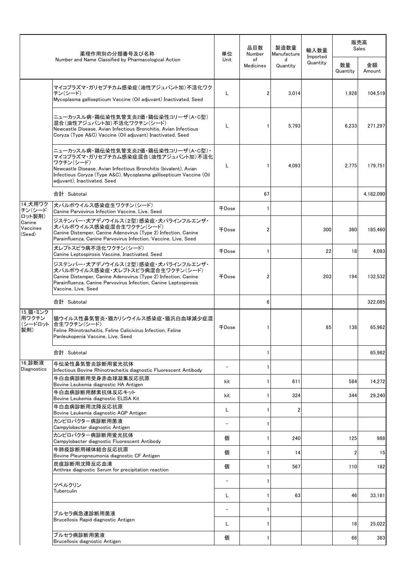|                                        | 薬理作用別の分類番号及び名称                                                                                                                                                                                                                                                    | 単位                       | 品目数<br>Number   | 製造数量<br>Manufacture | 輸入数量<br>Imported | 販売高<br>Sales   |              |
|----------------------------------------|-------------------------------------------------------------------------------------------------------------------------------------------------------------------------------------------------------------------------------------------------------------------|--------------------------|-----------------|---------------------|------------------|----------------|--------------|
|                                        | Number and Name Classified by Pharmacological Action                                                                                                                                                                                                              | Unit                     | of<br>Medicines | d<br>Quantity       | Quantity         | 数量<br>Quantity | 金額<br>Amount |
|                                        | マイコプラズマ・ガリセプチカム感染症(油性アジュバント加)不活化ワク<br>チン(シード)<br>Mycoplasma gallisepticum Vaccine (Oil adjuvant) Inactivated, Seed                                                                                                                                                | L                        | 2               | 3,014               |                  | 1,928          | 104,519      |
|                                        | ニューカッスル病・鶏伝染性気管支炎2価・鶏伝染性コリーザ(A・C型)<br>混合(油性アジュバント加)不活化ワクチン(シード)<br>Newcastle Disease, Avian Infectious Bronchitis, Avian Infectious<br>Coryza (Type A&C) Vaccine (Oil adjuvant) Inactivated, Seed                                                                 | L                        |                 | 5,793               |                  | 6,233          | 271,297      |
|                                        | ニューカッスル病・鶏伝染性気管支炎2価・鶏伝染性コリーザ(A・C型)・<br>マイコプラズマ・ガリセプチカム感染症混合(油性アジュバント加)不活化<br>ワクチン(シード)<br>Newcastle Disease, Avian Infectious Bronchitis (bivalent), Avian<br>Infectious Coryza (Type A&C), Mycoplasma gallisepticum Vaccine (Oil<br>adiuvant). Inactivated. Seed | L                        |                 | 4.093               |                  | 2,775          | 179,751      |
|                                        | 合計 Subtotal                                                                                                                                                                                                                                                       |                          | 67              |                     |                  |                | 4,182,090    |
| 14 犬用ワク<br>チン(シード                      | 犬パルボウイルス感染症生ワクチン(シード)<br>Canine Parvovirus Infection Vaccine, Live, Seed                                                                                                                                                                                          | 千Dose                    | 1               |                     |                  |                |              |
| ロット製剤)<br>Canine<br>Vaccines<br>(Seed) | ジステンパー・犬アデノウイルス(2型)感染症・犬パラインフルエンザ・<br>犬パルボウイルス感染症混合生ワクチン(シード)<br>Canine Distemper, Canine Adenovirus (Type 2) Infection, Canine<br>Parainfluenza, Canine Parvovirus Infection, Vaccine, Live, Seed                                                                | 千Dose                    |                 |                     | 300              | 360            | 185,460      |
|                                        | 犬レプトスピラ病不活化ワクチン(シード)<br>Canine Leptospirosis Vaccine, Inactivated, Seed                                                                                                                                                                                           | 千Dose                    | 1               |                     | 22               | 18             | 4.093        |
|                                        | ジステンパー・犬アデノウイルス(2型)感染症・犬パラインフルエンザ・<br>犬パルボウイルス感染症・犬レプトスピラ病混合生ワクチン(シード)<br>Canine Distemper, Canine Adenovirus (Type 2) Infection, Canine<br>Parainfluenza, Canine Parvovirus Infection, Canine Leptospirosis<br>Vaccine, Live, Seed                               | 千Dose                    | 2               |                     | 203              | 194            | 132,532      |
|                                        | 合計 Subtotal                                                                                                                                                                                                                                                       |                          | 6               |                     |                  |                | 322,085      |
| 15 猫・ミンク<br>用ワクチン<br>(シードロット<br>製剤)    | 猫ウイルス性鼻気管炎・猫カリシウイルス感染症・猫汎白血球減少症混<br>合生ワクチン(シード)<br>Feline Rhinotracheitis, Feline Calicivirus Infection, Feline<br>Panleukopenia Vaccine, Live, Seed                                                                                                              | 千Dose                    |                 |                     | 85               | 138            | 65.962       |
|                                        | 合計 Subtotal                                                                                                                                                                                                                                                       |                          | 1               |                     |                  |                | 65,962       |
| 16.診断液<br>Diagnostics                  | 牛伝染性鼻気管炎診断用蛍光抗体<br>Infectious Bovine Rhinotracheitis diagnostic Fluorescent Antibody                                                                                                                                                                              | $\overline{\phantom{a}}$ | 1               |                     |                  |                |              |
|                                        | 牛白血病診断用受身赤血球凝集反応抗原<br>Bovine Leukemia diagnostic HA Antigen                                                                                                                                                                                                       | kit                      | 1               | 611                 |                  | 584            | 14,272       |
|                                        | 牛白血病診断用酵素抗体反応キット<br>Bovine Leukemia diagnostic ELISA Kit                                                                                                                                                                                                          | kit                      | 1               | 324                 |                  | 344            | 29,240       |
|                                        | 牛白血病診断用沈降反応抗原<br>Bovine Leukemia diagnostic AGP Antigen                                                                                                                                                                                                           | L                        | 1               | 2                   |                  |                |              |
|                                        | カンピロバクター病診断用菌液<br>Campylobacter diagnostic Antigen                                                                                                                                                                                                                | -                        | 1               |                     |                  |                |              |
|                                        | カンピロバクター病診断用蛍光抗体                                                                                                                                                                                                                                                  | 個                        | 1               | 240                 |                  | 125            | 988          |
|                                        | Campylobacter diagnostic Fluorescent Antibody<br>牛肺疫診断用補体結合反応抗原                                                                                                                                                                                                   | 個                        | 1               | 14                  |                  | 2              | 15           |
|                                        | Bovine Pleuropneumonia diagnostic CF Antigen<br>炭疽診断用沈降反応血清<br>Anthrax diagnostic Serum for precipitation reaction                                                                                                                                                | 個                        | 1               | 567                 |                  | 110            | 182          |
|                                        |                                                                                                                                                                                                                                                                   |                          | 1               |                     |                  |                |              |
|                                        | ツベルクリン<br>Tuberculin                                                                                                                                                                                                                                              | L                        | 1               | 63                  |                  | 46             | 33,181       |
|                                        |                                                                                                                                                                                                                                                                   | $\overline{\phantom{0}}$ | 1               |                     |                  |                |              |
|                                        | ブルセラ病急速診断用菌液<br>Brucellosis Rapid diagnostic Antigen                                                                                                                                                                                                              | L                        | 1               |                     |                  | 16             | 25,022       |
|                                        | ブルセラ病診断用菌液                                                                                                                                                                                                                                                        | 個                        | 1               |                     |                  | 66             | 383          |
|                                        | Brucellosis diagnostic Antigen                                                                                                                                                                                                                                    |                          |                 |                     |                  |                |              |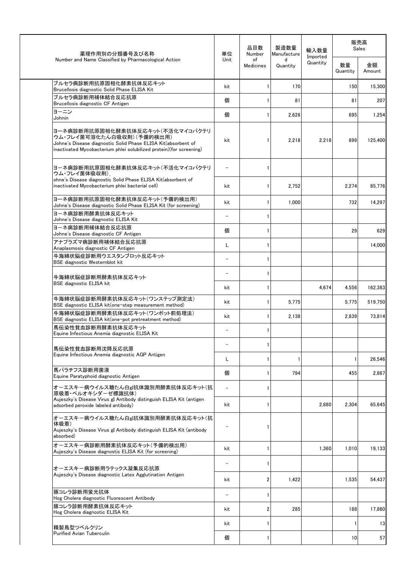| 薬理作用別の分類番号及び名称                                                                                                                                                                                         | 単位                       | 品目数<br>Number   | 製造数量<br>Manufacture | 輸入数量                 | 販売高<br>Sales   |              |  |
|--------------------------------------------------------------------------------------------------------------------------------------------------------------------------------------------------------|--------------------------|-----------------|---------------------|----------------------|----------------|--------------|--|
| Number and Name Classified by Pharmacological Action                                                                                                                                                   | Unit                     | of<br>Medicines | d<br>Quantity       | Imported<br>Quantity | 数量<br>Quantity | 金額<br>Amount |  |
| ブルセラ病診断用抗原固相化酵素抗体反応キット<br>Brucellosis diagnostic Solid Phase ELISA Kit                                                                                                                                 | kit                      | 1               | 170                 |                      | 150            | 15,300       |  |
| ブルセラ病診断用補体結合反応抗原<br>Brucellosis diagnostic CF Antigen                                                                                                                                                  | 個                        | 1               | 81                  |                      | 81             | 207          |  |
| ヨーニン<br>Johnin                                                                                                                                                                                         | 個                        | 1               | 2,626               |                      | 695            | 1,254        |  |
| ヨーネ病診断用抗原固相化酵素抗体反応キット(不活化マイコバクテリ<br>ウム・フレイ菌可溶化たん白吸収剤)(予備的検出用)<br>Johne's Disease diagnostic Solid Phase ELISA Kit(absorbent of<br>inactivated Mycobacterium phlei solubilized protein) (for screening) | kit                      | 1               | 2,218               | 2,218                | 899            | 125,400      |  |
| ヨーネ病診断用抗原固相化酵素抗体反応キット(不活化マイコバクテリ<br>ウム・フレイ菌体吸収剤)                                                                                                                                                       |                          | $\mathbf{1}$    |                     |                      |                |              |  |
| ohne's Disease diagnostic Solid Phase ELISA Kit(absorbent of<br>inactivated Mycobacterium phlei bacterial cell)                                                                                        | kit                      | $\mathbf{1}$    | 2,752               |                      | 2,274          | 85.776       |  |
| ヨーネ病診断用抗原固相化酵素抗体反応キット(予備的検出用)<br>Johne's Disease diagnostic Solid Phase ELISA Kit (for screening)                                                                                                      | kit                      | $\mathbf{1}$    | 1,000               |                      | 732            | 14,297       |  |
| ヨーネ病診断用酵素抗体反応キット<br>Johne's Disease diagnostic ELISA Kit                                                                                                                                               |                          | $\mathbf{1}$    |                     |                      |                |              |  |
| ヨーネ病診断用補体結合反応抗原<br>Johne's Disease diagnostic CF Antigen                                                                                                                                               | 個                        | $\mathbf{1}$    |                     |                      | 29             | 629          |  |
| アナプラズマ病診断用補体結合反応抗原<br>Anaplasmosis diagnostic CF Antigen                                                                                                                                               | L                        | $\mathbf{1}$    |                     |                      |                | 14,000       |  |
| 牛海綿状脳症診断用ウエスタンブロット反応キット<br>BSE diagnostic Westernblot kit                                                                                                                                              | $\overline{\phantom{0}}$ | $\mathbf{1}$    |                     |                      |                |              |  |
| 牛海綿状脳症診断用酵素抗体反応キット                                                                                                                                                                                     |                          | $\mathbf{1}$    |                     |                      |                |              |  |
| <b>BSE diagnostic ELISA kit</b>                                                                                                                                                                        | kit                      | 1               |                     | 4,674                | 4,556          | 162,383      |  |
| 牛海綿状脳症診断用酵素抗体反応キット(ワンステップ測定法)<br>BSE diagnostic ELISA kit(one-step measurement method)                                                                                                                 | kit                      | $\mathbf{1}$    | 5,775               |                      | 5,775          | 519,750      |  |
| 牛海綿状脳症診断用酵素抗体反応キット(ワンポット前処理法)<br>BSE diagnostic ELISA kit(one-pot pretreatment method)                                                                                                                 | kit                      | 1               | 2,138               |                      | 2,839          | 73,814       |  |
| 馬伝染性貧血診断用酵素抗体反応キット<br>Equine Infectious Anemia diagnostic ELISA Kit                                                                                                                                    |                          | 1               |                     |                      |                |              |  |
| 馬伝染性貧血診断用沈降反応抗原                                                                                                                                                                                        |                          | 1               |                     |                      |                |              |  |
| Equine Infectious Anemia diagnostic AGP Antigen                                                                                                                                                        | L                        | 1               | 1                   |                      | $\mathbf{1}$   | 26,546       |  |
| 馬パラチフス診断用菌液<br>Equine Paratyphoid diagnostic Antigen                                                                                                                                                   | 個                        | 1               | 794                 |                      | 455            | 2,867        |  |
| オーエスキー病ウイルス糖たん白g!抗体識別用酵素抗体反応キット(抗<br>原吸着・ペルオキシダーゼ標識抗体)                                                                                                                                                 |                          | 1               |                     |                      |                |              |  |
| Aujeszky's Disease Virus gI Antibody distinguish ELISA Kit (antigen<br>adsorbed peroxide labeled antibody)                                                                                             | kit                      | $\mathbf{1}$    |                     | 2,880                | 2,304          | 65,645       |  |
| オーエスキー病ウイルス糖たん白g!抗体識別用酵素抗体反応キット(抗<br>体吸着)<br>Aujeszky's Disease Virus gI Antibody distinguish ELISA Kit (antibody<br>absorbed)                                                                         |                          | 1               |                     |                      |                |              |  |
| オーエスキー病診断用酵素抗体反応キット(予備的検出用)<br>Aujeszky's Disease diagnostic ELISA Kit (for screening)                                                                                                                 | kit                      | 1               |                     | 1,360                | 1,010          | 19,133       |  |
| オーエスキー病診断用ラテックス凝集反応抗原                                                                                                                                                                                  |                          | 1               |                     |                      |                |              |  |
| Aujeszky's Disease diagnostic Latex Agglutination Antigen                                                                                                                                              | kit                      | 2               | 1,422               |                      | 1,535          | 54,437       |  |
| 豚コレラ診断用蛍光抗体<br>Hog Cholera diagnostic Fluorescent Antibody                                                                                                                                             | $\overline{\phantom{m}}$ | 1               |                     |                      |                |              |  |
| 豚コレラ診断用酵素抗体反応キット<br>Hog Cholera diagnostic ELISA Kit                                                                                                                                                   | kit                      | 2               | 285                 |                      | 188            | 17,860       |  |
| 精製鳥型ツベルクリン                                                                                                                                                                                             | kit                      | 1               |                     |                      | $\mathbf{1}$   | 13           |  |
| <b>Purified Avian Tuberculin</b>                                                                                                                                                                       | 個                        | 1               |                     |                      | 10             | 57           |  |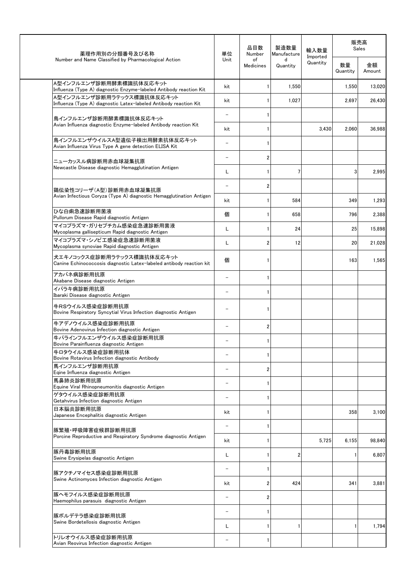| 薬理作用別の分類番号及び名称                                                                                     | 品目数<br>単位<br>Number      |                 | 製造数量<br>Manufacture | 輸入数量                 |                | 販売高<br>Sales |
|----------------------------------------------------------------------------------------------------|--------------------------|-----------------|---------------------|----------------------|----------------|--------------|
| Number and Name Classified by Pharmacological Action                                               | Unit                     | of<br>Medicines | d<br>Quantity       | Imported<br>Quantity | 数量<br>Quantity | 金額<br>Amount |
| A型インフルエンザ診断用酵素標識抗体反応キット<br>Influenza (Type A) diagnostic Enzyme-labeled Antibody reaction Kit      | kit                      | 1               | 1,550               |                      | 1,550          | 13,020       |
| A型インフルエンザ診断用ラテックス標識抗体反応キット<br>Influenza (Type A) diagnostic Latex-labeled Antibody reaction Kit    | kit                      | 1               | 1.027               |                      | 2,697          | 26,430       |
|                                                                                                    | $\overline{\phantom{m}}$ | 1               |                     |                      |                |              |
| 鳥インフルエンザ診断用酵素標識抗体反応キット<br>Avian Influenza diagnostic Enzyme-labeled Antibody reaction Kit          | kit                      | 1               |                     | 3,430                | 2,060          | 36,988       |
| 鳥インフルエンザウイルスA型遺伝子検出用酵素抗体反応キット<br>Avian Influenza Virus Type A gene detection ELISA Kit             | $\overline{\phantom{0}}$ | 1               |                     |                      |                |              |
| ニューカッスル病診断用赤血球凝集抗原                                                                                 | $\overline{\phantom{m}}$ | $\overline{2}$  |                     |                      |                |              |
| Newcastle Disease diagnostic Hemagglutination Antigen                                              | L                        | 1               | 7                   |                      | 3              | 2,995        |
| 鶏伝染性コリーザ(A型)診断用赤血球凝集抗原                                                                             | $\overline{\phantom{m}}$ | 2               |                     |                      |                |              |
| Avian Infectious Coryza (Type A) diagnostic Hemagglutination Antigen                               | kit                      | 1               | 584                 |                      | 349            | 1,293        |
| ひな白痢急速診断用菌液<br>Pullorum Disease Rapid diagnostic Antigen                                           | 個                        | 1               | 658                 |                      | 796            | 2,388        |
| マイコプラズマ・ガリセプチカム感染症急速診断用菌液<br>Mycoplasma gallisepticum Rapid diagnostic Antigen                     | L                        | 1               | 24                  |                      | 25             | 15,898       |
| マイコプラズマ・シノビエ感染症急速診断用菌液<br>Mycoplasma synoviae Rapid diagnostic Antigen                             | Г                        | 2               | 12                  |                      | 20             | 21,028       |
| 犬エキノコックス症診断用ラテックス標識抗体反応キット<br>Canine Echinococcosis diagnostic Latex-labeled antibody reaction kit | 個                        | 1               |                     |                      | 163            | 1,565        |
| アカバネ病診断用抗原<br>Akabane Disease diagnostic Antigen                                                   | $\overline{\phantom{a}}$ | 1               |                     |                      |                |              |
| イバラキ病診断用抗原<br>Ibaraki Disease diagnostic Antigen                                                   | $\overline{\phantom{0}}$ | 1               |                     |                      |                |              |
| 牛RSウイルス感染症診断用抗原<br>Bovine Respiratory Syncytial Virus Infection diagnostic Antigen                 |                          | 1               |                     |                      |                |              |
| 牛アデノウイルス感染症診断用抗原<br>Bovine Adenovirus Infection diagnostic Antigen                                 |                          | 2               |                     |                      |                |              |
| 牛パラインフルエンザウイルス感染症診断用抗原<br>Bovine Parainfluenza diagnostic Antigen                                  |                          | 1               |                     |                      |                |              |
| 牛ロタウイルス感染症診断用抗体<br>Bovine Rotavirus Infection diagnostic Antibody                                  |                          | 1               |                     |                      |                |              |
| 馬インフルエンザ診断用抗原<br>Eqine Influenza diagnostic Antigen                                                | $\overline{\phantom{0}}$ | 2               |                     |                      |                |              |
| 馬鼻肺炎診断用抗原<br>Equine Viral Rhinopneumonitis diagnostic Antigen                                      | $\overline{\phantom{0}}$ | 1               |                     |                      |                |              |
| ゲタウイルス感染症診断用抗原<br>Getahvirus Infection diagnostic Antigen                                          | $\overline{\phantom{0}}$ | 1               |                     |                      |                |              |
| 日本脳炎診断用抗原<br>Japanese Encephalitis diagnostic Antigen                                              | kit                      | 1               |                     |                      | 358            | 3,100        |
|                                                                                                    | $\overline{\phantom{0}}$ | 1               |                     |                      |                |              |
| 豚繁殖•呼吸障害症候群診断用抗原<br>Porcine Reproductive and Respiratory Syndrome diagnostic Antigen               | kit                      | 1               |                     | 5,725                | 6,155          | 98,840       |
| 豚丹毒診断用抗原                                                                                           | L                        | 1               | 2                   |                      | 1              | 6,807        |
| Swine Erysipelas diagnostic Antigen                                                                | $\overline{\phantom{0}}$ | 1               |                     |                      |                |              |
| 豚アクチノマイセス感染症診断用抗原<br>Swine Actinomyces Infection diagnostic Antigen                                | kit                      | 2               | 424                 |                      | 341            | 3,881        |
| 豚へモフイルス感染症診断用抗原                                                                                    |                          | 2               |                     |                      |                |              |
| Haemophilus parasuis diagnostic Antigen                                                            |                          | 1               |                     |                      |                |              |
| 豚ボルデテラ感染症診断用抗原<br>Swine Bordetellosis diagnostic Antigen                                           | L                        | 1               |                     |                      | 1              | 1,794        |
| トリレオウイルス感染症診断用抗原<br>Avian Reovirus Infection diagnostic Antigen                                    |                          | 1               |                     |                      |                |              |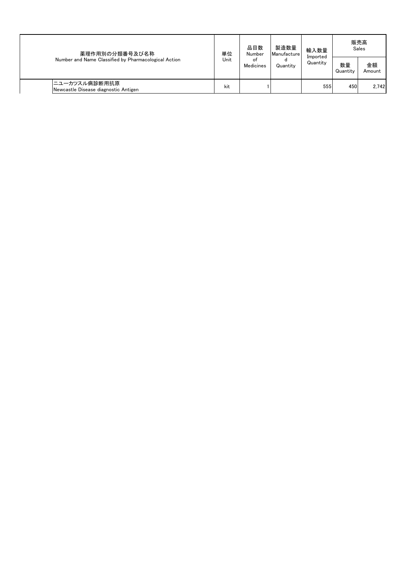| 薬理作用別の分類番号及び名称<br>Number and Name Classified by Pharmacological Action | 製造数量<br>品目数<br>単位<br>Number<br>Manufacture<br>Unit<br>οf<br>Medicines |  |               | 輸入数量<br>Imported |                | 販売高<br>Sales |
|------------------------------------------------------------------------|-----------------------------------------------------------------------|--|---------------|------------------|----------------|--------------|
|                                                                        |                                                                       |  | d<br>Quantity | Quantity         | 数量<br>Quantity | 金額<br>Amount |
| ニユーカツスル病診断用抗原<br>Newcastle Disease diagnostic Antigen                  | kit                                                                   |  |               | 555              | 450            | 2.742        |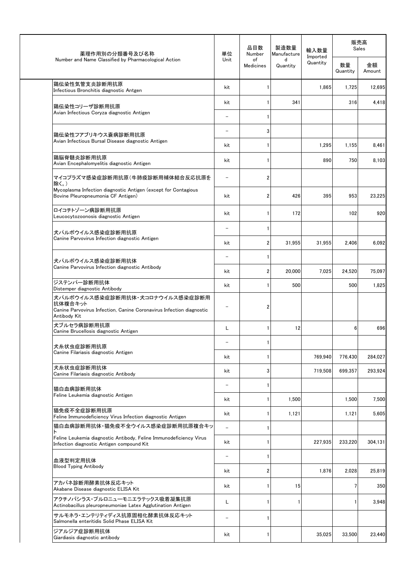| 薬理作用別の分類番号及び名称                                                                                                                     | 単位                       | 品目数<br>Number           | 製造数量<br>Manufacture | 輸入数量                 |                | 販売高<br>Sales |
|------------------------------------------------------------------------------------------------------------------------------------|--------------------------|-------------------------|---------------------|----------------------|----------------|--------------|
| Number and Name Classified by Pharmacological Action                                                                               | Unit                     | of<br><b>Medicines</b>  | d<br>Quantity       | Imported<br>Quantity | 数量<br>Quantity | 金額<br>Amount |
| 鶏伝染性気管支炎診断用抗原<br>Infectious Bronchitis diagnostic Antgen                                                                           | kit                      | 1                       |                     | 1,865                | 1,725          | 12,695       |
| 鶏伝染性コリーザ診断用抗原                                                                                                                      | kit                      | 1                       | 341                 |                      | 316            | 4,418        |
| Avian Infectious Coryza diagnostic Antigen                                                                                         |                          | 1                       |                     |                      |                |              |
| 鶏伝染性フアブリキウス嚢病診断用抗原                                                                                                                 | $\overline{\phantom{0}}$ | 3                       |                     |                      |                |              |
| Avian Infectious Bursal Disease diagnostic Antigen                                                                                 | kit                      | 1                       |                     | 1,295                | 1,155          | 8,461        |
| 鶏脳脊髄炎診断用抗原<br>Avian Encephalomyelitis diagnostic Antigen                                                                           | kit                      | 1                       |                     | 890                  | 750            | 8,103        |
| マイコプラズマ感染症診断用抗原(牛肺疫診断用補体結合反応抗原を<br>除く。)                                                                                            |                          | $\overline{2}$          |                     |                      |                |              |
| Mycoplasma Infection diagnostic Antigen (except for Contagious<br>Bovine Pleuropneumonia CF Antigen)                               | kit                      | 2                       | 426                 | 395                  | 953            | 23,225       |
| ロイコチトゾーン病診断用抗原<br>Leucocytozoonosis diagnostic Antigen                                                                             | kit                      | 1                       | 172                 |                      | 102            | 920          |
| 犬パルボウイルス感染症診断用抗原                                                                                                                   |                          | 1                       |                     |                      |                |              |
| Canine Parvovirus Infection diagnostic Antigen                                                                                     | kit                      | $\overline{\mathbf{2}}$ | 31,955              | 31,955               | 2,406          | 6,092        |
| 犬パルボウイルス感染症診断用抗体                                                                                                                   | $\overline{\phantom{0}}$ | 1                       |                     |                      |                |              |
| Canine Parvovirus Infection diagnostic Antibody                                                                                    | kit                      | $\overline{\mathbf{2}}$ | 20,000              | 7,025                | 24,520         | 75,097       |
| ジステンパー診断用抗体<br>Distemper diagnostic Antibody                                                                                       | kit                      | 1                       | 500                 |                      | 500            | 1,825        |
| 犬パルボウイルス感染症診断用抗体・犬コロナウイルス感染症診断用<br>抗体複合キット<br>Canine Parvovirus Infection, Canine Coronavirus Infection diagnostic<br>Antibody Kit |                          | 2                       |                     |                      |                |              |
| 犬ブルセラ病診断用抗原<br>Canine Brucellosis diagnostic Antigen                                                                               | L                        | 1                       | 12                  |                      | 6              | 696          |
| 犬糸状虫症診断用抗原                                                                                                                         |                          | 1                       |                     |                      |                |              |
| Canine Filariasis diagnostic Antigen                                                                                               | kit                      | 1                       |                     | 769,940              | 776,430        | 284,027      |
| 犬糸状虫症診断用抗体<br>Canine Filariasis diagnostic Antibody                                                                                | kit                      | 3                       |                     | 719,508              | 699,357        | 293,924      |
| 猫白血病診断用抗体                                                                                                                          | $\overline{\phantom{0}}$ | 1                       |                     |                      |                |              |
| Feline Leukemia diagnostic Antigen                                                                                                 | kit                      | 1                       | 1,500               |                      | 1,500          | 7,500        |
| 猫免疫不全症診断用抗原<br>Feline Immunodeficiency Virus Infection diagnostic Antigen                                                          | kit                      | 1                       | 1,121               |                      | 1,121          | 5,605        |
| 猫白血病診断用抗体・猫免疫不全ウイルス感染症診断用抗原複合キッ                                                                                                    | $\equiv$                 | 1                       |                     |                      |                |              |
| Feline Leukemia diagnostic Antibody, Feline Immunodeficiency Virus<br>Infection diagnostic Antigen compound Kit                    | kit                      | 1                       |                     | 227,935              | 233,220        | 304,131      |
| 血液型判定用抗体                                                                                                                           | $\overline{\phantom{0}}$ | 1                       |                     |                      |                |              |
| <b>Blood Typing Antibody</b>                                                                                                       | kit                      | 2                       |                     | 1,876                | 2,028          | 25,819       |
| アカバネ診断用酵素抗体反応キット<br>Akabane Disease diagnostic ELISA Kit                                                                           | kit                      | 1                       | 15                  |                      | $\overline{7}$ | 350          |
| アクチノバシラス・プルロニューモニエラテックス吸着凝集抗原<br>Actinobacillus pleuropneumoniae Latex Agglutination Antigen                                       | L                        | 1                       | 1                   |                      | $\mathbf{1}$   | 3,948        |
| サルモネラ・エンテリティディス抗原固相化酵素抗体反応キット<br>Salmonella enteritidis Solid Phase ELISA Kit                                                      | $\overline{\phantom{0}}$ | $\mathbf{1}$            |                     |                      |                |              |
| ジアルジア症診断用抗体<br>Giardiasis diagnostic antibody                                                                                      | kit                      | 1                       |                     | 35,025               | 33,500         | 23,440       |
|                                                                                                                                    |                          |                         |                     |                      |                |              |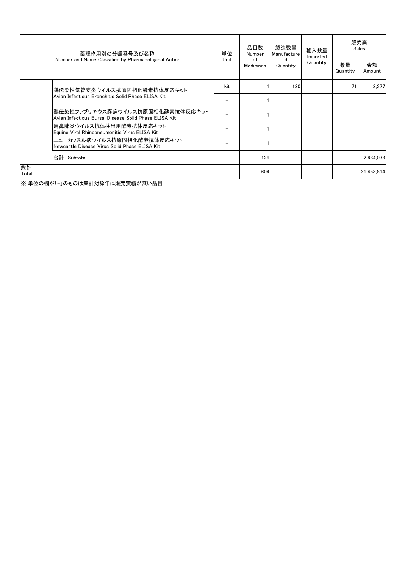| 薬理作用別の分類番号及び名称                                                                   | 単位                                                                                       | 品目数<br>Number                  | 製造数量<br>Manufacture | 輸入数量     | 販売高<br>Sales         |                |              |
|----------------------------------------------------------------------------------|------------------------------------------------------------------------------------------|--------------------------------|---------------------|----------|----------------------|----------------|--------------|
|                                                                                  | Number and Name Classified by Pharmacological Action                                     | Unit<br>of<br><b>Medicines</b> |                     | Quantity | Imported<br>Quantity | 数量<br>Quantity | 金額<br>Amount |
| 鶏伝染性気管支炎ウイルス抗原固相化酵素抗体反応キット <br>Avian Infectious Bronchitis Solid Phase ELISA Kit | kit                                                                                      |                                | 120                 |          | 71                   | 2.377          |              |
|                                                                                  |                                                                                          |                                |                     |          |                      |                |              |
|                                                                                  | 鶏伝染性ファブリキウス嚢病ウイルス抗原固相化酵素抗体反応キット<br>Avian Infectious Bursal Disease Solid Phase ELISA Kit |                                |                     |          |                      |                |              |
|                                                                                  | 馬鼻肺炎ウイルス抗体検出用酵素抗体反応キット<br>Equine Viral Rhinopneumonitis Virus ELISA Kit                  |                                |                     |          |                      |                |              |
|                                                                                  | ニューカッスル病ウイルス抗原固相化酵素抗体反応キット<br>Newcastle Disease Virus Solid Phase ELISA Kit              |                                |                     |          |                      |                |              |
|                                                                                  | 合計 Subtotal                                                                              |                                | 129                 |          |                      |                | 2.634.073    |
| 総計<br>Total                                                                      |                                                                                          |                                | 604                 |          |                      |                | 31,453,814   |

※ 単位の欄が「-」のものは集計対象年に販売実績が無い品目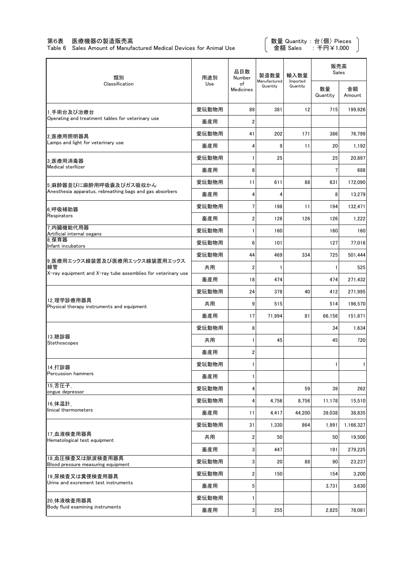### 第6表 医療機器の製造販売高

Table 6 Sales Amount of Manufactured Medical Devices for Animal Use

数量 Quantity : 台(個) Pieces 金額 Sales : 千円¥1,000

| 類別                                                                 | 用途別   | 品目数<br>Number           | 製造数量                     | 輸入数量                 | 販売高<br>Sales   |              |
|--------------------------------------------------------------------|-------|-------------------------|--------------------------|----------------------|----------------|--------------|
| Classification                                                     | Use   | of<br>Medicines         | Manufactured<br>Quantity | Imported<br>Quantity | 数量<br>Quantity | 金額<br>Amount |
| 1 手術台及び治療台                                                         | 愛玩動物用 | 89                      | 381                      | 12                   | 715            | 199,926      |
| Operating and treatment tables for veterinary use                  | 畜産用   | 2                       |                          |                      |                |              |
| 2 医療用照明器具                                                          | 愛玩動物用 | 41                      | 202                      | 171                  | 386            | 76,799       |
| Lamps and light for veterinary use                                 | 畜産用   | 4                       | 9                        | 11                   | 20             | 1,192        |
| 3 医療用消毒器                                                           | 愛玩動物用 | $\mathbf{1}$            | 25                       |                      | 25             | 20,897       |
| Medical sterllizer                                                 | 畜産用   | 8                       |                          |                      | $\overline{7}$ | 688          |
| 5 麻酔器並びに麻酔用呼吸囊及びガス吸収かん                                             | 愛玩動物用 | 11                      | 611                      | 88                   | 631            | 172,090      |
| Anesthesia apparatus, rebreathing bags and gas absorbers           | 畜産用   | 4                       | 4                        |                      | 8              | 13,279       |
| 6 呼吸補助器                                                            | 愛玩動物用 | 7                       | 198                      | 11                   | 194            | 132,471      |
| Respirators                                                        | 畜産用   | $\overline{\mathbf{c}}$ | 126                      | 126                  | 126            | 1,222        |
| 7 内臓機能代用器<br>Artificial internal oegans                            | 愛玩動物用 | $\mathbf{1}$            | 160                      |                      | 160            | 160          |
| 8 保育器<br>Infant incubators                                         | 愛玩動物用 | 6                       | 101                      |                      | 127            | 77,016       |
| 9 医療用エックス線装置及び医療用エックス線装置用エックス                                      | 愛玩動物用 | 44                      | 469                      | 334                  | 725            | 501,444      |
| 線管<br>X-ray equipment and X-ray tube assemblies for veterinary use | 共用    | $\overline{2}$          | 1                        |                      | $\mathbf{1}$   | 525          |
|                                                                    | 畜産用   | 18                      | 474                      |                      | 474            | 271,432      |
|                                                                    | 愛玩動物用 | 24                      | 378                      | 40                   | 412            | 271,995      |
| 12 理学診療用器具<br>Physical therapy instruments and equipment           | 共用    | 9                       | 515                      |                      | 514            | 196,570      |
|                                                                    | 畜産用   | 17                      | 71,994                   | 81                   | 66,156         | 151,871      |
|                                                                    | 愛玩動物用 | 8                       |                          |                      | 34             | 1,634        |
| 13 聴診器<br>Stethoscopes                                             | 共用    | $\mathbf{1}$            | 45                       |                      | 45             | 720          |
|                                                                    | 畜産用   | 2                       |                          |                      |                |              |
| 14.打診器                                                             | 愛玩動物用 | 1                       |                          |                      | $\mathbf{1}$   | 1            |
| <b>Percussion hammers</b>                                          | 畜産用   | 1                       |                          |                      |                |              |
| 15_舌圧子_<br>ongue depressor                                         | 愛玩動物用 | 4                       |                          | 59                   | 39             | 262          |
| 16_体温計                                                             | 愛玩動物用 | 4                       | 4,756                    | 8,756                | 11,178         | 15,510       |
| linical thermometers                                               | 畜産用   | 11                      | 4,417                    | 44,200               | 39,038         | 38,835       |
|                                                                    | 愛玩動物用 | 31                      | 1,330                    | 864                  | 1,991          | 1,166,327    |
| 17 血液検査用器具<br>Hematological test equipment                         | 共用    | $\boldsymbol{2}$        | 50                       |                      | 50             | 19,500       |
|                                                                    | 畜産用   | 3                       | 447                      |                      | 191            | 279,225      |
| 18 血圧検査又は脈波検査用器具<br>Blood pressure measuring equipment             | 愛玩動物用 | 3                       | 20                       | 88                   | 90             | 23,237       |
| 19 尿検査又は糞便検査用器具                                                    | 愛玩動物用 | 2                       | 150                      |                      | 154            | 3,200        |
| Urine and excrement test instruments                               | 畜産用   | 5                       |                          |                      | 3,731          | 3,630        |
| 20 体液検査用器具                                                         | 愛玩動物用 | $\mathbf{1}$            |                          |                      |                |              |
| Body fluid examining instruments                                   | 畜産用   | 3                       | 255                      |                      | 2,825          | 78,081       |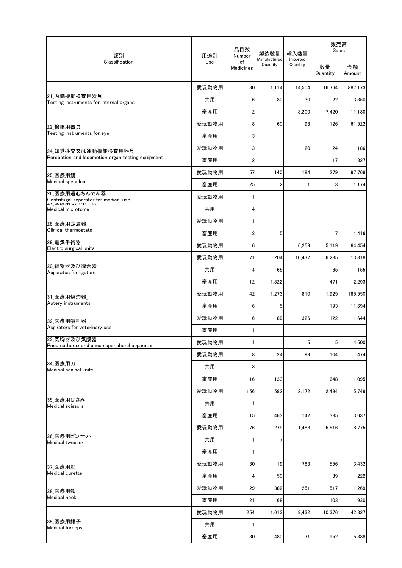| 類別                                                         | 用途別   | 品目数<br>Number          | 製造数量<br>Manufactured<br>Quantity | 輸入数量                 | 販売高<br>Sales   |              |  |
|------------------------------------------------------------|-------|------------------------|----------------------------------|----------------------|----------------|--------------|--|
| Classification                                             | Use   | of<br><b>Medicines</b> |                                  | Imported<br>Quantity | 数量<br>Quantity | 金額<br>Amount |  |
|                                                            | 愛玩動物用 | 30                     | 1,114                            | 14,504               | 16,764         | 887,173      |  |
| 21 内臓機能検査用器具<br>Testing instruments for internal organs    | 共用    | 6                      | 30                               | 30                   | 22             | 3,850        |  |
|                                                            | 畜産用   | $\overline{2}$         |                                  | 8,200                | 7,420          | 11,130       |  |
| 22 検眼用器具                                                   | 愛玩動物用 | 8                      | 60                               | 98                   | 126            | 61,522       |  |
| Testing instruments for eye                                | 畜産用   | 3                      |                                  |                      |                |              |  |
| 24 知覚検査又は運動機能検査用器具                                         | 愛玩動物用 | 3                      |                                  | 20                   | 24             | 186          |  |
| Perception and locomotion organ testing equipment          | 畜産用   | $\overline{2}$         |                                  |                      | 17             | 327          |  |
| 25 医療用鏡                                                    | 愛玩動物用 | 57                     | 140                              | 184                  | 279            | 97.768       |  |
| Medical speculum                                           | 畜産用   | 25                     | 2                                | 1                    | 3              | 1,174        |  |
| 26 医療用遠心ちんでん器<br>Centrifugal separator for medical use     | 愛玩動物用 | $\mathbf{1}$           |                                  |                      |                |              |  |
| Medical microtome                                          | 共用    | 4                      |                                  |                      |                |              |  |
| 28 医療用定温器                                                  | 愛玩動物用 | $\mathbf{1}$           |                                  |                      |                |              |  |
| Clinical thermostats                                       | 畜産用   | 3                      | 5                                |                      | $\overline{7}$ | 1,416        |  |
| 29 電気手術器<br>Electro surgical units                         | 愛玩動物用 | 6                      |                                  | 6,259                | 5,119          | 64,454       |  |
|                                                            | 愛玩動物用 | 71                     | 204                              | 10,477               | 6,285          | 13,818       |  |
| 30 結紮器及び縫合器<br>Apparatus for ligature                      | 共用    | 4                      | 65                               |                      | 65             | 155          |  |
|                                                            | 畜産用   | 12                     | 1,322                            |                      | 471            | 2,293        |  |
| 31 医療用焼灼器                                                  | 愛玩動物用 | 42                     | 1,273                            | 810                  | 1,929          | 185,550      |  |
| Autery instruments                                         | 畜産用   | 6                      | 5                                |                      | 193            | 11,694       |  |
| 32 医療用吸引器                                                  | 愛玩動物用 | 6                      | 89                               | 326                  | 122            | 1,644        |  |
| Aspirators for veterinary use                              | 畜産用   | 1                      |                                  |                      |                |              |  |
| 33 気胸器及び気腹器<br>Pneumothorax and pneumoperipheral apparatus | 愛玩動物用 | 1                      |                                  | 5                    | 5 <sup>1</sup> | 4,500        |  |
|                                                            | 愛玩動物用 | 8                      | 24                               | 99                   | 104            | 474          |  |
| 34 医療用刀<br>Medical scalpel knife                           | 共用    | 3                      |                                  |                      |                |              |  |
|                                                            | 畜産用   | 16                     | 133                              |                      | 648            | 1,095        |  |
|                                                            | 愛玩動物用 | 156                    | 582                              | 2,172                | 2,494          | 15,749       |  |
| 35 医療用はさみ<br>Medical scissors                              | 共用    | 1                      |                                  |                      |                |              |  |
|                                                            | 畜産用   | 15                     | 463                              | 142                  | 385            | 3,637        |  |
|                                                            | 愛玩動物用 | 76                     | 279                              | 1,488                | 5,516          | 8,775        |  |
| 36 医療用ピンセット<br>Medical tweezer                             | 共用    | $\mathbf{1}$           | 7                                |                      |                |              |  |
|                                                            | 畜産用   | 1                      |                                  |                      |                |              |  |
| 37 医療用匙                                                    | 愛玩動物用 | 30                     | 19                               | 783                  | 556            | 3,432        |  |
| Medical curette                                            | 畜産用   | 4                      | 50                               |                      | 39             | 222          |  |
| 38 医療用鈎                                                    | 愛玩動物用 | 29                     | 382                              | 251                  | 517            | 1,269        |  |
| <b>Medical hook</b>                                        | 畜産用   | 21                     | 68                               |                      | 103            | 930          |  |
|                                                            | 愛玩動物用 | 254                    | 1,613                            | 9,432                | 10,376         | 42,327       |  |
| 39 医療用鉗子<br><b>Medical forceps</b>                         | 共用    | $\mathbf{1}$           |                                  |                      |                |              |  |
|                                                            | 畜産用   | 30                     | 480                              | 71                   | 952            | 5,838        |  |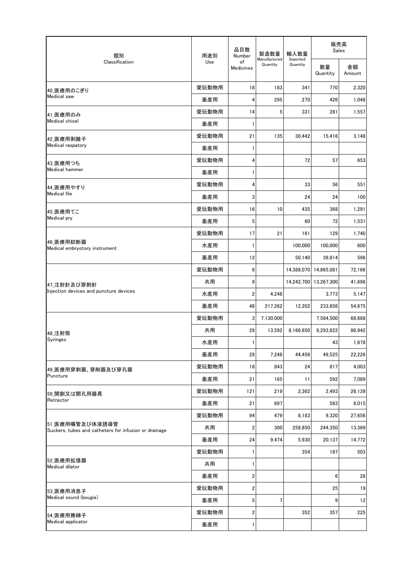| 類別                                                                       | 用途別   | 品目数<br>Number           | 製造数量                     | 輸入数量                 | 販売高<br>Sales          |              |
|--------------------------------------------------------------------------|-------|-------------------------|--------------------------|----------------------|-----------------------|--------------|
| Classification                                                           | Use   | of<br><b>Medicines</b>  | Manufactured<br>Quantity | Imported<br>Quantity | 数量<br>Quantity        | 金額<br>Amount |
| 40 医療用のこぎり                                                               | 愛玩動物用 | 18                      | 183                      | 341                  | 770                   | 2,320        |
| Medical saw                                                              | 畜産用   | 4                       | 295                      | 270                  | 426                   | 1,048        |
| 41 医療用のみ                                                                 | 愛玩動物用 | 14                      | 5                        | 331                  | 281                   | 1,557        |
| Medical chisel                                                           | 畜産用   | 1                       |                          |                      |                       |              |
| 42 医療用剥離子                                                                | 愛玩動物用 | 21                      | 135                      | 30,442               | 15,416                | 3,148        |
| Medical raspatory                                                        | 畜産用   | 1                       |                          |                      |                       |              |
| 43 医療用つち                                                                 | 愛玩動物用 | 4                       |                          | 72                   | 57                    | 653          |
| Medical hammer                                                           | 畜産用   | 1                       |                          |                      |                       |              |
| 44 医療用やすり                                                                | 愛玩動物用 | 4                       |                          | 33                   | 56                    | 551          |
| <b>Medical file</b>                                                      | 畜産用   | 3                       |                          | 24                   | 24                    | 100          |
| 45 医療用てこ                                                                 | 愛玩動物用 | 16                      | 10                       | 435                  | 368                   | 1,291        |
| Medical pry                                                              | 畜産用   | 5                       |                          | 60                   | 72                    | 1,531        |
|                                                                          | 愛玩動物用 | 17                      | 21                       | 161                  | 129                   | 1,740        |
| 46 医療用絞断器<br>Medical embryotory instrument                               | 水産用   | 1                       |                          | 100,000              | 100,000               | 600          |
|                                                                          | 畜産用   | 12                      |                          | 50,140               | 39,814                | 596          |
| 47_注射針及び穿刺針                                                              | 愛玩動物用 | 8                       |                          |                      | 14,388,070 14,865,081 | 72,166       |
|                                                                          | 共用    | 9                       |                          | 14,242,700           | 13,267,300            | 41,696       |
| Injection devices and puncture devices                                   | 水産用   | $\overline{\mathbf{c}}$ | 4,248                    |                      | 3,773                 | 5,147        |
|                                                                          | 畜産用   | 48                      | 217,282                  | 12,202               | 233,856               | 54,675       |
|                                                                          | 愛玩動物用 | 3                       | 7,130,000                |                      | 7,584,500             | 68,688       |
| 48_注射筒                                                                   | 共用    | 29                      | 13,592                   | 8,166,650            | 8,293,822             | 86,942       |
| <b>Syringes</b>                                                          | 水産用   | $\mathbf{1}$            |                          |                      | 43                    | 1,678        |
|                                                                          | 畜産用   | 28                      | 7,248                    | 44,456               | 49,525                | 22,226       |
| 49 医療用穿刺器、穿削器及び穿孔器                                                       | 愛玩動物用 | 18                      | 843                      | 24                   | 817                   | 4,003        |
| Puncture                                                                 | 畜産用   | 21                      | 165                      | 11                   | 592                   | 7,089        |
| 50 開創又は開孔用器具                                                             | 愛玩動物用 | 121                     | 219                      | 2,362                | 2,493                 | 26,139       |
| Retractor                                                                | 畜産用   | 21                      | 697                      |                      | 583                   | 8,015        |
|                                                                          | 愛玩動物用 | 94                      | 479                      | 8,183                | 9,320                 | 27,656       |
| 51 医療用嘴管及び体液誘導管<br>Suckers, tubes and catheters for infusion or drainage | 共用    | 2                       | 300                      | 258,850              | 244,350               | 13,369       |
|                                                                          | 畜産用   | 24                      | 9,474                    | 5,930                | 20,137                | 14,772       |
|                                                                          | 愛玩動物用 | 1                       |                          | 354                  | 187                   | 503          |
| 52 医療用拡張器<br>Medical dilator                                             | 共用    | 1                       |                          |                      |                       |              |
|                                                                          | 畜産用   | $\overline{\mathbf{c}}$ |                          |                      | 6                     | 28           |
| 53 医療用消息子                                                                | 愛玩動物用 | $\overline{\mathbf{c}}$ |                          |                      | 25                    | 19           |
| Medical sound (bougie)                                                   | 畜産用   | $5\phantom{.0}$         | 7                        |                      | 9                     | 12           |
| 54 医療用捲綿子                                                                | 愛玩動物用 | $\overline{\mathbf{c}}$ |                          | 352                  | 357                   | 225          |
| Medical applicator                                                       | 畜産用   | $\mathbf{1}$            |                          |                      |                       |              |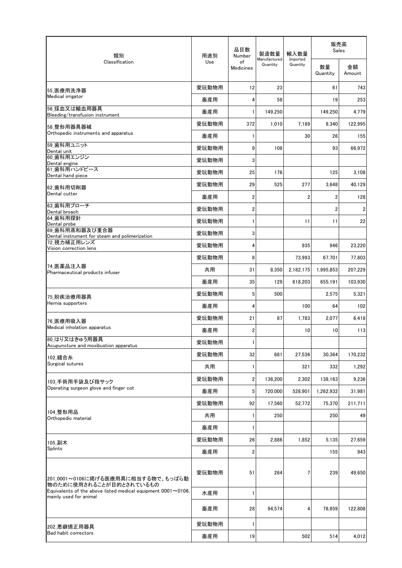| 類別                                                                                             | 用途別   | 品目数<br>Number           | 製造数量                     | 輸入数量                 | 販売高<br>Sales   |              |  |
|------------------------------------------------------------------------------------------------|-------|-------------------------|--------------------------|----------------------|----------------|--------------|--|
| Classification                                                                                 | Use   | of<br>Medicines         | Manufactured<br>Quantity | Imported<br>Quantity | 数量<br>Quantity | 金額<br>Amount |  |
| 55 医療用洗浄器                                                                                      | 愛玩動物用 | 12                      | 23                       |                      | 61             | 743          |  |
| Medical irrigator                                                                              | 畜産用   | 4                       | 58                       |                      | 19             | 253          |  |
| 56 採血又は輸血用器具<br>Bleeding/transfusion instrument                                                | 畜産用   | $\mathbf{1}$            | 149,250                  |                      | 149,250        | 4,779        |  |
| 58 整形用器具器械                                                                                     | 愛玩動物用 | 372                     | 1,010                    | 7,189                | 9,340          | 122,995      |  |
| Orthopedic instruments and apparatus                                                           | 畜産用   | $\mathbf{1}$            |                          | 30                   | 26             | 155          |  |
| 59 歯科用ユニット<br>Dental unit                                                                      | 愛玩動物用 | 9                       | 108                      |                      | 93             | 66,972       |  |
| 60 歯科用エンジン<br>Dental engine                                                                    | 愛玩動物用 | 3                       |                          |                      |                |              |  |
| 61 歯科用ハンドピース<br>Dental hand piece                                                              | 愛玩動物用 | 25                      | 176                      |                      | 125            | 3,108        |  |
| 62 歯科用切削器                                                                                      | 愛玩動物用 | 29                      | 525                      | 277                  | 3,648          | 40,129       |  |
| Dental cutter                                                                                  | 畜産用   | $\overline{\mathbf{2}}$ |                          | $\overline{c}$       | $\mathbf 2$    | 128          |  |
| 63_歯科用ブローチ<br>Dental broach                                                                    | 愛玩動物用 | $\overline{\mathbf{2}}$ |                          |                      | $\overline{2}$ | 2            |  |
| 64 歯科用探針                                                                                       | 愛玩動物用 | $\mathbf{1}$            |                          | 11                   | 11             | 22           |  |
| Dental probe<br>69 歯科用蒸和器及び重合器                                                                 | 愛玩動物用 | 3                       |                          |                      |                |              |  |
| Dental instrument for steam and polimerization<br>72 視力補正用レンズ                                  | 愛玩動物用 | 4                       |                          | 935                  | 946            | 23,220       |  |
| Vision correction lens                                                                         | 愛玩動物用 | 8                       |                          | 73,993               | 67,701         | 77,803       |  |
| 74 医薬品注入器                                                                                      | 共用    | 31                      | 8,350                    | 2,182,175            | 1,995,853      | 207,229      |  |
| Pharmaceutical products infuser                                                                | 畜産用   | 35                      | 129                      | 618,203              | 655,191        | 103,930      |  |
|                                                                                                | 愛玩動物用 | 5                       | 500                      |                      | 2,575          | 5,321        |  |
| 75 脱疾治療用器具<br>Hernia supporters                                                                | 畜産用   | 4                       |                          | 100                  | 64             | 102          |  |
| 76 医療用吸入器                                                                                      | 愛玩動物用 | 21                      | 87                       | 1,783                | 2,077          | 6,418        |  |
| Medical inholation apparatus                                                                   | 畜産用   | $\boldsymbol{2}$        |                          | 10                   | 10             | 113          |  |
| 80_はり又はきゅう用器具                                                                                  | 愛玩動物用 | $\mathbf{1}$            |                          |                      |                |              |  |
| Acupuncture and moxibustion apparatus                                                          | 愛玩動物用 | 32                      | 681                      | 27,536               | 30,364         | 170,232      |  |
| 102 縫合糸<br>Surgical sutures                                                                    | 共用    | $\mathbf{1}$            |                          | 321                  | 332            | 1.292        |  |
|                                                                                                | 愛玩動物用 | $\overline{2}$          | 136,200                  | 2,302                | 138,163        | 9,236        |  |
| 103 手術用手袋及び指サック<br>Operating surgeon glove and finger cot                                      | 畜産用   | 5                       | 720,000                  | 528,901              | 1,262,932      | 31,981       |  |
|                                                                                                | 愛玩動物用 | 92                      | 17,560                   | 52,772               | 75,370         | 211,711      |  |
| 104 整形用品                                                                                       | 共用    | $\mathbf{1}$            | 250                      |                      | 250            | 49           |  |
| Orthopedic material                                                                            | 畜産用   | 1                       |                          |                      |                |              |  |
|                                                                                                | 愛玩動物用 | 26                      | 2,886                    | 1,852                | 5,135          | 27,659       |  |
| 105_副木<br>Splints                                                                              | 畜産用   | 2                       |                          |                      | 155            | 943          |  |
|                                                                                                |       |                         |                          |                      |                |              |  |
| 201_0001~0106に掲げる医療用具に相当する物で、もっぱら動<br>物のために使用されることが目的とされているもの                                  | 愛玩動物用 | 51                      | 264                      | 7                    | 239            | 49,650       |  |
| Equivalents of the above listed medical equipment $0001 \sim 0106$ ,<br>mainly used for animal | 水産用   | 1                       |                          |                      |                |              |  |
|                                                                                                | 畜産用   | 28                      | 94,574                   | 4                    | 78,859         | 122,808      |  |
| 202 悪癖矯正用器具                                                                                    | 愛玩動物用 | $\mathbf{1}$            |                          |                      |                |              |  |
| Bad habit correctors                                                                           | 畜産用   | 19                      |                          | 502                  | 514            | 4,012        |  |